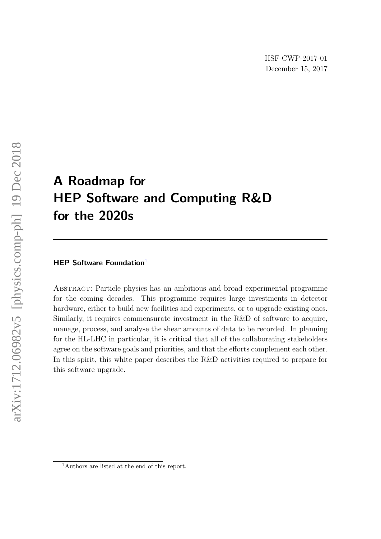# A Roadmap for HEP Software and Computing R&D for the 2020s

## HEP Software Foundation<sup>[1](#page-0-0)</sup>

Abstract: Particle physics has an ambitious and broad experimental programme for the coming decades. This programme requires large investments in detector hardware, either to build new facilities and experiments, or to upgrade existing ones. Similarly, it requires commensurate investment in the R&D of software to acquire, manage, process, and analyse the shear amounts of data to be recorded. In planning for the HL-LHC in particular, it is critical that all of the collaborating stakeholders agree on the software goals and priorities, and that the efforts complement each other. In this spirit, this white paper describes the R&D activities required to prepare for this software upgrade.

<span id="page-0-0"></span><sup>1</sup>Authors are listed at the end of this report.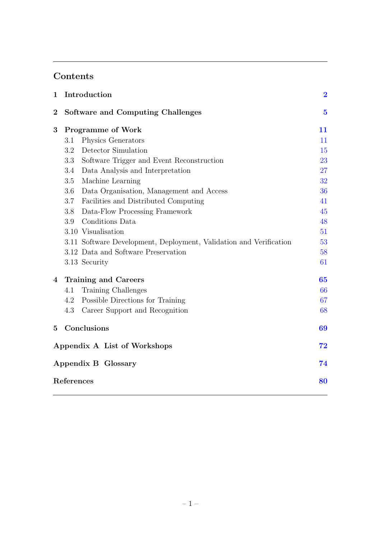# Contents

| 1                            | Introduction                             |                                                                    |    |  |  |  |  |  |  |
|------------------------------|------------------------------------------|--------------------------------------------------------------------|----|--|--|--|--|--|--|
| $\boldsymbol{2}$             | <b>Software and Computing Challenges</b> |                                                                    |    |  |  |  |  |  |  |
| 3                            | <b>Programme of Work</b>                 |                                                                    |    |  |  |  |  |  |  |
|                              | 3.1                                      | Physics Generators                                                 | 11 |  |  |  |  |  |  |
|                              | 3.2                                      | Detector Simulation                                                | 15 |  |  |  |  |  |  |
|                              | 3.3                                      | Software Trigger and Event Reconstruction                          | 23 |  |  |  |  |  |  |
|                              | 3.4                                      | Data Analysis and Interpretation                                   | 27 |  |  |  |  |  |  |
|                              | 3.5                                      | Machine Learning                                                   | 32 |  |  |  |  |  |  |
|                              | 3.6                                      | Data Organisation, Management and Access                           | 36 |  |  |  |  |  |  |
|                              | 3.7                                      | Facilities and Distributed Computing                               | 41 |  |  |  |  |  |  |
|                              | 3.8                                      | Data-Flow Processing Framework                                     | 45 |  |  |  |  |  |  |
|                              | 3.9                                      | Conditions Data                                                    | 48 |  |  |  |  |  |  |
|                              |                                          | 3.10 Visualisation                                                 | 51 |  |  |  |  |  |  |
|                              |                                          | 3.11 Software Development, Deployment, Validation and Verification | 53 |  |  |  |  |  |  |
|                              |                                          | 3.12 Data and Software Preservation                                | 58 |  |  |  |  |  |  |
|                              |                                          | 3.13 Security                                                      | 61 |  |  |  |  |  |  |
| $\overline{4}$               | Training and Careers                     |                                                                    |    |  |  |  |  |  |  |
|                              | 4.1                                      | Training Challenges                                                | 66 |  |  |  |  |  |  |
|                              | 4.2                                      | Possible Directions for Training                                   | 67 |  |  |  |  |  |  |
|                              | 4.3                                      | Career Support and Recognition                                     | 68 |  |  |  |  |  |  |
| $5\overline{)}$              |                                          | Conclusions                                                        | 69 |  |  |  |  |  |  |
| Appendix A List of Workshops |                                          |                                                                    |    |  |  |  |  |  |  |
| Appendix B Glossary          |                                          |                                                                    |    |  |  |  |  |  |  |
| References                   |                                          |                                                                    |    |  |  |  |  |  |  |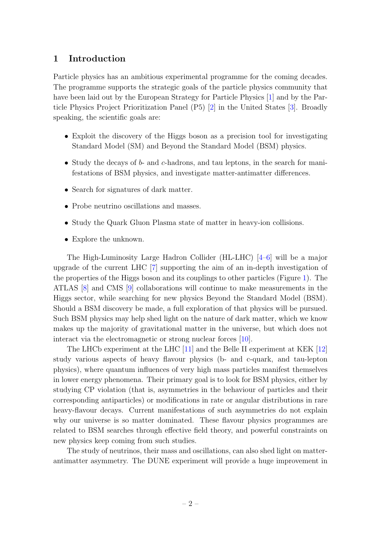# <span id="page-2-0"></span>1 Introduction

Particle physics has an ambitious experimental programme for the coming decades. The programme supports the strategic goals of the particle physics community that have been laid out by the European Strategy for Particle Physics [\[1\]](#page-80-1) and by the Particle Physics Project Prioritization Panel (P5) [\[2\]](#page-80-2) in the United States [\[3\]](#page-80-3). Broadly speaking, the scientific goals are:

- Exploit the discovery of the Higgs boson as a precision tool for investigating Standard Model (SM) and Beyond the Standard Model (BSM) physics.
- Study the decays of  $b$  and  $c$ -hadrons, and tau leptons, in the search for manifestations of BSM physics, and investigate matter-antimatter differences.
- Search for signatures of dark matter.
- Probe neutrino oscillations and masses.
- Study the Quark Gluon Plasma state of matter in heavy-ion collisions.
- Explore the unknown.

The High-Luminosity Large Hadron Collider (HL-LHC) [\[4](#page-80-4)[–6\]](#page-80-5) will be a major upgrade of the current LHC [\[7\]](#page-80-6) supporting the aim of an in-depth investigation of the properties of the Higgs boson and its couplings to other particles (Figure [1\)](#page-3-0). The ATLAS [\[8\]](#page-80-7) and CMS [\[9\]](#page-80-8) collaborations will continue to make measurements in the Higgs sector, while searching for new physics Beyond the Standard Model (BSM). Should a BSM discovery be made, a full exploration of that physics will be pursued. Such BSM physics may help shed light on the nature of dark matter, which we know makes up the majority of gravitational matter in the universe, but which does not interact via the electromagnetic or strong nuclear forces [\[10\]](#page-80-9).

The LHCb experiment at the LHC [\[11\]](#page-80-10) and the Belle II experiment at KEK [\[12\]](#page-80-11) study various aspects of heavy flavour physics (b- and c-quark, and tau-lepton physics), where quantum influences of very high mass particles manifest themselves in lower energy phenomena. Their primary goal is to look for BSM physics, either by studying CP violation (that is, asymmetries in the behaviour of particles and their corresponding antiparticles) or modifications in rate or angular distributions in rare heavy-flavour decays. Current manifestations of such asymmetries do not explain why our universe is so matter dominated. These flavour physics programmes are related to BSM searches through effective field theory, and powerful constraints on new physics keep coming from such studies.

The study of neutrinos, their mass and oscillations, can also shed light on matterantimatter asymmetry. The DUNE experiment will provide a huge improvement in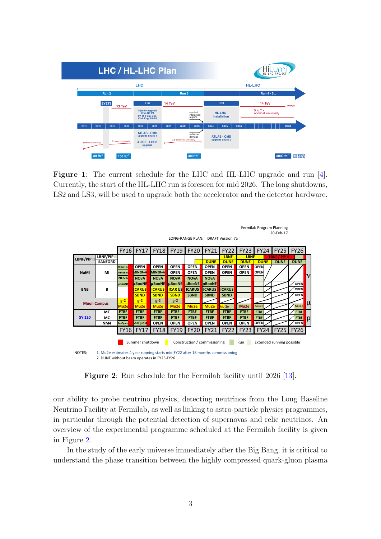<span id="page-3-0"></span>

| <b>LHC / HL-LHC Plan</b>        |                    |      |                     |       |                                                                          |      |                          |                                     |      | HL-LHC PROJECT                        |        |  |          |                    |                |                          |
|---------------------------------|--------------------|------|---------------------|-------|--------------------------------------------------------------------------|------|--------------------------|-------------------------------------|------|---------------------------------------|--------|--|----------|--------------------|----------------|--------------------------|
| <b>LHC</b>                      |                    |      |                     |       |                                                                          |      | <b>HL-LHC</b>            |                                     |      |                                       |        |  |          |                    |                |                          |
| Run 2<br><b>EYETS</b><br>13 TeV |                    |      |                     | Run 3 |                                                                          |      | Run 4 - 5                |                                     |      |                                       |        |  |          |                    |                |                          |
|                                 |                    |      |                     |       | LS <sub>2</sub><br>14 TeV                                                |      |                          | LS <sub>3</sub>                     |      |                                       | 14 TeV |  |          |                    | energy         |                          |
|                                 |                    |      |                     |       | injector upgrade<br>Cryo RF P4<br>P7 11 T dip. coll.<br>Civil Eng. P1-P5 |      |                          | cryolimit<br>interaction<br>regions |      | <b>HL-LHC</b><br>installation         |        |  | 5 to 7 x | nominal luminosity |                |                          |
| 2015                            | 2016               | 2017 | 2018                | 2019  | 2020                                                                     | 2021 | 2022                     | 2023                                | 2024 | 2025                                  | 2026   |  |          |                    | 2038           |                          |
|                                 | nominal luminosity |      | 2 x nom. luminosity |       | <b>ATLAS - CMS</b><br>upgrade phase 1<br><b>ALICE - LHCb</b><br>upgrade  |      | 2.5 x nominal luminosity | radiation<br>damage                 |      | <b>ATLAS - CMS</b><br>upgrade phase 2 |        |  |          |                    |                |                          |
|                                 | $30 fb^{-1}$       |      | 150 $fb^{-1}$       |       |                                                                          |      |                          | $300 fb^{-1}$                       |      |                                       |        |  |          |                    | $3000 fb^{-1}$ | integrated<br>luminosity |

Figure 1: The current schedule for the LHC and HL-LHC upgrade and run [\[4\]](#page-80-4). Currently, the start of the HL-LHC run is foreseen for mid 2026. The long shutdowns, LS2 and LS3, will be used to upgrade both the accelerator and the detector hardware.

<span id="page-3-1"></span>

| Fermilab Program Planning<br>20-Feb-17                                                   |                    |                 |                  |                  |                  |                  |                                   |               |             |             |               |                  |             |
|------------------------------------------------------------------------------------------|--------------------|-----------------|------------------|------------------|------------------|------------------|-----------------------------------|---------------|-------------|-------------|---------------|------------------|-------------|
|                                                                                          |                    |                 |                  |                  |                  |                  | LONG-RANGE PLAN: DRAFT Version 7a |               |             |             |               |                  |             |
|                                                                                          |                    | <b>FY16</b>     |                  | <b>FY17 FY18</b> | <b>FY19</b>      | <b>FY20</b>      | <b>FY21</b>                       | <b>FY22</b>   | <b>FY23</b> | <b>FY24</b> | <b>FY25</b>   | <b>FY26</b>      |             |
| LBNF/PIP II                                                                              | LBNF/PIP II        |                 |                  |                  |                  |                  |                                   | <b>LBNF</b>   | <b>LBNF</b> |             | LBNF / PIP II |                  |             |
|                                                                                          | <b>SANFORD</b>     |                 |                  |                  |                  |                  | <b>DUNE</b>                       | <b>DUNE</b>   | <b>DUNE</b> | <b>DUNE</b> | <b>DUNE</b>   | <b>DUNE</b>      |             |
|                                                                                          |                    | <b>MINOS+</b>   | <b>OPEN</b>      | <b>OPEN</b>      | <b>OPEN</b>      | <b>OPEN</b>      | <b>OPEN</b>                       | <b>OPEN</b>   | <b>OPEN</b> | <b>OPEN</b> |               |                  |             |
| <b>NuMI</b>                                                                              | МΙ                 | <b>MINERVA</b>  | <b>MINERvA</b>   | <b>MINERvA</b>   | <b>OPEN</b>      | <b>OPEN</b>      | <b>OPEN</b>                       | <b>OPEN</b>   | <b>OPEN</b> | <b>OPEN</b> |               |                  | $\mathbf v$ |
|                                                                                          |                    | <b>NOvA</b>     | <b>NOvA</b>      | <b>NOvA</b>      | <b>NOvA</b>      | <b>NOvA</b>      | <b>NOvA</b>                       |               |             |             |               |                  |             |
|                                                                                          |                    | uBooNE          | uBooNH           | <b>uBooNE</b>    | <b>uBooNE</b>    | <b>UBooNE</b>    | <b>µBooNE</b>                     |               |             |             |               | <b>OPEN</b>      |             |
| <b>BNB</b>                                                                               | В                  |                 | <b>CARUS</b>     | <b>ICARUS</b>    | <b>ICARUS</b>    | <b>ICARUS</b>    | <b>ICARUS</b>                     | <b>ICARUS</b> |             |             |               | <b>OPEN</b>      |             |
|                                                                                          |                    |                 | <b>SBND</b>      | <b>SBND</b>      | <b>SBND</b>      | <b>SBND</b>      | <b>SBND</b>                       | <b>SBND</b>   |             |             |               | <b>OPEN</b>      |             |
|                                                                                          | <b>Muon Campus</b> | $g-2$           | $g-2$            | $g-2$            | $g-2$            |                  |                                   |               |             |             |               |                  | μ           |
|                                                                                          |                    | Mu2e            | Mu <sub>2e</sub> | Mu <sub>2e</sub> | Mu <sub>2e</sub> | Mu <sub>2e</sub> | Mu2e                              | Mu 2e         | Mu2e        | Mu2e        |               | Mu <sub>2e</sub> |             |
|                                                                                          | MT                 | <b>FTBF</b>     | <b>FTBF</b>      | <b>FTBF</b>      | <b>FTBF</b>      | <b>FTBF</b>      | <b>FTBF</b>                       | <b>FTBF</b>   | <b>FTBF</b> | <b>FTBF</b> |               | <b>FTBF</b>      |             |
| <b>SY 120</b>                                                                            | МC                 | <b>FTBF</b>     | <b>FTBF</b>      | <b>FTBF</b>      | <b>FTBF</b>      | <b>FTBF</b>      | <b>FTBF</b>                       | <b>FTBF</b>   | <b>FTBF</b> | <b>FTBF</b> |               | <b>FTBF</b>      | р           |
|                                                                                          | NM4                | <b>SeaQuest</b> | <b>SeaQuest</b>  | <b>OPEN</b>      | <b>OPEN</b>      | <b>OPEN</b>      | <b>OPEN</b>                       | <b>OPEN</b>   | <b>OPEN</b> | <b>OPEN</b> |               | <b>OPEN</b>      |             |
|                                                                                          |                    | <b>FY16</b>     | <b>FY17</b>      | <b>FY18</b>      | <b>FY19</b>      | <b>FY20</b>      | <b>FY21</b>                       | <b>FY22</b>   | <b>FY23</b> | <b>FY24</b> | FY25          | <b>FY26</b>      |             |
| Construction / commissioning<br>Summer shutdown<br>Extended running possible<br>Run      |                    |                 |                  |                  |                  |                  |                                   |               |             |             |               |                  |             |
| NOTES:<br>1. Mu2e estimates 4 year running starts mid-FY22 after 18 months commissioning |                    |                 |                  |                  |                  |                  |                                   |               |             |             |               |                  |             |
| 2. DUNE without beam operates in FY25-FY26                                               |                    |                 |                  |                  |                  |                  |                                   |               |             |             |               |                  |             |

Figure 2: Run schedule for the Fermilab facility until 2026 [\[13\]](#page-80-12).

our ability to probe neutrino physics, detecting neutrinos from the Long Baseline Neutrino Facility at Fermilab, as well as linking to astro-particle physics programmes, in particular through the potential detection of supernovas and relic neutrinos. An overview of the experimental programme scheduled at the Fermilab facility is given in Figure [2.](#page-3-1)

In the study of the early universe immediately after the Big Bang, it is critical to understand the phase transition between the highly compressed quark-gluon plasma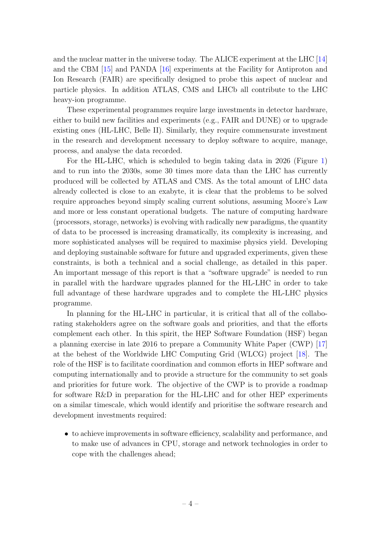and the nuclear matter in the universe today. The ALICE experiment at the LHC [\[14\]](#page-80-13) and the CBM [\[15\]](#page-81-0) and PANDA [\[16\]](#page-81-1) experiments at the Facility for Antiproton and Ion Research (FAIR) are specifically designed to probe this aspect of nuclear and particle physics. In addition ATLAS, CMS and LHCb all contribute to the LHC heavy-ion programme.

These experimental programmes require large investments in detector hardware, either to build new facilities and experiments (e.g., FAIR and DUNE) or to upgrade existing ones (HL-LHC, Belle II). Similarly, they require commensurate investment in the research and development necessary to deploy software to acquire, manage, process, and analyse the data recorded.

For the HL-LHC, which is scheduled to begin taking data in 2026 (Figure [1\)](#page-3-0) and to run into the 2030s, some 30 times more data than the LHC has currently produced will be collected by ATLAS and CMS. As the total amount of LHC data already collected is close to an exabyte, it is clear that the problems to be solved require approaches beyond simply scaling current solutions, assuming Moore's Law and more or less constant operational budgets. The nature of computing hardware (processors, storage, networks) is evolving with radically new paradigms, the quantity of data to be processed is increasing dramatically, its complexity is increasing, and more sophisticated analyses will be required to maximise physics yield. Developing and deploying sustainable software for future and upgraded experiments, given these constraints, is both a technical and a social challenge, as detailed in this paper. An important message of this report is that a "software upgrade" is needed to run in parallel with the hardware upgrades planned for the HL-LHC in order to take full advantage of these hardware upgrades and to complete the HL-LHC physics programme.

In planning for the HL-LHC in particular, it is critical that all of the collaborating stakeholders agree on the software goals and priorities, and that the efforts complement each other. In this spirit, the HEP Software Foundation (HSF) began a planning exercise in late 2016 to prepare a Community White Paper (CWP) [\[17\]](#page-81-2) at the behest of the Worldwide LHC Computing Grid (WLCG) project [\[18\]](#page-81-3). The role of the HSF is to facilitate coordination and common efforts in HEP software and computing internationally and to provide a structure for the community to set goals and priorities for future work. The objective of the CWP is to provide a roadmap for software R&D in preparation for the HL-LHC and for other HEP experiments on a similar timescale, which would identify and prioritise the software research and development investments required:

• to achieve improvements in software efficiency, scalability and performance, and to make use of advances in CPU, storage and network technologies in order to cope with the challenges ahead;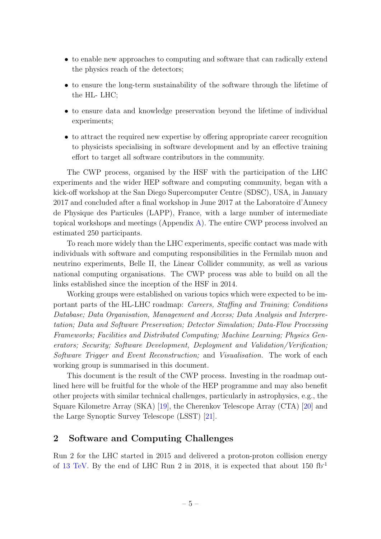- to enable new approaches to computing and software that can radically extend the physics reach of the detectors;
- to ensure the long-term sustainability of the software through the lifetime of the HL- LHC;
- to ensure data and knowledge preservation beyond the lifetime of individual experiments;
- to attract the required new expertise by offering appropriate career recognition to physicists specialising in software development and by an effective training effort to target all software contributors in the community.

The CWP process, organised by the HSF with the participation of the LHC experiments and the wider HEP software and computing community, began with a kick-off workshop at the San Diego Supercomputer Centre (SDSC), USA, in January 2017 and concluded after a final workshop in June 2017 at the Laboratoire d'Annecy de Physique des Particules (LAPP), France, with a large number of intermediate topical workshops and meetings (Appendix [A\)](#page-72-0). The entire CWP process involved an estimated 250 participants.

To reach more widely than the LHC experiments, specific contact was made with individuals with software and computing responsibilities in the Fermilab muon and neutrino experiments, Belle II, the Linear Collider community, as well as various national computing organisations. The CWP process was able to build on all the links established since the inception of the HSF in 2014.

Working groups were established on various topics which were expected to be important parts of the HL-LHC roadmap: Careers, Staffing and Training; Conditions Database; Data Organisation, Management and Access; Data Analysis and Interpretation; Data and Software Preservation; Detector Simulation; Data-Flow Processing Frameworks; Facilities and Distributed Computing; Machine Learning; Physics Generators; Security; Software Development, Deployment and Validation/Verification; Software Trigger and Event Reconstruction; and Visualisation. The work of each working group is summarised in this document.

This document is the result of the CWP process. Investing in the roadmap outlined here will be fruitful for the whole of the HEP programme and may also benefit other projects with similar technical challenges, particularly in astrophysics, e.g., the Square Kilometre Array (SKA) [\[19\]](#page-81-4), the Cherenkov Telescope Array (CTA) [\[20\]](#page-81-5) and the Large Synoptic Survey Telescope (LSST) [\[21\]](#page-81-6).

#### <span id="page-5-0"></span>2 Software and Computing Challenges

Run 2 for the LHC started in 2015 and delivered a proton-proton collision energy of [13 TeV.](http://home.cern/about/engineering/restarting-lhc-why-13-tev) By the end of LHC Run 2 in 2018, it is expected that about  $150 \text{ fb}^{-1}$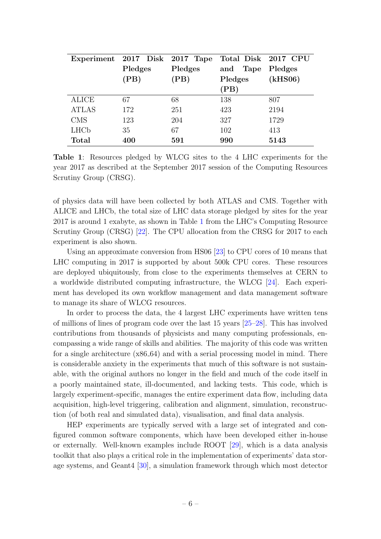<span id="page-6-0"></span>

|                        | Experiment 2017 Disk 2017 Tape |         |             | Total Disk 2017 CPU |  |
|------------------------|--------------------------------|---------|-------------|---------------------|--|
|                        | Pledges                        | Pledges | Tape<br>and | Pledges             |  |
|                        | (PB)                           | (PB)    | Pledges     | (kHS06)             |  |
|                        |                                |         | (PB)        |                     |  |
| <b>ALICE</b>           | 67                             | 68      | 138         | 807                 |  |
| <b>ATLAS</b>           | 172                            | 251     | 423         | 2194                |  |
| <b>CMS</b>             | 123                            | 204     | 327         | 1729                |  |
| <b>LHC<sub>b</sub></b> | 35                             | 67      | 102         | 413                 |  |
| <b>Total</b>           | 400                            | 591     | 990         | 5143                |  |

Table 1: Resources pledged by WLCG sites to the 4 LHC experiments for the year 2017 as described at the September 2017 session of the Computing Resources Scrutiny Group (CRSG).

of physics data will have been collected by both ATLAS and CMS. Together with ALICE and LHCb, the total size of LHC data storage pledged by sites for the year 2017 is around 1 exabyte, as shown in Table [1](#page-6-0) from the LHC's Computing Resource Scrutiny Group (CRSG) [\[22\]](#page-81-7). The CPU allocation from the CRSG for 2017 to each experiment is also shown.

Using an approximate conversion from HS06 [\[23\]](#page-81-8) to CPU cores of 10 means that LHC computing in 2017 is supported by about 500k CPU cores. These resources are deployed ubiquitously, from close to the experiments themselves at CERN to a worldwide distributed computing infrastructure, the WLCG [\[24\]](#page-81-9). Each experiment has developed its own workflow management and data management software to manage its share of WLCG resources.

In order to process the data, the 4 largest LHC experiments have written tens of millions of lines of program code over the last 15 years [\[25](#page-81-10)[–28\]](#page-81-11). This has involved contributions from thousands of physicists and many computing professionals, encompassing a wide range of skills and abilities. The majority of this code was written for a single architecture (x86 64) and with a serial processing model in mind. There is considerable anxiety in the experiments that much of this software is not sustainable, with the original authors no longer in the field and much of the code itself in a poorly maintained state, ill-documented, and lacking tests. This code, which is largely experiment-specific, manages the entire experiment data flow, including data acquisition, high-level triggering, calibration and alignment, simulation, reconstruction (of both real and simulated data), visualisation, and final data analysis.

HEP experiments are typically served with a large set of integrated and configured common software components, which have been developed either in-house or externally. Well-known examples include ROOT [\[29\]](#page-81-12), which is a data analysis toolkit that also plays a critical role in the implementation of experiments' data storage systems, and Geant4 [\[30\]](#page-81-13), a simulation framework through which most detector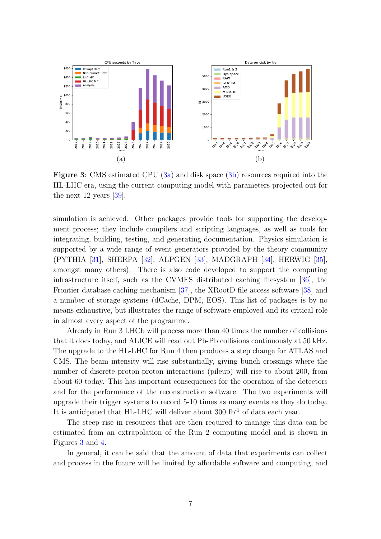<span id="page-7-0"></span>

Figure 3: CMS estimated CPU [\(3a\)](#page-7-0) and disk space [\(3b\)](#page-7-0) resources required into the HL-LHC era, using the current computing model with parameters projected out for the next 12 years [\[39\]](#page-82-0).

simulation is achieved. Other packages provide tools for supporting the development process; they include compilers and scripting languages, as well as tools for integrating, building, testing, and generating documentation. Physics simulation is supported by a wide range of event generators provided by the theory community (PYTHIA [\[31\]](#page-81-14), SHERPA [\[32\]](#page-82-1), ALPGEN [\[33\]](#page-82-2), MADGRAPH [\[34\]](#page-82-3), HERWIG [\[35\]](#page-82-4), amongst many others). There is also code developed to support the computing infrastructure itself, such as the CVMFS distributed caching filesystem [\[36\]](#page-82-5), the Frontier database caching mechanism [\[37\]](#page-82-6), the XRootD file access software [\[38\]](#page-82-7) and a number of storage systems (dCache, DPM, EOS). This list of packages is by no means exhaustive, but illustrates the range of software employed and its critical role in almost every aspect of the programme.

Already in Run 3 LHCb will process more than 40 times the number of collisions that it does today, and ALICE will read out Pb-Pb collisions continuously at 50 kHz. The upgrade to the HL-LHC for Run 4 then produces a step change for ATLAS and CMS. The beam intensity will rise substantially, giving bunch crossings where the number of discrete proton-proton interactions (pileup) will rise to about 200, from about 60 today. This has important consequences for the operation of the detectors and for the performance of the reconstruction software. The two experiments will upgrade their trigger systems to record 5-10 times as many events as they do today. It is anticipated that HL-LHC will deliver about  $300 \text{ fb}^{-1}$  of data each year.

The steep rise in resources that are then required to manage this data can be estimated from an extrapolation of the Run 2 computing model and is shown in Figures [3](#page-7-0) and [4.](#page-8-0)

In general, it can be said that the amount of data that experiments can collect and process in the future will be limited by affordable software and computing, and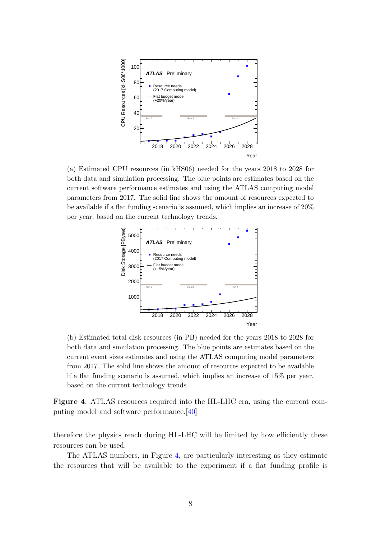<span id="page-8-0"></span>

(a) Estimated CPU resources (in kHS06) needed for the years 2018 to 2028 for both data and simulation processing. The blue points are estimates based on the current software performance estimates and using the ATLAS computing model parameters from 2017. The solid line shows the amount of resources expected to be available if a flat funding scenario is assumed, which implies an increase of 20% per year, based on the current technology trends.



(b) Estimated total disk resources (in PB) needed for the years 2018 to 2028 for both data and simulation processing. The blue points are estimates based on the current event sizes estimates and using the ATLAS computing model parameters from 2017. The solid line shows the amount of resources expected to be available if a flat funding scenario is assumed, which implies an increase of 15% per year, based on the current technology trends.

Figure 4: ATLAS resources required into the HL-LHC era, using the current computing model and software performance.[\[40\]](#page-82-8)

therefore the physics reach during HL-LHC will be limited by how efficiently these resources can be used.

The ATLAS numbers, in Figure [4,](#page-8-0) are particularly interesting as they estimate the resources that will be available to the experiment if a flat funding profile is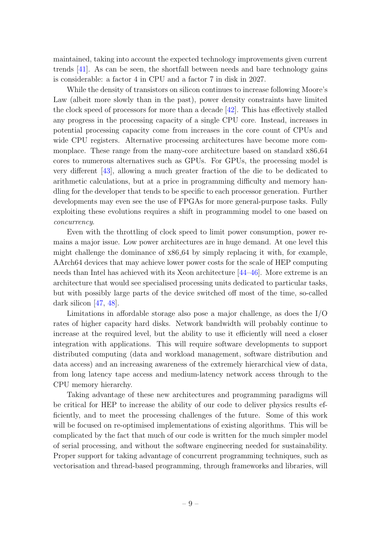maintained, taking into account the expected technology improvements given current trends [\[41\]](#page-82-9). As can be seen, the shortfall between needs and bare technology gains is considerable: a factor 4 in CPU and a factor 7 in disk in 2027.

While the density of transistors on silicon continues to increase following Moore's Law (albeit more slowly than in the past), power density constraints have limited the clock speed of processors for more than a decade [\[42\]](#page-82-10). This has effectively stalled any progress in the processing capacity of a single CPU core. Instead, increases in potential processing capacity come from increases in the core count of CPUs and wide CPU registers. Alternative processing architectures have become more commonplace. These range from the many-core architecture based on standard x86 64 cores to numerous alternatives such as GPUs. For GPUs, the processing model is very different [\[43\]](#page-82-11), allowing a much greater fraction of the die to be dedicated to arithmetic calculations, but at a price in programming difficulty and memory handling for the developer that tends to be specific to each processor generation. Further developments may even see the use of FPGAs for more general-purpose tasks. Fully exploiting these evolutions requires a shift in programming model to one based on concurrency.

Even with the throttling of clock speed to limit power consumption, power remains a major issue. Low power architectures are in huge demand. At one level this might challenge the dominance of x86 64 by simply replacing it with, for example, AArch64 devices that may achieve lower power costs for the scale of HEP computing needs than Intel has achieved with its Xeon architecture [\[44–](#page-83-0)[46\]](#page-83-1). More extreme is an architecture that would see specialised processing units dedicated to particular tasks, but with possibly large parts of the device switched off most of the time, so-called dark silicon [\[47,](#page-83-2) [48\]](#page-83-3).

Limitations in affordable storage also pose a major challenge, as does the I/O rates of higher capacity hard disks. Network bandwidth will probably continue to increase at the required level, but the ability to use it efficiently will need a closer integration with applications. This will require software developments to support distributed computing (data and workload management, software distribution and data access) and an increasing awareness of the extremely hierarchical view of data, from long latency tape access and medium-latency network access through to the CPU memory hierarchy.

Taking advantage of these new architectures and programming paradigms will be critical for HEP to increase the ability of our code to deliver physics results efficiently, and to meet the processing challenges of the future. Some of this work will be focused on re-optimised implementations of existing algorithms. This will be complicated by the fact that much of our code is written for the much simpler model of serial processing, and without the software engineering needed for sustainability. Proper support for taking advantage of concurrent programming techniques, such as vectorisation and thread-based programming, through frameworks and libraries, will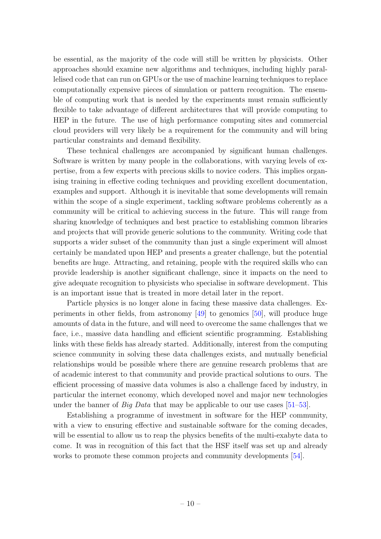be essential, as the majority of the code will still be written by physicists. Other approaches should examine new algorithms and techniques, including highly parallelised code that can run on GPUs or the use of machine learning techniques to replace computationally expensive pieces of simulation or pattern recognition. The ensemble of computing work that is needed by the experiments must remain sufficiently flexible to take advantage of different architectures that will provide computing to HEP in the future. The use of high performance computing sites and commercial cloud providers will very likely be a requirement for the community and will bring particular constraints and demand flexibility.

These technical challenges are accompanied by significant human challenges. Software is written by many people in the collaborations, with varying levels of expertise, from a few experts with precious skills to novice coders. This implies organising training in effective coding techniques and providing excellent documentation, examples and support. Although it is inevitable that some developments will remain within the scope of a single experiment, tackling software problems coherently as a community will be critical to achieving success in the future. This will range from sharing knowledge of techniques and best practice to establishing common libraries and projects that will provide generic solutions to the community. Writing code that supports a wider subset of the community than just a single experiment will almost certainly be mandated upon HEP and presents a greater challenge, but the potential benefits are huge. Attracting, and retaining, people with the required skills who can provide leadership is another significant challenge, since it impacts on the need to give adequate recognition to physicists who specialise in software development. This is an important issue that is treated in more detail later in the report.

Particle physics is no longer alone in facing these massive data challenges. Experiments in other fields, from astronomy [\[49\]](#page-83-4) to genomics [\[50\]](#page-83-5), will produce huge amounts of data in the future, and will need to overcome the same challenges that we face, i.e., massive data handling and efficient scientific programming. Establishing links with these fields has already started. Additionally, interest from the computing science community in solving these data challenges exists, and mutually beneficial relationships would be possible where there are genuine research problems that are of academic interest to that community and provide practical solutions to ours. The efficient processing of massive data volumes is also a challenge faced by industry, in particular the internet economy, which developed novel and major new technologies under the banner of *Big Data* that may be applicable to our use cases [\[51](#page-83-6)[–53\]](#page-84-0).

Establishing a programme of investment in software for the HEP community, with a view to ensuring effective and sustainable software for the coming decades, will be essential to allow us to reap the physics benefits of the multi-exabyte data to come. It was in recognition of this fact that the HSF itself was set up and already works to promote these common projects and community developments [\[54\]](#page-84-1).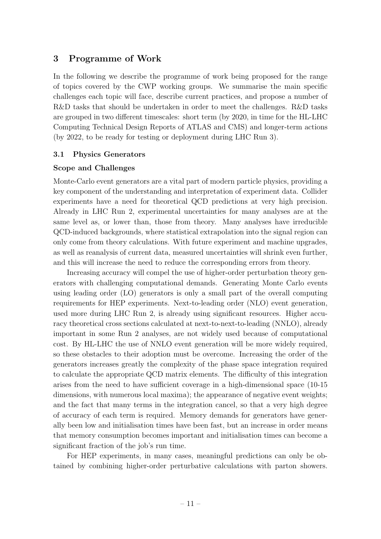# <span id="page-11-0"></span>3 Programme of Work

In the following we describe the programme of work being proposed for the range of topics covered by the CWP working groups. We summarise the main specific challenges each topic will face, describe current practices, and propose a number of R&D tasks that should be undertaken in order to meet the challenges. R&D tasks are grouped in two different timescales: short term (by 2020, in time for the HL-LHC Computing Technical Design Reports of ATLAS and CMS) and longer-term actions (by 2022, to be ready for testing or deployment during LHC Run 3).

#### <span id="page-11-1"></span>3.1 Physics Generators

## Scope and Challenges

Monte-Carlo event generators are a vital part of modern particle physics, providing a key component of the understanding and interpretation of experiment data. Collider experiments have a need for theoretical QCD predictions at very high precision. Already in LHC Run 2, experimental uncertainties for many analyses are at the same level as, or lower than, those from theory. Many analyses have irreducible QCD-induced backgrounds, where statistical extrapolation into the signal region can only come from theory calculations. With future experiment and machine upgrades, as well as reanalysis of current data, measured uncertainties will shrink even further, and this will increase the need to reduce the corresponding errors from theory.

Increasing accuracy will compel the use of higher-order perturbation theory generators with challenging computational demands. Generating Monte Carlo events using leading order (LO) generators is only a small part of the overall computing requirements for HEP experiments. Next-to-leading order (NLO) event generation, used more during LHC Run 2, is already using significant resources. Higher accuracy theoretical cross sections calculated at next-to-next-to-leading (NNLO), already important in some Run 2 analyses, are not widely used because of computational cost. By HL-LHC the use of NNLO event generation will be more widely required, so these obstacles to their adoption must be overcome. Increasing the order of the generators increases greatly the complexity of the phase space integration required to calculate the appropriate QCD matrix elements. The difficulty of this integration arises from the need to have sufficient coverage in a high-dimensional space (10-15 dimensions, with numerous local maxima); the appearance of negative event weights; and the fact that many terms in the integration cancel, so that a very high degree of accuracy of each term is required. Memory demands for generators have generally been low and initialisation times have been fast, but an increase in order means that memory consumption becomes important and initialisation times can become a significant fraction of the job's run time.

For HEP experiments, in many cases, meaningful predictions can only be obtained by combining higher-order perturbative calculations with parton showers.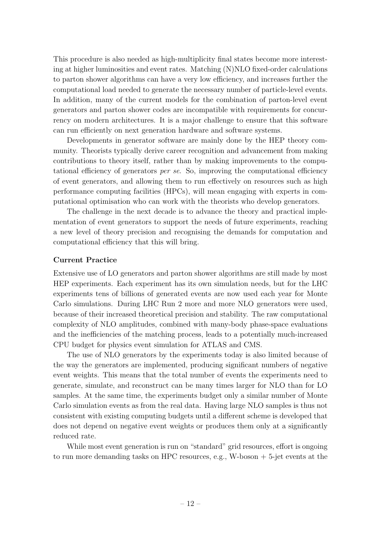This procedure is also needed as high-multiplicity final states become more interesting at higher luminosities and event rates. Matching  $(N)NLO$  fixed-order calculations to parton shower algorithms can have a very low efficiency, and increases further the computational load needed to generate the necessary number of particle-level events. In addition, many of the current models for the combination of parton-level event generators and parton shower codes are incompatible with requirements for concurrency on modern architectures. It is a major challenge to ensure that this software can run efficiently on next generation hardware and software systems.

Developments in generator software are mainly done by the HEP theory community. Theorists typically derive career recognition and advancement from making contributions to theory itself, rather than by making improvements to the computational efficiency of generators per se. So, improving the computational efficiency of event generators, and allowing them to run effectively on resources such as high performance computing facilities (HPCs), will mean engaging with experts in computational optimisation who can work with the theorists who develop generators.

The challenge in the next decade is to advance the theory and practical implementation of event generators to support the needs of future experiments, reaching a new level of theory precision and recognising the demands for computation and computational efficiency that this will bring.

#### Current Practice

Extensive use of LO generators and parton shower algorithms are still made by most HEP experiments. Each experiment has its own simulation needs, but for the LHC experiments tens of billions of generated events are now used each year for Monte Carlo simulations. During LHC Run 2 more and more NLO generators were used, because of their increased theoretical precision and stability. The raw computational complexity of NLO amplitudes, combined with many-body phase-space evaluations and the inefficiencies of the matching process, leads to a potentially much-increased CPU budget for physics event simulation for ATLAS and CMS.

The use of NLO generators by the experiments today is also limited because of the way the generators are implemented, producing significant numbers of negative event weights. This means that the total number of events the experiments need to generate, simulate, and reconstruct can be many times larger for NLO than for LO samples. At the same time, the experiments budget only a similar number of Monte Carlo simulation events as from the real data. Having large NLO samples is thus not consistent with existing computing budgets until a different scheme is developed that does not depend on negative event weights or produces them only at a significantly reduced rate.

While most event generation is run on "standard" grid resources, effort is ongoing to run more demanding tasks on HPC resources, e.g., W-boson  $+$  5-jet events at the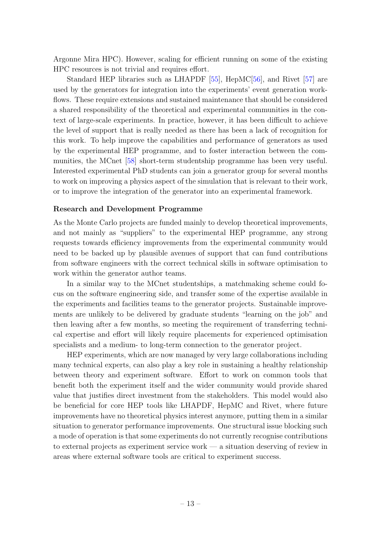Argonne Mira HPC). However, scaling for efficient running on some of the existing HPC resources is not trivial and requires effort.

Standard HEP libraries such as LHAPDF [\[55\]](#page-84-2), HepMC[\[56\]](#page-84-3), and Rivet [\[57\]](#page-84-4) are used by the generators for integration into the experiments' event generation workflows. These require extensions and sustained maintenance that should be considered a shared responsibility of the theoretical and experimental communities in the context of large-scale experiments. In practice, however, it has been difficult to achieve the level of support that is really needed as there has been a lack of recognition for this work. To help improve the capabilities and performance of generators as used by the experimental HEP programme, and to foster interaction between the communities, the MCnet [\[58\]](#page-84-5) short-term studentship programme has been very useful. Interested experimental PhD students can join a generator group for several months to work on improving a physics aspect of the simulation that is relevant to their work, or to improve the integration of the generator into an experimental framework.

#### Research and Development Programme

As the Monte Carlo projects are funded mainly to develop theoretical improvements, and not mainly as "suppliers" to the experimental HEP programme, any strong requests towards efficiency improvements from the experimental community would need to be backed up by plausible avenues of support that can fund contributions from software engineers with the correct technical skills in software optimisation to work within the generator author teams.

In a similar way to the MCnet studentships, a matchmaking scheme could focus on the software engineering side, and transfer some of the expertise available in the experiments and facilities teams to the generator projects. Sustainable improvements are unlikely to be delivered by graduate students "learning on the job" and then leaving after a few months, so meeting the requirement of transferring technical expertise and effort will likely require placements for experienced optimisation specialists and a medium- to long-term connection to the generator project.

HEP experiments, which are now managed by very large collaborations including many technical experts, can also play a key role in sustaining a healthy relationship between theory and experiment software. Effort to work on common tools that benefit both the experiment itself and the wider community would provide shared value that justifies direct investment from the stakeholders. This model would also be beneficial for core HEP tools like LHAPDF, HepMC and Rivet, where future improvements have no theoretical physics interest anymore, putting them in a similar situation to generator performance improvements. One structural issue blocking such a mode of operation is that some experiments do not currently recognise contributions to external projects as experiment service work — a situation deserving of review in areas where external software tools are critical to experiment success.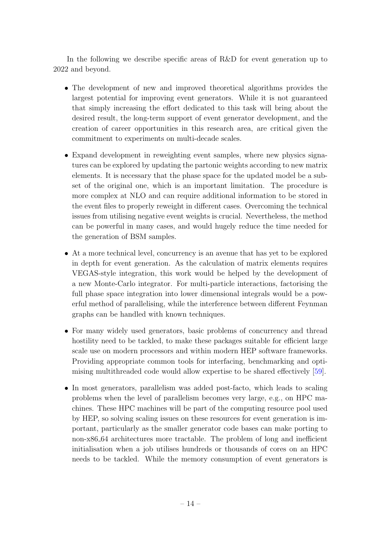In the following we describe specific areas of R&D for event generation up to 2022 and beyond.

- The development of new and improved theoretical algorithms provides the largest potential for improving event generators. While it is not guaranteed that simply increasing the effort dedicated to this task will bring about the desired result, the long-term support of event generator development, and the creation of career opportunities in this research area, are critical given the commitment to experiments on multi-decade scales.
- Expand development in reweighting event samples, where new physics signatures can be explored by updating the partonic weights according to new matrix elements. It is necessary that the phase space for the updated model be a subset of the original one, which is an important limitation. The procedure is more complex at NLO and can require additional information to be stored in the event files to properly reweight in different cases. Overcoming the technical issues from utilising negative event weights is crucial. Nevertheless, the method can be powerful in many cases, and would hugely reduce the time needed for the generation of BSM samples.
- At a more technical level, concurrency is an avenue that has yet to be explored in depth for event generation. As the calculation of matrix elements requires VEGAS-style integration, this work would be helped by the development of a new Monte-Carlo integrator. For multi-particle interactions, factorising the full phase space integration into lower dimensional integrals would be a powerful method of parallelising, while the interference between different Feynman graphs can be handled with known techniques.
- For many widely used generators, basic problems of concurrency and thread hostility need to be tackled, to make these packages suitable for efficient large scale use on modern processors and within modern HEP software frameworks. Providing appropriate common tools for interfacing, benchmarking and optimising multithreaded code would allow expertise to be shared effectively [\[59\]](#page-84-6).
- In most generators, parallelism was added post-facto, which leads to scaling problems when the level of parallelism becomes very large, e.g., on HPC machines. These HPC machines will be part of the computing resource pool used by HEP, so solving scaling issues on these resources for event generation is important, particularly as the smaller generator code bases can make porting to non-x86 64 architectures more tractable. The problem of long and inefficient initialisation when a job utilises hundreds or thousands of cores on an HPC needs to be tackled. While the memory consumption of event generators is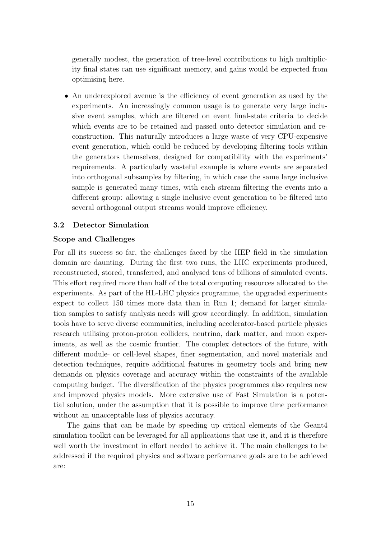generally modest, the generation of tree-level contributions to high multiplicity final states can use significant memory, and gains would be expected from optimising here.

• An underexplored avenue is the efficiency of event generation as used by the experiments. An increasingly common usage is to generate very large inclusive event samples, which are filtered on event final-state criteria to decide which events are to be retained and passed onto detector simulation and reconstruction. This naturally introduces a large waste of very CPU-expensive event generation, which could be reduced by developing filtering tools within the generators themselves, designed for compatibility with the experiments' requirements. A particularly wasteful example is where events are separated into orthogonal subsamples by filtering, in which case the same large inclusive sample is generated many times, with each stream filtering the events into a different group: allowing a single inclusive event generation to be filtered into several orthogonal output streams would improve efficiency.

## <span id="page-15-0"></span>3.2 Detector Simulation

#### Scope and Challenges

For all its success so far, the challenges faced by the HEP field in the simulation domain are daunting. During the first two runs, the LHC experiments produced, reconstructed, stored, transferred, and analysed tens of billions of simulated events. This effort required more than half of the total computing resources allocated to the experiments. As part of the HL-LHC physics programme, the upgraded experiments expect to collect 150 times more data than in Run 1; demand for larger simulation samples to satisfy analysis needs will grow accordingly. In addition, simulation tools have to serve diverse communities, including accelerator-based particle physics research utilising proton-proton colliders, neutrino, dark matter, and muon experiments, as well as the cosmic frontier. The complex detectors of the future, with different module- or cell-level shapes, finer segmentation, and novel materials and detection techniques, require additional features in geometry tools and bring new demands on physics coverage and accuracy within the constraints of the available computing budget. The diversification of the physics programmes also requires new and improved physics models. More extensive use of Fast Simulation is a potential solution, under the assumption that it is possible to improve time performance without an unacceptable loss of physics accuracy.

The gains that can be made by speeding up critical elements of the Geant4 simulation toolkit can be leveraged for all applications that use it, and it is therefore well worth the investment in effort needed to achieve it. The main challenges to be addressed if the required physics and software performance goals are to be achieved are: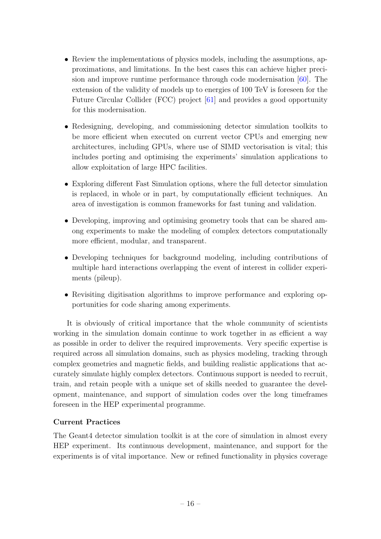- Review the implementations of physics models, including the assumptions, approximations, and limitations. In the best cases this can achieve higher precision and improve runtime performance through code modernisation [\[60\]](#page-84-7). The extension of the validity of models up to energies of 100 TeV is foreseen for the Future Circular Collider (FCC) project [\[61\]](#page-84-8) and provides a good opportunity for this modernisation.
- Redesigning, developing, and commissioning detector simulation toolkits to be more efficient when executed on current vector CPUs and emerging new architectures, including GPUs, where use of SIMD vectorisation is vital; this includes porting and optimising the experiments' simulation applications to allow exploitation of large HPC facilities.
- Exploring different Fast Simulation options, where the full detector simulation is replaced, in whole or in part, by computationally efficient techniques. An area of investigation is common frameworks for fast tuning and validation.
- Developing, improving and optimising geometry tools that can be shared among experiments to make the modeling of complex detectors computationally more efficient, modular, and transparent.
- Developing techniques for background modeling, including contributions of multiple hard interactions overlapping the event of interest in collider experiments (pileup).
- Revisiting digitisation algorithms to improve performance and exploring opportunities for code sharing among experiments.

It is obviously of critical importance that the whole community of scientists working in the simulation domain continue to work together in as efficient a way as possible in order to deliver the required improvements. Very specific expertise is required across all simulation domains, such as physics modeling, tracking through complex geometries and magnetic fields, and building realistic applications that accurately simulate highly complex detectors. Continuous support is needed to recruit, train, and retain people with a unique set of skills needed to guarantee the development, maintenance, and support of simulation codes over the long timeframes foreseen in the HEP experimental programme.

# Current Practices

The Geant4 detector simulation toolkit is at the core of simulation in almost every HEP experiment. Its continuous development, maintenance, and support for the experiments is of vital importance. New or refined functionality in physics coverage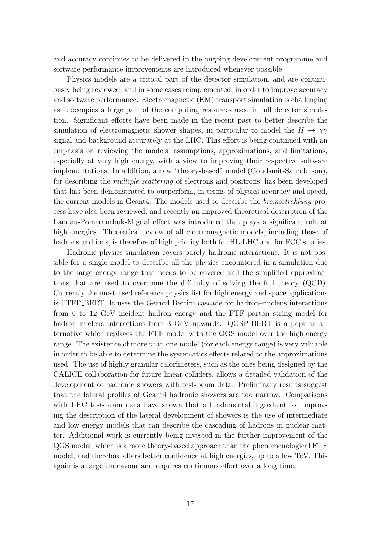and accuracy continues to be delivered in the ongoing development programme and software performance improvements are introduced whenever possible.

Physics models are a critical part of the detector simulation, and are continuously being reviewed, and in some cases reimplemented, in order to improve accuracy and software performance. Electromagnetic (EM) transport simulation is challenging as it occupies a large part of the computing resources used in full detector simulation. Significant efforts have been made in the recent past to better describe the simulation of electromagnetic shower shapes, in particular to model the  $H \to \gamma\gamma$ signal and background accurately at the LHC. This effort is being continued with an emphasis on reviewing the models' assumptions, approximations, and limitations, especially at very high energy, with a view to improving their respective software implementations. In addition, a new "theory-based" model (Goudsmit-Saunderson), for describing the multiple scattering of electrons and positrons, has been developed that has been demonstrated to outperform, in terms of physics accuracy and speed, the current models in Geant4. The models used to describe the bremsstrahlung process have also been reviewed, and recently an improved theoretical description of the Landau-Pomeranchuk-Migdal effect was introduced that plays a significant role at high energies. Theoretical review of all electromagnetic models, including those of hadrons and ions, is therefore of high priority both for HL-LHC and for FCC studies.

Hadronic physics simulation covers purely hadronic interactions. It is not possible for a single model to describe all the physics encountered in a simulation due to the large energy range that needs to be covered and the simplified approximations that are used to overcome the difficulty of solving the full theory (QCD). Currently the most-used reference physics list for high energy and space applications is FTFP BERT. It uses the Geant4 Bertini cascade for hadron–nucleus interactions from 0 to 12 GeV incident hadron energy and the FTF parton string model for hadron–nucleus interactions from 3 GeV upwards. QGSP\_BERT is a popular alternative which replaces the FTF model with the QGS model over the high energy range. The existence of more than one model (for each energy range) is very valuable in order to be able to determine the systematics effects related to the approximations used. The use of highly granular calorimeters, such as the ones being designed by the CALICE collaboration for future linear colliders, allows a detailed validation of the development of hadronic showers with test-beam data. Preliminary results suggest that the lateral profiles of Geant4 hadronic showers are too narrow. Comparisons with LHC test-beam data have shown that a fundamental ingredient for improving the description of the lateral development of showers is the use of intermediate and low energy models that can describe the cascading of hadrons in nuclear matter. Additional work is currently being invested in the further improvement of the QGS model, which is a more theory-based approach than the phenomenological FTF model, and therefore offers better confidence at high energies, up to a few TeV. This again is a large endeavour and requires continuous effort over a long time.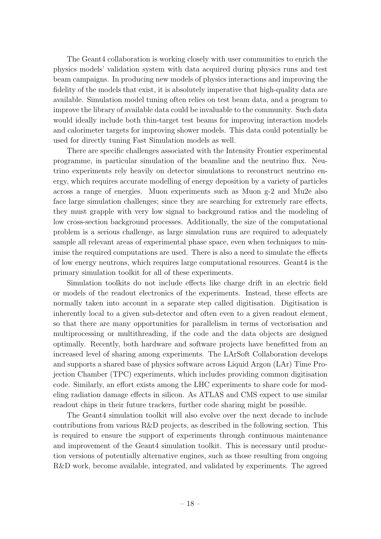The Geant4 collaboration is working closely with user communities to enrich the physics models' validation system with data acquired during physics runs and test beam campaigns. In producing new models of physics interactions and improving the fidelity of the models that exist, it is absolutely imperative that high-quality data are available. Simulation model tuning often relies on test beam data, and a program to improve the library of available data could be invaluable to the community. Such data would ideally include both thin-target test beams for improving interaction models and calorimeter targets for improving shower models. This data could potentially be used for directly tuning Fast Simulation models as well.

There are specific challenges associated with the Intensity Frontier experimental programme, in particular simulation of the beamline and the neutrino flux. Neutrino experiments rely heavily on detector simulations to reconstruct neutrino energy, which requires accurate modelling of energy deposition by a variety of particles across a range of energies. Muon experiments such as Muon g-2 and Mu2e also face large simulation challenges; since they are searching for extremely rare effects, they must grapple with very low signal to background ratios and the modeling of low cross-section background processes. Additionally, the size of the computational problem is a serious challenge, as large simulation runs are required to adequately sample all relevant areas of experimental phase space, even when techniques to minimise the required computations are used. There is also a need to simulate the effects of low energy neutrons, which requires large computational resources. Geant4 is the primary simulation toolkit for all of these experiments.

Simulation toolkits do not include effects like charge drift in an electric field or models of the readout electronics of the experiments. Instead, these effects are normally taken into account in a separate step called digitisation. Digitisation is inherently local to a given sub-detector and often even to a given readout element, so that there are many opportunities for parallelism in terms of vectorisation and multiprocessing or multithreading, if the code and the data objects are designed optimally. Recently, both hardware and software projects have benefitted from an increased level of sharing among experiments. The LArSoft Collaboration develops and supports a shared base of physics software across Liquid Argon (LAr) Time Projection Chamber (TPC) experiments, which includes providing common digitisation code. Similarly, an effort exists among the LHC experiments to share code for modeling radiation damage effects in silicon. As ATLAS and CMS expect to use similar readout chips in their future trackers, further code sharing might be possible.

The Geant4 simulation toolkit will also evolve over the next decade to include contributions from various R&D projects, as described in the following section. This is required to ensure the support of experiments through continuous maintenance and improvement of the Geant4 simulation toolkit. This is necessary until production versions of potentially alternative engines, such as those resulting from ongoing R&D work, become available, integrated, and validated by experiments. The agreed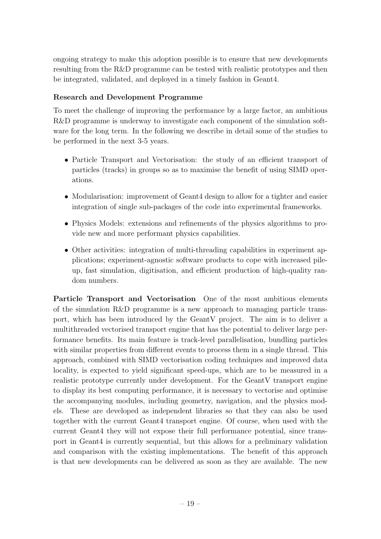ongoing strategy to make this adoption possible is to ensure that new developments resulting from the R&D programme can be tested with realistic prototypes and then be integrated, validated, and deployed in a timely fashion in Geant4.

# Research and Development Programme

To meet the challenge of improving the performance by a large factor, an ambitious R&D programme is underway to investigate each component of the simulation software for the long term. In the following we describe in detail some of the studies to be performed in the next 3-5 years.

- Particle Transport and Vectorisation: the study of an efficient transport of particles (tracks) in groups so as to maximise the benefit of using SIMD operations.
- Modularisation: improvement of Geant4 design to allow for a tighter and easier integration of single sub-packages of the code into experimental frameworks.
- Physics Models: extensions and refinements of the physics algorithms to provide new and more performant physics capabilities.
- Other activities: integration of multi-threading capabilities in experiment applications; experiment-agnostic software products to cope with increased pileup, fast simulation, digitisation, and efficient production of high-quality random numbers.

Particle Transport and Vectorisation One of the most ambitious elements of the simulation R&D programme is a new approach to managing particle transport, which has been introduced by the GeantV project. The aim is to deliver a multithreaded vectorised transport engine that has the potential to deliver large performance benefits. Its main feature is track-level parallelisation, bundling particles with similar properties from different events to process them in a single thread. This approach, combined with SIMD vectorisation coding techniques and improved data locality, is expected to yield significant speed-ups, which are to be measured in a realistic prototype currently under development. For the GeantV transport engine to display its best computing performance, it is necessary to vectorise and optimise the accompanying modules, including geometry, navigation, and the physics models. These are developed as independent libraries so that they can also be used together with the current Geant4 transport engine. Of course, when used with the current Geant4 they will not expose their full performance potential, since transport in Geant4 is currently sequential, but this allows for a preliminary validation and comparison with the existing implementations. The benefit of this approach is that new developments can be delivered as soon as they are available. The new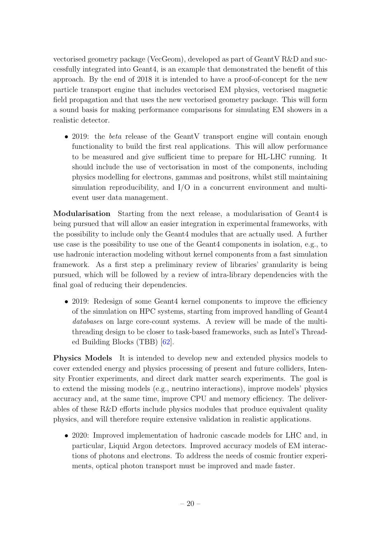vectorised geometry package (VecGeom), developed as part of GeantV R&D and successfully integrated into Geant4, is an example that demonstrated the benefit of this approach. By the end of 2018 it is intended to have a proof-of-concept for the new particle transport engine that includes vectorised EM physics, vectorised magnetic field propagation and that uses the new vectorised geometry package. This will form a sound basis for making performance comparisons for simulating EM showers in a realistic detector.

• 2019: the *beta* release of the GeantV transport engine will contain enough functionality to build the first real applications. This will allow performance to be measured and give sufficient time to prepare for HL-LHC running. It should include the use of vectorisation in most of the components, including physics modelling for electrons, gammas and positrons, whilst still maintaining simulation reproducibility, and I/O in a concurrent environment and multievent user data management.

Modularisation Starting from the next release, a modularisation of Geant4 is being pursued that will allow an easier integration in experimental frameworks, with the possibility to include only the Geant4 modules that are actually used. A further use case is the possibility to use one of the Geant4 components in isolation, e.g., to use hadronic interaction modeling without kernel components from a fast simulation framework. As a first step a preliminary review of libraries' granularity is being pursued, which will be followed by a review of intra-library dependencies with the final goal of reducing their dependencies.

• 2019: Redesign of some Geant4 kernel components to improve the efficiency of the simulation on HPC systems, starting from improved handling of Geant4 databases on large core-count systems. A review will be made of the multithreading design to be closer to task-based frameworks, such as Intel's Threaded Building Blocks (TBB) [\[62\]](#page-84-9).

Physics Models It is intended to develop new and extended physics models to cover extended energy and physics processing of present and future colliders, Intensity Frontier experiments, and direct dark matter search experiments. The goal is to extend the missing models (e.g., neutrino interactions), improve models' physics accuracy and, at the same time, improve CPU and memory efficiency. The deliverables of these R&D efforts include physics modules that produce equivalent quality physics, and will therefore require extensive validation in realistic applications.

• 2020: Improved implementation of hadronic cascade models for LHC and, in particular, Liquid Argon detectors. Improved accuracy models of EM interactions of photons and electrons. To address the needs of cosmic frontier experiments, optical photon transport must be improved and made faster.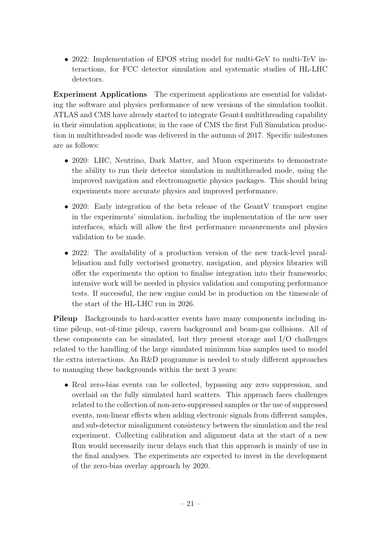• 2022: Implementation of EPOS string model for multi-GeV to multi-TeV interactions, for FCC detector simulation and systematic studies of HL-LHC detectors.

Experiment Applications The experiment applications are essential for validating the software and physics performance of new versions of the simulation toolkit. ATLAS and CMS have already started to integrate Geant4 multithreading capability in their simulation applications; in the case of CMS the first Full Simulation production in multithreaded mode was delivered in the autumn of 2017. Specific milestones are as follows:

- 2020: LHC, Neutrino, Dark Matter, and Muon experiments to demonstrate the ability to run their detector simulation in multithreaded mode, using the improved navigation and electromagnetic physics packages. This should bring experiments more accurate physics and improved performance.
- 2020: Early integration of the beta release of the GeantV transport engine in the experiments' simulation, including the implementation of the new user interfaces, which will allow the first performance measurements and physics validation to be made.
- 2022: The availability of a production version of the new track-level parallelisation and fully vectorised geometry, navigation, and physics libraries will offer the experiments the option to finalise integration into their frameworks; intensive work will be needed in physics validation and computing performance tests. If successful, the new engine could be in production on the timescale of the start of the HL-LHC run in 2026.

Pileup Backgrounds to hard-scatter events have many components including intime pileup, out-of-time pileup, cavern background and beam-gas collisions. All of these components can be simulated, but they present storage and I/O challenges related to the handling of the large simulated minimum bias samples used to model the extra interactions. An R&D programme is needed to study different approaches to managing these backgrounds within the next 3 years:

• Real zero-bias events can be collected, bypassing any zero suppression, and overlaid on the fully simulated hard scatters. This approach faces challenges related to the collection of non-zero-suppressed samples or the use of suppressed events, non-linear effects when adding electronic signals from different samples, and sub-detector misalignment consistency between the simulation and the real experiment. Collecting calibration and alignment data at the start of a new Run would necessarily incur delays such that this approach is mainly of use in the final analyses. The experiments are expected to invest in the development of the zero-bias overlay approach by 2020.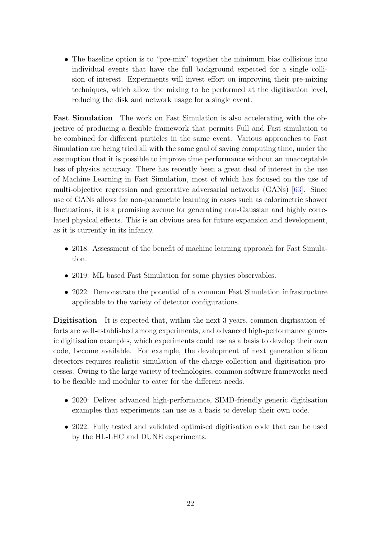• The baseline option is to "pre-mix" together the minimum bias collisions into individual events that have the full background expected for a single collision of interest. Experiments will invest effort on improving their pre-mixing techniques, which allow the mixing to be performed at the digitisation level, reducing the disk and network usage for a single event.

Fast Simulation The work on Fast Simulation is also accelerating with the objective of producing a flexible framework that permits Full and Fast simulation to be combined for different particles in the same event. Various approaches to Fast Simulation are being tried all with the same goal of saving computing time, under the assumption that it is possible to improve time performance without an unacceptable loss of physics accuracy. There has recently been a great deal of interest in the use of Machine Learning in Fast Simulation, most of which has focused on the use of multi-objective regression and generative adversarial networks (GANs) [\[63\]](#page-84-10). Since use of GANs allows for non-parametric learning in cases such as calorimetric shower fluctuations, it is a promising avenue for generating non-Gaussian and highly correlated physical effects. This is an obvious area for future expansion and development, as it is currently in its infancy.

- 2018: Assessment of the benefit of machine learning approach for Fast Simulation.
- 2019: ML-based Fast Simulation for some physics observables.
- 2022: Demonstrate the potential of a common Fast Simulation infrastructure applicable to the variety of detector configurations.

Digitisation It is expected that, within the next 3 years, common digitisation efforts are well-established among experiments, and advanced high-performance generic digitisation examples, which experiments could use as a basis to develop their own code, become available. For example, the development of next generation silicon detectors requires realistic simulation of the charge collection and digitisation processes. Owing to the large variety of technologies, common software frameworks need to be flexible and modular to cater for the different needs.

- 2020: Deliver advanced high-performance, SIMD-friendly generic digitisation examples that experiments can use as a basis to develop their own code.
- 2022: Fully tested and validated optimised digitisation code that can be used by the HL-LHC and DUNE experiments.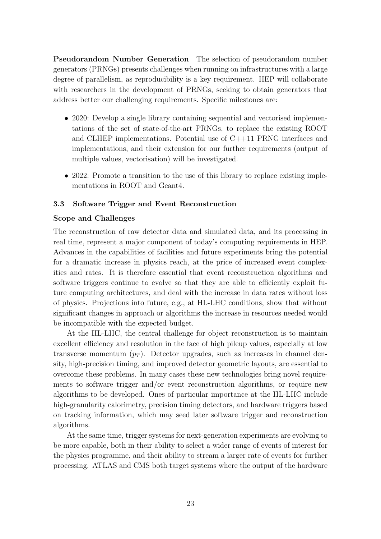Pseudorandom Number Generation The selection of pseudorandom number generators (PRNGs) presents challenges when running on infrastructures with a large degree of parallelism, as reproducibility is a key requirement. HEP will collaborate with researchers in the development of PRNGs, seeking to obtain generators that address better our challenging requirements. Specific milestones are:

- 2020: Develop a single library containing sequential and vectorised implementations of the set of state-of-the-art PRNGs, to replace the existing ROOT and CLHEP implementations. Potential use of C++11 PRNG interfaces and implementations, and their extension for our further requirements (output of multiple values, vectorisation) will be investigated.
- 2022: Promote a transition to the use of this library to replace existing implementations in ROOT and Geant4.

# <span id="page-23-0"></span>3.3 Software Trigger and Event Reconstruction

## Scope and Challenges

The reconstruction of raw detector data and simulated data, and its processing in real time, represent a major component of today's computing requirements in HEP. Advances in the capabilities of facilities and future experiments bring the potential for a dramatic increase in physics reach, at the price of increased event complexities and rates. It is therefore essential that event reconstruction algorithms and software triggers continue to evolve so that they are able to efficiently exploit future computing architectures, and deal with the increase in data rates without loss of physics. Projections into future, e.g., at HL-LHC conditions, show that without significant changes in approach or algorithms the increase in resources needed would be incompatible with the expected budget.

At the HL-LHC, the central challenge for object reconstruction is to maintain excellent efficiency and resolution in the face of high pileup values, especially at low transverse momentum  $(p_T)$ . Detector upgrades, such as increases in channel density, high-precision timing, and improved detector geometric layouts, are essential to overcome these problems. In many cases these new technologies bring novel requirements to software trigger and/or event reconstruction algorithms, or require new algorithms to be developed. Ones of particular importance at the HL-LHC include high-granularity calorimetry, precision timing detectors, and hardware triggers based on tracking information, which may seed later software trigger and reconstruction algorithms.

At the same time, trigger systems for next-generation experiments are evolving to be more capable, both in their ability to select a wider range of events of interest for the physics programme, and their ability to stream a larger rate of events for further processing. ATLAS and CMS both target systems where the output of the hardware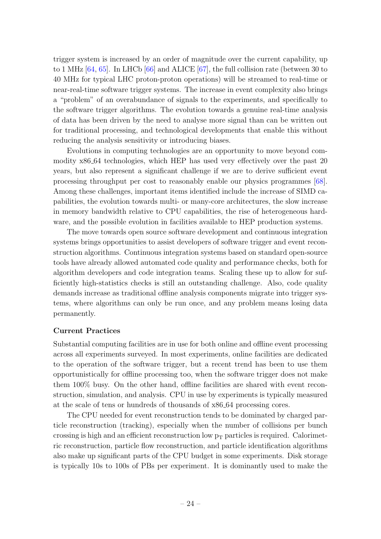trigger system is increased by an order of magnitude over the current capability, up to 1 MHz [\[64,](#page-84-11) [65\]](#page-84-12). In LHCb [\[66\]](#page-85-0) and ALICE [\[67\]](#page-85-1), the full collision rate (between 30 to 40 MHz for typical LHC proton-proton operations) will be streamed to real-time or near-real-time software trigger systems. The increase in event complexity also brings a "problem" of an overabundance of signals to the experiments, and specifically to the software trigger algorithms. The evolution towards a genuine real-time analysis of data has been driven by the need to analyse more signal than can be written out for traditional processing, and technological developments that enable this without reducing the analysis sensitivity or introducing biases.

Evolutions in computing technologies are an opportunity to move beyond commodity x86 64 technologies, which HEP has used very effectively over the past 20 years, but also represent a significant challenge if we are to derive sufficient event processing throughput per cost to reasonably enable our physics programmes [\[68\]](#page-85-2). Among these challenges, important items identified include the increase of SIMD capabilities, the evolution towards multi- or many-core architectures, the slow increase in memory bandwidth relative to CPU capabilities, the rise of heterogeneous hardware, and the possible evolution in facilities available to HEP production systems.

The move towards open source software development and continuous integration systems brings opportunities to assist developers of software trigger and event reconstruction algorithms. Continuous integration systems based on standard open-source tools have already allowed automated code quality and performance checks, both for algorithm developers and code integration teams. Scaling these up to allow for sufficiently high-statistics checks is still an outstanding challenge. Also, code quality demands increase as traditional offline analysis components migrate into trigger systems, where algorithms can only be run once, and any problem means losing data permanently.

#### Current Practices

Substantial computing facilities are in use for both online and offline event processing across all experiments surveyed. In most experiments, online facilities are dedicated to the operation of the software trigger, but a recent trend has been to use them opportunistically for offline processing too, when the software trigger does not make them 100% busy. On the other hand, offline facilities are shared with event reconstruction, simulation, and analysis. CPU in use by experiments is typically measured at the scale of tens or hundreds of thousands of x86 64 processing cores.

The CPU needed for event reconstruction tends to be dominated by charged particle reconstruction (tracking), especially when the number of collisions per bunch crossing is high and an efficient reconstruction low  $p_T$  particles is required. Calorimetric reconstruction, particle flow reconstruction, and particle identification algorithms also make up significant parts of the CPU budget in some experiments. Disk storage is typically 10s to 100s of PBs per experiment. It is dominantly used to make the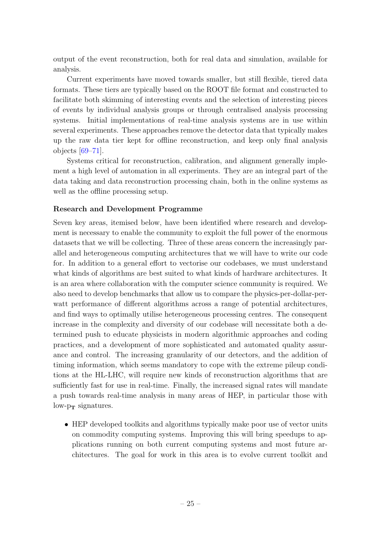output of the event reconstruction, both for real data and simulation, available for analysis.

Current experiments have moved towards smaller, but still flexible, tiered data formats. These tiers are typically based on the ROOT file format and constructed to facilitate both skimming of interesting events and the selection of interesting pieces of events by individual analysis groups or through centralised analysis processing systems. Initial implementations of real-time analysis systems are in use within several experiments. These approaches remove the detector data that typically makes up the raw data tier kept for offline reconstruction, and keep only final analysis objects [\[69](#page-85-3)[–71\]](#page-85-4).

Systems critical for reconstruction, calibration, and alignment generally implement a high level of automation in all experiments. They are an integral part of the data taking and data reconstruction processing chain, both in the online systems as well as the offline processing setup.

# Research and Development Programme

Seven key areas, itemised below, have been identified where research and development is necessary to enable the community to exploit the full power of the enormous datasets that we will be collecting. Three of these areas concern the increasingly parallel and heterogeneous computing architectures that we will have to write our code for. In addition to a general effort to vectorise our codebases, we must understand what kinds of algorithms are best suited to what kinds of hardware architectures. It is an area where collaboration with the computer science community is required. We also need to develop benchmarks that allow us to compare the physics-per-dollar-perwatt performance of different algorithms across a range of potential architectures, and find ways to optimally utilise heterogeneous processing centres. The consequent increase in the complexity and diversity of our codebase will necessitate both a determined push to educate physicists in modern algorithmic approaches and coding practices, and a development of more sophisticated and automated quality assurance and control. The increasing granularity of our detectors, and the addition of timing information, which seems mandatory to cope with the extreme pileup conditions at the HL-LHC, will require new kinds of reconstruction algorithms that are sufficiently fast for use in real-time. Finally, the increased signal rates will mandate a push towards real-time analysis in many areas of HEP, in particular those with  $low-p_T$  signatures.

• HEP developed toolkits and algorithms typically make poor use of vector units on commodity computing systems. Improving this will bring speedups to applications running on both current computing systems and most future architectures. The goal for work in this area is to evolve current toolkit and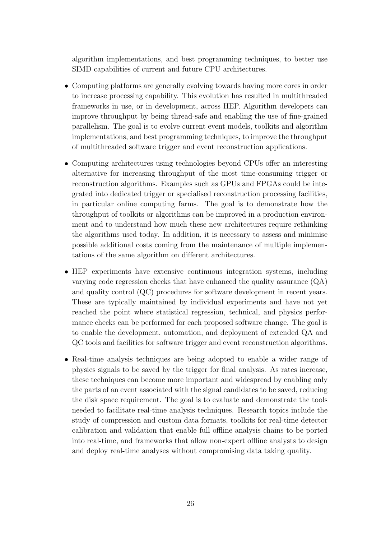algorithm implementations, and best programming techniques, to better use SIMD capabilities of current and future CPU architectures.

- Computing platforms are generally evolving towards having more cores in order to increase processing capability. This evolution has resulted in multithreaded frameworks in use, or in development, across HEP. Algorithm developers can improve throughput by being thread-safe and enabling the use of fine-grained parallelism. The goal is to evolve current event models, toolkits and algorithm implementations, and best programming techniques, to improve the throughput of multithreaded software trigger and event reconstruction applications.
- Computing architectures using technologies beyond CPUs offer an interesting alternative for increasing throughput of the most time-consuming trigger or reconstruction algorithms. Examples such as GPUs and FPGAs could be integrated into dedicated trigger or specialised reconstruction processing facilities, in particular online computing farms. The goal is to demonstrate how the throughput of toolkits or algorithms can be improved in a production environment and to understand how much these new architectures require rethinking the algorithms used today. In addition, it is necessary to assess and minimise possible additional costs coming from the maintenance of multiple implementations of the same algorithm on different architectures.
- HEP experiments have extensive continuous integration systems, including varying code regression checks that have enhanced the quality assurance (QA) and quality control (QC) procedures for software development in recent years. These are typically maintained by individual experiments and have not yet reached the point where statistical regression, technical, and physics performance checks can be performed for each proposed software change. The goal is to enable the development, automation, and deployment of extended QA and QC tools and facilities for software trigger and event reconstruction algorithms.
- Real-time analysis techniques are being adopted to enable a wider range of physics signals to be saved by the trigger for final analysis. As rates increase, these techniques can become more important and widespread by enabling only the parts of an event associated with the signal candidates to be saved, reducing the disk space requirement. The goal is to evaluate and demonstrate the tools needed to facilitate real-time analysis techniques. Research topics include the study of compression and custom data formats, toolkits for real-time detector calibration and validation that enable full offline analysis chains to be ported into real-time, and frameworks that allow non-expert offline analysts to design and deploy real-time analyses without compromising data taking quality.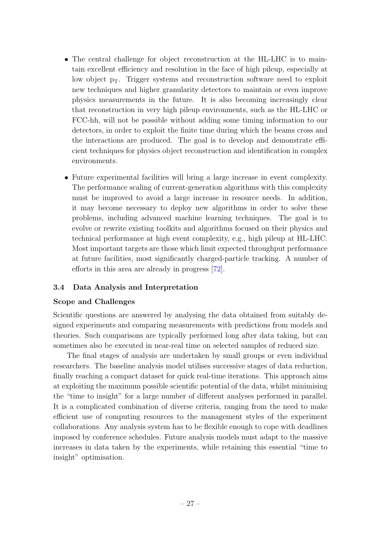- The central challenge for object reconstruction at the HL-LHC is to maintain excellent efficiency and resolution in the face of high pileup, especially at low object  $p_T$ . Trigger systems and reconstruction software need to exploit new techniques and higher granularity detectors to maintain or even improve physics measurements in the future. It is also becoming increasingly clear that reconstruction in very high pileup environments, such as the HL-LHC or FCC-hh, will not be possible without adding some timing information to our detectors, in order to exploit the finite time during which the beams cross and the interactions are produced. The goal is to develop and demonstrate efficient techniques for physics object reconstruction and identification in complex environments.
- Future experimental facilities will bring a large increase in event complexity. The performance scaling of current-generation algorithms with this complexity must be improved to avoid a large increase in resource needs. In addition, it may become necessary to deploy new algorithms in order to solve these problems, including advanced machine learning techniques. The goal is to evolve or rewrite existing toolkits and algorithms focused on their physics and technical performance at high event complexity, e.g., high pileup at HL-LHC. Most important targets are those which limit expected throughput performance at future facilities, most significantly charged-particle tracking. A number of efforts in this area are already in progress [\[72\]](#page-85-5).

#### <span id="page-27-0"></span>3.4 Data Analysis and Interpretation

#### Scope and Challenges

Scientific questions are answered by analysing the data obtained from suitably designed experiments and comparing measurements with predictions from models and theories. Such comparisons are typically performed long after data taking, but can sometimes also be executed in near-real time on selected samples of reduced size.

The final stages of analysis are undertaken by small groups or even individual researchers. The baseline analysis model utilises successive stages of data reduction, finally reaching a compact dataset for quick real-time iterations. This approach aims at exploiting the maximum possible scientific potential of the data, whilst minimising the "time to insight" for a large number of different analyses performed in parallel. It is a complicated combination of diverse criteria, ranging from the need to make efficient use of computing resources to the management styles of the experiment collaborations. Any analysis system has to be flexible enough to cope with deadlines imposed by conference schedules. Future analysis models must adapt to the massive increases in data taken by the experiments, while retaining this essential "time to insight" optimisation.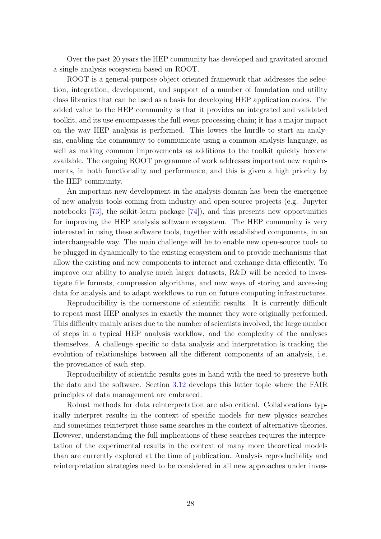Over the past 20 years the HEP community has developed and gravitated around a single analysis ecosystem based on ROOT.

ROOT is a general-purpose object oriented framework that addresses the selection, integration, development, and support of a number of foundation and utility class libraries that can be used as a basis for developing HEP application codes. The added value to the HEP community is that it provides an integrated and validated toolkit, and its use encompasses the full event processing chain; it has a major impact on the way HEP analysis is performed. This lowers the hurdle to start an analysis, enabling the community to communicate using a common analysis language, as well as making common improvements as additions to the toolkit quickly become available. The ongoing ROOT programme of work addresses important new requirements, in both functionality and performance, and this is given a high priority by the HEP community.

An important new development in the analysis domain has been the emergence of new analysis tools coming from industry and open-source projects (e.g. Jupyter notebooks [\[73\]](#page-85-6), the scikit-learn package [\[74\]](#page-85-7)), and this presents new opportunities for improving the HEP analysis software ecosystem. The HEP community is very interested in using these software tools, together with established components, in an interchangeable way. The main challenge will be to enable new open-source tools to be plugged in dynamically to the existing ecosystem and to provide mechanisms that allow the existing and new components to interact and exchange data efficiently. To improve our ability to analyse much larger datasets, R&D will be needed to investigate file formats, compression algorithms, and new ways of storing and accessing data for analysis and to adapt workflows to run on future computing infrastructures.

Reproducibility is the cornerstone of scientific results. It is currently difficult to repeat most HEP analyses in exactly the manner they were originally performed. This difficulty mainly arises due to the number of scientists involved, the large number of steps in a typical HEP analysis workflow, and the complexity of the analyses themselves. A challenge specific to data analysis and interpretation is tracking the evolution of relationships between all the different components of an analysis, i.e. the provenance of each step.

Reproducibility of scientific results goes in hand with the need to preserve both the data and the software. Section [3.12](#page-58-0) develops this latter topic where the FAIR principles of data management are embraced.

Robust methods for data reinterpretation are also critical. Collaborations typically interpret results in the context of specific models for new physics searches and sometimes reinterpret those same searches in the context of alternative theories. However, understanding the full implications of these searches requires the interpretation of the experimental results in the context of many more theoretical models than are currently explored at the time of publication. Analysis reproducibility and reinterpretation strategies need to be considered in all new approaches under inves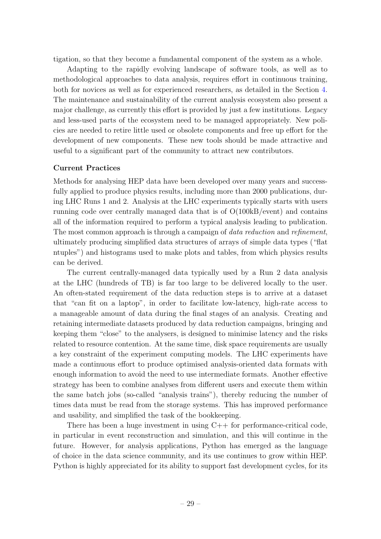tigation, so that they become a fundamental component of the system as a whole.

Adapting to the rapidly evolving landscape of software tools, as well as to methodological approaches to data analysis, requires effort in continuous training, both for novices as well as for experienced researchers, as detailed in the Section [4.](#page-65-0) The maintenance and sustainability of the current analysis ecosystem also present a major challenge, as currently this effort is provided by just a few institutions. Legacy and less-used parts of the ecosystem need to be managed appropriately. New policies are needed to retire little used or obsolete components and free up effort for the development of new components. These new tools should be made attractive and useful to a significant part of the community to attract new contributors.

#### Current Practices

Methods for analysing HEP data have been developed over many years and successfully applied to produce physics results, including more than 2000 publications, during LHC Runs 1 and 2. Analysis at the LHC experiments typically starts with users running code over centrally managed data that is of O(100kB/event) and contains all of the information required to perform a typical analysis leading to publication. The most common approach is through a campaign of *data reduction* and *refinement*, ultimately producing simplified data structures of arrays of simple data types ("flat ntuples") and histograms used to make plots and tables, from which physics results can be derived.

The current centrally-managed data typically used by a Run 2 data analysis at the LHC (hundreds of TB) is far too large to be delivered locally to the user. An often-stated requirement of the data reduction steps is to arrive at a dataset that "can fit on a laptop", in order to facilitate low-latency, high-rate access to a manageable amount of data during the final stages of an analysis. Creating and retaining intermediate datasets produced by data reduction campaigns, bringing and keeping them "close" to the analysers, is designed to minimise latency and the risks related to resource contention. At the same time, disk space requirements are usually a key constraint of the experiment computing models. The LHC experiments have made a continuous effort to produce optimised analysis-oriented data formats with enough information to avoid the need to use intermediate formats. Another effective strategy has been to combine analyses from different users and execute them within the same batch jobs (so-called "analysis trains"), thereby reducing the number of times data must be read from the storage systems. This has improved performance and usability, and simplified the task of the bookkeeping.

There has been a huge investment in using  $C++$  for performance-critical code, in particular in event reconstruction and simulation, and this will continue in the future. However, for analysis applications, Python has emerged as the language of choice in the data science community, and its use continues to grow within HEP. Python is highly appreciated for its ability to support fast development cycles, for its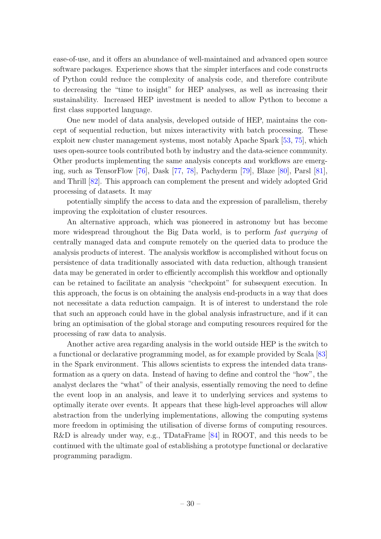ease-of-use, and it offers an abundance of well-maintained and advanced open source software packages. Experience shows that the simpler interfaces and code constructs of Python could reduce the complexity of analysis code, and therefore contribute to decreasing the "time to insight" for HEP analyses, as well as increasing their sustainability. Increased HEP investment is needed to allow Python to become a first class supported language.

One new model of data analysis, developed outside of HEP, maintains the concept of sequential reduction, but mixes interactivity with batch processing. These exploit new cluster management systems, most notably Apache Spark [\[53,](#page-84-0) [75\]](#page-85-8), which uses open-source tools contributed both by industry and the data-science community. Other products implementing the same analysis concepts and workflows are emerging, such as TensorFlow [\[76\]](#page-85-9), Dask [\[77,](#page-85-10) [78\]](#page-85-11), Pachyderm [\[79\]](#page-86-0), Blaze [\[80\]](#page-86-1), Parsl [\[81\]](#page-86-2), and Thrill [\[82\]](#page-86-3). This approach can complement the present and widely adopted Grid processing of datasets. It may

potentially simplify the access to data and the expression of parallelism, thereby improving the exploitation of cluster resources.

An alternative approach, which was pioneered in astronomy but has become more widespread throughout the Big Data world, is to perform *fast querying* of centrally managed data and compute remotely on the queried data to produce the analysis products of interest. The analysis workflow is accomplished without focus on persistence of data traditionally associated with data reduction, although transient data may be generated in order to efficiently accomplish this workflow and optionally can be retained to facilitate an analysis "checkpoint" for subsequent execution. In this approach, the focus is on obtaining the analysis end-products in a way that does not necessitate a data reduction campaign. It is of interest to understand the role that such an approach could have in the global analysis infrastructure, and if it can bring an optimisation of the global storage and computing resources required for the processing of raw data to analysis.

Another active area regarding analysis in the world outside HEP is the switch to a functional or declarative programming model, as for example provided by Scala [\[83\]](#page-86-4) in the Spark environment. This allows scientists to express the intended data transformation as a query on data. Instead of having to define and control the "how", the analyst declares the "what" of their analysis, essentially removing the need to define the event loop in an analysis, and leave it to underlying services and systems to optimally iterate over events. It appears that these high-level approaches will allow abstraction from the underlying implementations, allowing the computing systems more freedom in optimising the utilisation of diverse forms of computing resources. R&D is already under way, e.g., TDataFrame [\[84\]](#page-86-5) in ROOT, and this needs to be continued with the ultimate goal of establishing a prototype functional or declarative programming paradigm.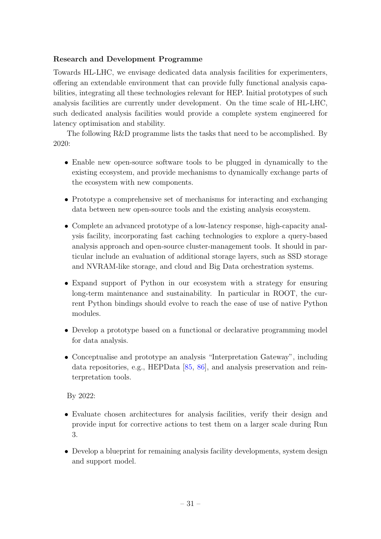# Research and Development Programme

Towards HL-LHC, we envisage dedicated data analysis facilities for experimenters, offering an extendable environment that can provide fully functional analysis capabilities, integrating all these technologies relevant for HEP. Initial prototypes of such analysis facilities are currently under development. On the time scale of HL-LHC, such dedicated analysis facilities would provide a complete system engineered for latency optimisation and stability.

The following R&D programme lists the tasks that need to be accomplished. By 2020:

- Enable new open-source software tools to be plugged in dynamically to the existing ecosystem, and provide mechanisms to dynamically exchange parts of the ecosystem with new components.
- Prototype a comprehensive set of mechanisms for interacting and exchanging data between new open-source tools and the existing analysis ecosystem.
- Complete an advanced prototype of a low-latency response, high-capacity analysis facility, incorporating fast caching technologies to explore a query-based analysis approach and open-source cluster-management tools. It should in particular include an evaluation of additional storage layers, such as SSD storage and NVRAM-like storage, and cloud and Big Data orchestration systems.
- Expand support of Python in our ecosystem with a strategy for ensuring long-term maintenance and sustainability. In particular in ROOT, the current Python bindings should evolve to reach the ease of use of native Python modules.
- Develop a prototype based on a functional or declarative programming model for data analysis.
- Conceptualise and prototype an analysis "Interpretation Gateway", including data repositories, e.g., HEPData [\[85,](#page-86-6) [86\]](#page-86-7), and analysis preservation and reinterpretation tools.

By 2022:

- Evaluate chosen architectures for analysis facilities, verify their design and provide input for corrective actions to test them on a larger scale during Run 3.
- Develop a blueprint for remaining analysis facility developments, system design and support model.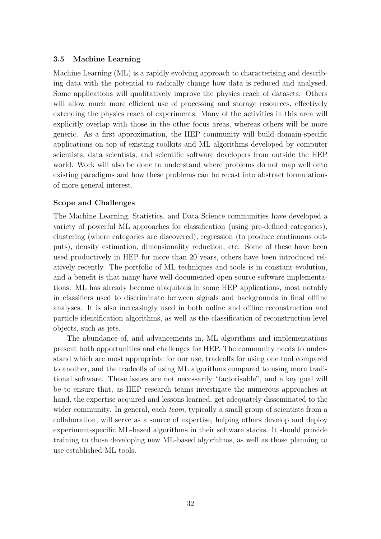# <span id="page-32-0"></span>3.5 Machine Learning

Machine Learning (ML) is a rapidly evolving approach to characterising and describing data with the potential to radically change how data is reduced and analysed. Some applications will qualitatively improve the physics reach of datasets. Others will allow much more efficient use of processing and storage resources, effectively extending the physics reach of experiments. Many of the activities in this area will explicitly overlap with those in the other focus areas, whereas others will be more generic. As a first approximation, the HEP community will build domain-specific applications on top of existing toolkits and ML algorithms developed by computer scientists, data scientists, and scientific software developers from outside the HEP world. Work will also be done to understand where problems do not map well onto existing paradigms and how these problems can be recast into abstract formulations of more general interest.

# Scope and Challenges

The Machine Learning, Statistics, and Data Science communities have developed a variety of powerful ML approaches for classification (using pre-defined categories), clustering (where categories are discovered), regression (to produce continuous outputs), density estimation, dimensionality reduction, etc. Some of these have been used productively in HEP for more than 20 years, others have been introduced relatively recently. The portfolio of ML techniques and tools is in constant evolution, and a benefit is that many have well-documented open source software implementations. ML has already become ubiquitous in some HEP applications, most notably in classifiers used to discriminate between signals and backgrounds in final offline analyses. It is also increasingly used in both online and offline reconstruction and particle identification algorithms, as well as the classification of reconstruction-level objects, such as jets.

The abundance of, and advancements in, ML algorithms and implementations present both opportunities and challenges for HEP. The community needs to understand which are most appropriate for our use, tradeoffs for using one tool compared to another, and the tradeoffs of using ML algorithms compared to using more traditional software. These issues are not necessarily "factorisable", and a key goal will be to ensure that, as HEP research teams investigate the numerous approaches at hand, the expertise acquired and lessons learned, get adequately disseminated to the wider community. In general, each *team*, typically a small group of scientists from a collaboration, will serve as a source of expertise, helping others develop and deploy experiment-specific ML-based algorithms in their software stacks. It should provide training to those developing new ML-based algorithms, as well as those planning to use established ML tools.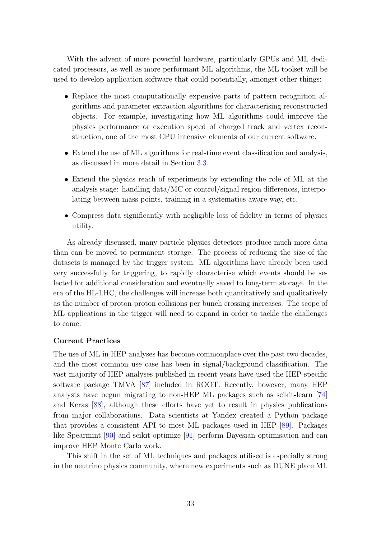With the advent of more powerful hardware, particularly GPUs and ML dedicated processors, as well as more performant ML algorithms, the ML toolset will be used to develop application software that could potentially, amongst other things:

- Replace the most computationally expensive parts of pattern recognition algorithms and parameter extraction algorithms for characterising reconstructed objects. For example, investigating how ML algorithms could improve the physics performance or execution speed of charged track and vertex reconstruction, one of the most CPU intensive elements of our current software.
- Extend the use of ML algorithms for real-time event classification and analysis, as discussed in more detail in Section [3.3.](#page-23-0)
- Extend the physics reach of experiments by extending the role of ML at the analysis stage: handling data/MC or control/signal region differences, interpolating between mass points, training in a systematics-aware way, etc.
- Compress data significantly with negligible loss of fidelity in terms of physics utility.

As already discussed, many particle physics detectors produce much more data than can be moved to permanent storage. The process of reducing the size of the datasets is managed by the trigger system. ML algorithms have already been used very successfully for triggering, to rapidly characterise which events should be selected for additional consideration and eventually saved to long-term storage. In the era of the HL-LHC, the challenges will increase both quantitatively and qualitatively as the number of proton-proton collisions per bunch crossing increases. The scope of ML applications in the trigger will need to expand in order to tackle the challenges to come.

#### Current Practices

The use of ML in HEP analyses has become commonplace over the past two decades, and the most common use case has been in signal/background classification. The vast majority of HEP analyses published in recent years have used the HEP-specific software package TMVA [\[87\]](#page-86-8) included in ROOT. Recently, however, many HEP analysts have begun migrating to non-HEP ML packages such as scikit-learn [\[74\]](#page-85-7) and Keras [\[88\]](#page-86-9), although these efforts have yet to result in physics publications from major collaborations. Data scientists at Yandex created a Python package that provides a consistent API to most ML packages used in HEP [\[89\]](#page-86-10). Packages like Spearmint [\[90\]](#page-86-11) and scikit-optimize [\[91\]](#page-86-12) perform Bayesian optimisation and can improve HEP Monte Carlo work.

This shift in the set of ML techniques and packages utilised is especially strong in the neutrino physics community, where new experiments such as DUNE place ML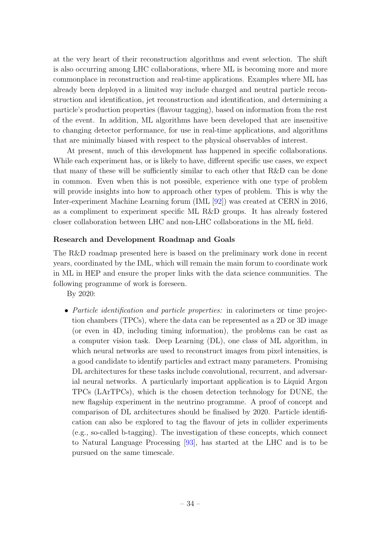at the very heart of their reconstruction algorithms and event selection. The shift is also occurring among LHC collaborations, where ML is becoming more and more commonplace in reconstruction and real-time applications. Examples where ML has already been deployed in a limited way include charged and neutral particle reconstruction and identification, jet reconstruction and identification, and determining a particle's production properties (flavour tagging), based on information from the rest of the event. In addition, ML algorithms have been developed that are insensitive to changing detector performance, for use in real-time applications, and algorithms that are minimally biased with respect to the physical observables of interest.

At present, much of this development has happened in specific collaborations. While each experiment has, or is likely to have, different specific use cases, we expect that many of these will be sufficiently similar to each other that R&D can be done in common. Even when this is not possible, experience with one type of problem will provide insights into how to approach other types of problem. This is why the Inter-experiment Machine Learning forum (IML [\[92\]](#page-86-13)) was created at CERN in 2016, as a compliment to experiment specific ML R&D groups. It has already fostered closer collaboration between LHC and non-LHC collaborations in the ML field.

## Research and Development Roadmap and Goals

The R&D roadmap presented here is based on the preliminary work done in recent years, coordinated by the IML, which will remain the main forum to coordinate work in ML in HEP and ensure the proper links with the data science communities. The following programme of work is foreseen.

By 2020:

• Particle identification and particle properties: in calorimeters or time projection chambers (TPCs), where the data can be represented as a 2D or 3D image (or even in 4D, including timing information), the problems can be cast as a computer vision task. Deep Learning (DL), one class of ML algorithm, in which neural networks are used to reconstruct images from pixel intensities, is a good candidate to identify particles and extract many parameters. Promising DL architectures for these tasks include convolutional, recurrent, and adversarial neural networks. A particularly important application is to Liquid Argon TPCs (LArTPCs), which is the chosen detection technology for DUNE, the new flagship experiment in the neutrino programme. A proof of concept and comparison of DL architectures should be finalised by 2020. Particle identification can also be explored to tag the flavour of jets in collider experiments (e.g., so-called b-tagging). The investigation of these concepts, which connect to Natural Language Processing [\[93\]](#page-86-14), has started at the LHC and is to be pursued on the same timescale.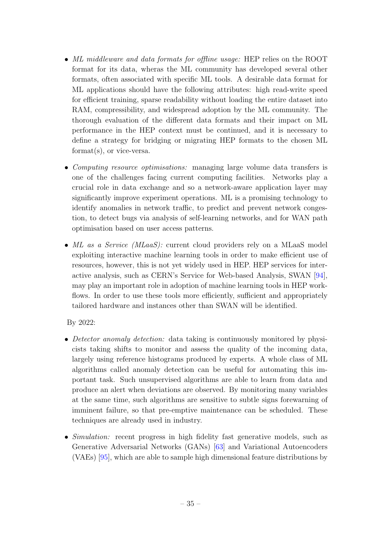- ML middleware and data formats for offline usage: HEP relies on the ROOT format for its data, wheras the ML community has developed several other formats, often associated with specific ML tools. A desirable data format for ML applications should have the following attributes: high read-write speed for efficient training, sparse readability without loading the entire dataset into RAM, compressibility, and widespread adoption by the ML community. The thorough evaluation of the different data formats and their impact on ML performance in the HEP context must be continued, and it is necessary to define a strategy for bridging or migrating HEP formats to the chosen ML format(s), or vice-versa.
- Computing resource optimisations: managing large volume data transfers is one of the challenges facing current computing facilities. Networks play a crucial role in data exchange and so a network-aware application layer may significantly improve experiment operations. ML is a promising technology to identify anomalies in network traffic, to predict and prevent network congestion, to detect bugs via analysis of self-learning networks, and for WAN path optimisation based on user access patterns.
- ML as a Service (MLaaS): current cloud providers rely on a MLaaS model exploiting interactive machine learning tools in order to make efficient use of resources, however, this is not yet widely used in HEP. HEP services for interactive analysis, such as CERN's Service for Web-based Analysis, SWAN [\[94\]](#page-87-0), may play an important role in adoption of machine learning tools in HEP workflows. In order to use these tools more efficiently, sufficient and appropriately tailored hardware and instances other than SWAN will be identified.

By 2022:

- Detector anomaly detection: data taking is continuously monitored by physicists taking shifts to monitor and assess the quality of the incoming data, largely using reference histograms produced by experts. A whole class of ML algorithms called anomaly detection can be useful for automating this important task. Such unsupervised algorithms are able to learn from data and produce an alert when deviations are observed. By monitoring many variables at the same time, such algorithms are sensitive to subtle signs forewarning of imminent failure, so that pre-emptive maintenance can be scheduled. These techniques are already used in industry.
- Simulation: recent progress in high fidelity fast generative models, such as Generative Adversarial Networks (GANs) [\[63\]](#page-84-10) and Variational Autoencoders (VAEs) [\[95\]](#page-87-1), which are able to sample high dimensional feature distributions by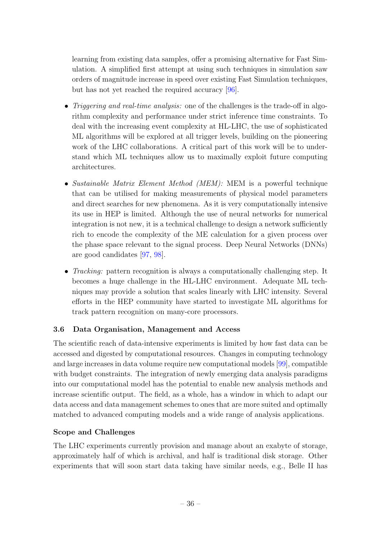learning from existing data samples, offer a promising alternative for Fast Simulation. A simplified first attempt at using such techniques in simulation saw orders of magnitude increase in speed over existing Fast Simulation techniques, but has not yet reached the required accuracy [\[96\]](#page-87-0).

- *Triggering and real-time analysis:* one of the challenges is the trade-off in algorithm complexity and performance under strict inference time constraints. To deal with the increasing event complexity at HL-LHC, the use of sophisticated ML algorithms will be explored at all trigger levels, building on the pioneering work of the LHC collaborations. A critical part of this work will be to understand which ML techniques allow us to maximally exploit future computing architectures.
- Sustainable Matrix Element Method (MEM): MEM is a powerful technique that can be utilised for making measurements of physical model parameters and direct searches for new phenomena. As it is very computationally intensive its use in HEP is limited. Although the use of neural networks for numerical integration is not new, it is a technical challenge to design a network sufficiently rich to encode the complexity of the ME calculation for a given process over the phase space relevant to the signal process. Deep Neural Networks (DNNs) are good candidates [\[97,](#page-87-1) [98\]](#page-87-2).
- *Tracking:* pattern recognition is always a computationally challenging step. It becomes a huge challenge in the HL-LHC environment. Adequate ML techniques may provide a solution that scales linearly with LHC intensity. Several efforts in the HEP community have started to investigate ML algorithms for track pattern recognition on many-core processors.

### <span id="page-36-0"></span>3.6 Data Organisation, Management and Access

The scientific reach of data-intensive experiments is limited by how fast data can be accessed and digested by computational resources. Changes in computing technology and large increases in data volume require new computational models [\[99\]](#page-87-3), compatible with budget constraints. The integration of newly emerging data analysis paradigms into our computational model has the potential to enable new analysis methods and increase scientific output. The field, as a whole, has a window in which to adapt our data access and data management schemes to ones that are more suited and optimally matched to advanced computing models and a wide range of analysis applications.

### Scope and Challenges

The LHC experiments currently provision and manage about an exabyte of storage, approximately half of which is archival, and half is traditional disk storage. Other experiments that will soon start data taking have similar needs, e.g., Belle II has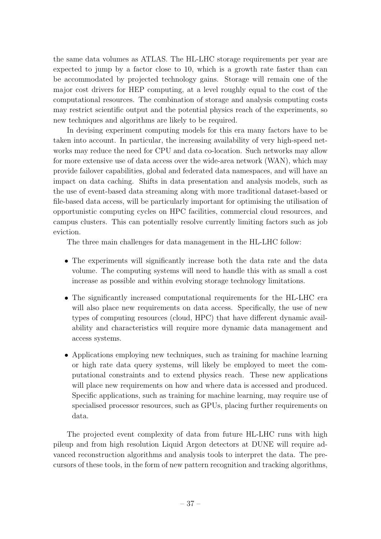the same data volumes as ATLAS. The HL-LHC storage requirements per year are expected to jump by a factor close to 10, which is a growth rate faster than can be accommodated by projected technology gains. Storage will remain one of the major cost drivers for HEP computing, at a level roughly equal to the cost of the computational resources. The combination of storage and analysis computing costs may restrict scientific output and the potential physics reach of the experiments, so new techniques and algorithms are likely to be required.

In devising experiment computing models for this era many factors have to be taken into account. In particular, the increasing availability of very high-speed networks may reduce the need for CPU and data co-location. Such networks may allow for more extensive use of data access over the wide-area network (WAN), which may provide failover capabilities, global and federated data namespaces, and will have an impact on data caching. Shifts in data presentation and analysis models, such as the use of event-based data streaming along with more traditional dataset-based or file-based data access, will be particularly important for optimising the utilisation of opportunistic computing cycles on HPC facilities, commercial cloud resources, and campus clusters. This can potentially resolve currently limiting factors such as job eviction.

The three main challenges for data management in the HL-LHC follow:

- The experiments will significantly increase both the data rate and the data volume. The computing systems will need to handle this with as small a cost increase as possible and within evolving storage technology limitations.
- The significantly increased computational requirements for the HL-LHC era will also place new requirements on data access. Specifically, the use of new types of computing resources (cloud, HPC) that have different dynamic availability and characteristics will require more dynamic data management and access systems.
- Applications employing new techniques, such as training for machine learning or high rate data query systems, will likely be employed to meet the computational constraints and to extend physics reach. These new applications will place new requirements on how and where data is accessed and produced. Specific applications, such as training for machine learning, may require use of specialised processor resources, such as GPUs, placing further requirements on data.

The projected event complexity of data from future HL-LHC runs with high pileup and from high resolution Liquid Argon detectors at DUNE will require advanced reconstruction algorithms and analysis tools to interpret the data. The precursors of these tools, in the form of new pattern recognition and tracking algorithms,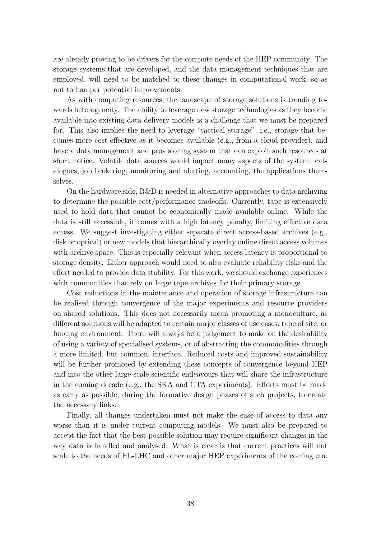are already proving to be drivers for the compute needs of the HEP community. The storage systems that are developed, and the data management techniques that are employed, will need to be matched to these changes in computational work, so as not to hamper potential improvements.

As with computing resources, the landscape of storage solutions is trending towards heterogeneity. The ability to leverage new storage technologies as they become available into existing data delivery models is a challenge that we must be prepared for. This also implies the need to leverage "tactical storage", i.e., storage that becomes more cost-effective as it becomes available (e.g., from a cloud provider), and have a data management and provisioning system that can exploit such resources at short notice. Volatile data sources would impact many aspects of the system: catalogues, job brokering, monitoring and alerting, accounting, the applications themselves.

On the hardware side, R&D is needed in alternative approaches to data archiving to determine the possible cost/performance tradeoffs. Currently, tape is extensively used to hold data that cannot be economically made available online. While the data is still accessible, it comes with a high latency penalty, limiting effective data access. We suggest investigating either separate direct access-based archives (e.g., disk or optical) or new models that hierarchically overlay online direct access volumes with archive space. This is especially relevant when access latency is proportional to storage density. Either approach would need to also evaluate reliability risks and the effort needed to provide data stability. For this work, we should exchange experiences with communities that rely on large tape archives for their primary storage.

Cost reductions in the maintenance and operation of storage infrastructure can be realised through convergence of the major experiments and resource providers on shared solutions. This does not necessarily mean promoting a monoculture, as different solutions will be adapted to certain major classes of use cases, type of site, or funding environment. There will always be a judgement to make on the desirability of using a variety of specialised systems, or of abstracting the commonalities through a more limited, but common, interface. Reduced costs and improved sustainability will be further promoted by extending these concepts of convergence beyond HEP and into the other large-scale scientific endeavours that will share the infrastructure in the coming decade (e.g., the SKA and CTA experiments). Efforts must be made as early as possible, during the formative design phases of such projects, to create the necessary links.

Finally, all changes undertaken must not make the ease of access to data any worse than it is under current computing models. We must also be prepared to accept the fact that the best possible solution may require significant changes in the way data is handled and analysed. What is clear is that current practices will not scale to the needs of HL-LHC and other major HEP experiments of the coming era.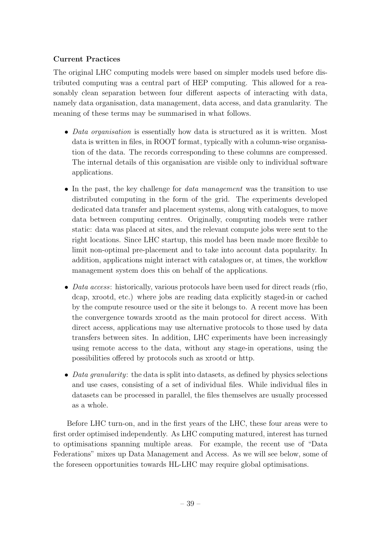## Current Practices

The original LHC computing models were based on simpler models used before distributed computing was a central part of HEP computing. This allowed for a reasonably clean separation between four different aspects of interacting with data, namely data organisation, data management, data access, and data granularity. The meaning of these terms may be summarised in what follows.

- Data organisation is essentially how data is structured as it is written. Most data is written in files, in ROOT format, typically with a column-wise organisation of the data. The records corresponding to these columns are compressed. The internal details of this organisation are visible only to individual software applications.
- In the past, the key challenge for *data management* was the transition to use distributed computing in the form of the grid. The experiments developed dedicated data transfer and placement systems, along with catalogues, to move data between computing centres. Originally, computing models were rather static: data was placed at sites, and the relevant compute jobs were sent to the right locations. Since LHC startup, this model has been made more flexible to limit non-optimal pre-placement and to take into account data popularity. In addition, applications might interact with catalogues or, at times, the workflow management system does this on behalf of the applications.
- Data access: historically, various protocols have been used for direct reads (rfio, dcap, xrootd, etc.) where jobs are reading data explicitly staged-in or cached by the compute resource used or the site it belongs to. A recent move has been the convergence towards xrootd as the main protocol for direct access. With direct access, applications may use alternative protocols to those used by data transfers between sites. In addition, LHC experiments have been increasingly using remote access to the data, without any stage-in operations, using the possibilities offered by protocols such as xrootd or http.
- Data granularity: the data is split into datasets, as defined by physics selections and use cases, consisting of a set of individual files. While individual files in datasets can be processed in parallel, the files themselves are usually processed as a whole.

Before LHC turn-on, and in the first years of the LHC, these four areas were to first order optimised independently. As LHC computing matured, interest has turned to optimisations spanning multiple areas. For example, the recent use of "Data Federations" mixes up Data Management and Access. As we will see below, some of the foreseen opportunities towards HL-LHC may require global optimisations.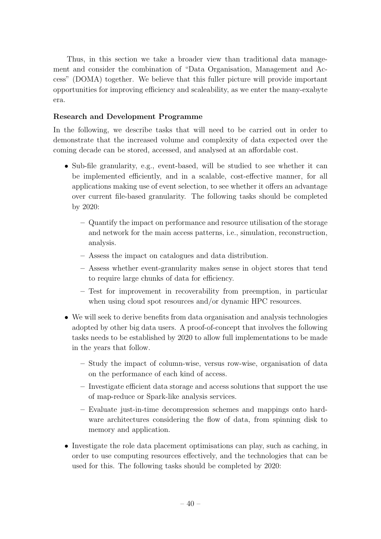Thus, in this section we take a broader view than traditional data management and consider the combination of "Data Organisation, Management and Access" (DOMA) together. We believe that this fuller picture will provide important opportunities for improving efficiency and scaleability, as we enter the many-exabyte era.

## Research and Development Programme

In the following, we describe tasks that will need to be carried out in order to demonstrate that the increased volume and complexity of data expected over the coming decade can be stored, accessed, and analysed at an affordable cost.

- Sub-file granularity, e.g., event-based, will be studied to see whether it can be implemented efficiently, and in a scalable, cost-effective manner, for all applications making use of event selection, to see whether it offers an advantage over current file-based granularity. The following tasks should be completed by 2020:
	- Quantify the impact on performance and resource utilisation of the storage and network for the main access patterns, i.e., simulation, reconstruction, analysis.
	- Assess the impact on catalogues and data distribution.
	- Assess whether event-granularity makes sense in object stores that tend to require large chunks of data for efficiency.
	- Test for improvement in recoverability from preemption, in particular when using cloud spot resources and/or dynamic HPC resources.
- We will seek to derive benefits from data organisation and analysis technologies adopted by other big data users. A proof-of-concept that involves the following tasks needs to be established by 2020 to allow full implementations to be made in the years that follow.
	- Study the impact of column-wise, versus row-wise, organisation of data on the performance of each kind of access.
	- Investigate efficient data storage and access solutions that support the use of map-reduce or Spark-like analysis services.
	- Evaluate just-in-time decompression schemes and mappings onto hardware architectures considering the flow of data, from spinning disk to memory and application.
- Investigate the role data placement optimisations can play, such as caching, in order to use computing resources effectively, and the technologies that can be used for this. The following tasks should be completed by 2020: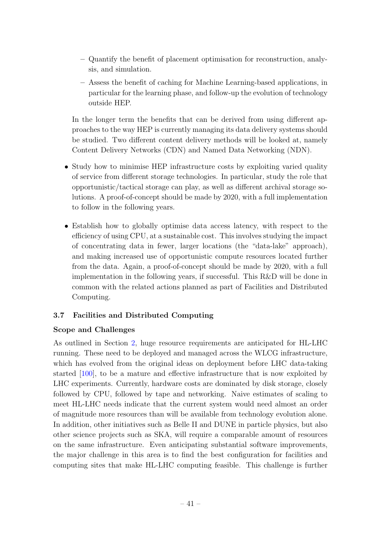- Quantify the benefit of placement optimisation for reconstruction, analysis, and simulation.
- Assess the benefit of caching for Machine Learning-based applications, in particular for the learning phase, and follow-up the evolution of technology outside HEP.

In the longer term the benefits that can be derived from using different approaches to the way HEP is currently managing its data delivery systems should be studied. Two different content delivery methods will be looked at, namely Content Delivery Networks (CDN) and Named Data Networking (NDN).

- Study how to minimise HEP infrastructure costs by exploiting varied quality of service from different storage technologies. In particular, study the role that opportunistic/tactical storage can play, as well as different archival storage solutions. A proof-of-concept should be made by 2020, with a full implementation to follow in the following years.
- Establish how to globally optimise data access latency, with respect to the efficiency of using CPU, at a sustainable cost. This involves studying the impact of concentrating data in fewer, larger locations (the "data-lake" approach), and making increased use of opportunistic compute resources located further from the data. Again, a proof-of-concept should be made by 2020, with a full implementation in the following years, if successful. This R&D will be done in common with the related actions planned as part of Facilities and Distributed Computing.

## 3.7 Facilities and Distributed Computing

## Scope and Challenges

As outlined in Section [2,](#page-5-0) huge resource requirements are anticipated for HL-LHC running. These need to be deployed and managed across the WLCG infrastructure, which has evolved from the original ideas on deployment before LHC data-taking started [\[100\]](#page-87-4), to be a mature and effective infrastructure that is now exploited by LHC experiments. Currently, hardware costs are dominated by disk storage, closely followed by CPU, followed by tape and networking. Naive estimates of scaling to meet HL-LHC needs indicate that the current system would need almost an order of magnitude more resources than will be available from technology evolution alone. In addition, other initiatives such as Belle II and DUNE in particle physics, but also other science projects such as SKA, will require a comparable amount of resources on the same infrastructure. Even anticipating substantial software improvements, the major challenge in this area is to find the best configuration for facilities and computing sites that make HL-LHC computing feasible. This challenge is further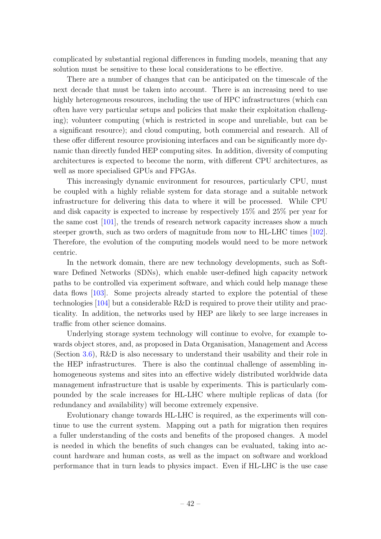complicated by substantial regional differences in funding models, meaning that any solution must be sensitive to these local considerations to be effective.

There are a number of changes that can be anticipated on the timescale of the next decade that must be taken into account. There is an increasing need to use highly heterogeneous resources, including the use of HPC infrastructures (which can often have very particular setups and policies that make their exploitation challenging); volunteer computing (which is restricted in scope and unreliable, but can be a significant resource); and cloud computing, both commercial and research. All of these offer different resource provisioning interfaces and can be significantly more dynamic than directly funded HEP computing sites. In addition, diversity of computing architectures is expected to become the norm, with different CPU architectures, as well as more specialised GPUs and FPGAs.

This increasingly dynamic environment for resources, particularly CPU, must be coupled with a highly reliable system for data storage and a suitable network infrastructure for delivering this data to where it will be processed. While CPU and disk capacity is expected to increase by respectively 15% and 25% per year for the same cost  $[101]$ , the trends of research network capacity increases show a much steeper growth, such as two orders of magnitude from now to HL-LHC times [\[102\]](#page-87-6). Therefore, the evolution of the computing models would need to be more network centric.

In the network domain, there are new technology developments, such as Software Defined Networks (SDNs), which enable user-defined high capacity network paths to be controlled via experiment software, and which could help manage these data flows [\[103\]](#page-87-7). Some projects already started to explore the potential of these technologies [\[104\]](#page-87-8) but a considerable R&D is required to prove their utility and practicality. In addition, the networks used by HEP are likely to see large increases in traffic from other science domains.

Underlying storage system technology will continue to evolve, for example towards object stores, and, as proposed in Data Organisation, Management and Access (Section [3.6\)](#page-36-0), R&D is also necessary to understand their usability and their role in the HEP infrastructures. There is also the continual challenge of assembling inhomogeneous systems and sites into an effective widely distributed worldwide data management infrastructure that is usable by experiments. This is particularly compounded by the scale increases for HL-LHC where multiple replicas of data (for redundancy and availability) will become extremely expensive.

Evolutionary change towards HL-LHC is required, as the experiments will continue to use the current system. Mapping out a path for migration then requires a fuller understanding of the costs and benefits of the proposed changes. A model is needed in which the benefits of such changes can be evaluated, taking into account hardware and human costs, as well as the impact on software and workload performance that in turn leads to physics impact. Even if HL-LHC is the use case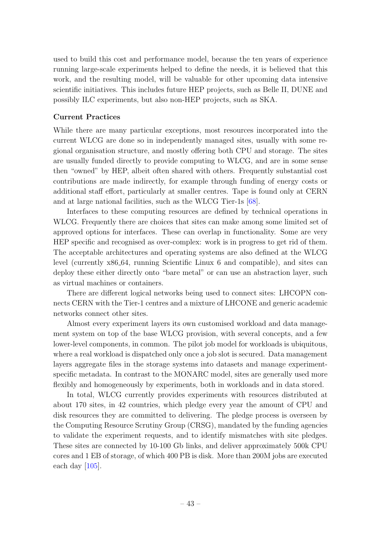used to build this cost and performance model, because the ten years of experience running large-scale experiments helped to define the needs, it is believed that this work, and the resulting model, will be valuable for other upcoming data intensive scientific initiatives. This includes future HEP projects, such as Belle II, DUNE and possibly ILC experiments, but also non-HEP projects, such as SKA.

### Current Practices

While there are many particular exceptions, most resources incorporated into the current WLCG are done so in independently managed sites, usually with some regional organisation structure, and mostly offering both CPU and storage. The sites are usually funded directly to provide computing to WLCG, and are in some sense then "owned" by HEP, albeit often shared with others. Frequently substantial cost contributions are made indirectly, for example through funding of energy costs or additional staff effort, particularly at smaller centres. Tape is found only at CERN and at large national facilities, such as the WLCG Tier-1s [\[68\]](#page-85-0).

Interfaces to these computing resources are defined by technical operations in WLCG. Frequently there are choices that sites can make among some limited set of approved options for interfaces. These can overlap in functionality. Some are very HEP specific and recognised as over-complex: work is in progress to get rid of them. The acceptable architectures and operating systems are also defined at the WLCG level (currently x86 64, running Scientific Linux 6 and compatible), and sites can deploy these either directly onto "bare metal" or can use an abstraction layer, such as virtual machines or containers.

There are different logical networks being used to connect sites: LHCOPN connects CERN with the Tier-1 centres and a mixture of LHCONE and generic academic networks connect other sites.

Almost every experiment layers its own customised workload and data management system on top of the base WLCG provision, with several concepts, and a few lower-level components, in common. The pilot job model for workloads is ubiquitous, where a real workload is dispatched only once a job slot is secured. Data management layers aggregate files in the storage systems into datasets and manage experimentspecific metadata. In contrast to the MONARC model, sites are generally used more flexibly and homogeneously by experiments, both in workloads and in data stored.

In total, WLCG currently provides experiments with resources distributed at about 170 sites, in 42 countries, which pledge every year the amount of CPU and disk resources they are committed to delivering. The pledge process is overseen by the Computing Resource Scrutiny Group (CRSG), mandated by the funding agencies to validate the experiment requests, and to identify mismatches with site pledges. These sites are connected by 10-100 Gb links, and deliver approximately 500k CPU cores and 1 EB of storage, of which 400 PB is disk. More than 200M jobs are executed each day [\[105\]](#page-88-0).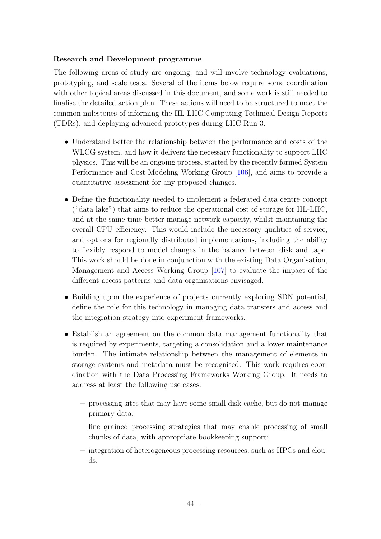### Research and Development programme

The following areas of study are ongoing, and will involve technology evaluations, prototyping, and scale tests. Several of the items below require some coordination with other topical areas discussed in this document, and some work is still needed to finalise the detailed action plan. These actions will need to be structured to meet the common milestones of informing the HL-LHC Computing Technical Design Reports (TDRs), and deploying advanced prototypes during LHC Run 3.

- Understand better the relationship between the performance and costs of the WLCG system, and how it delivers the necessary functionality to support LHC physics. This will be an ongoing process, started by the recently formed System Performance and Cost Modeling Working Group [\[106\]](#page-88-1), and aims to provide a quantitative assessment for any proposed changes.
- Define the functionality needed to implement a federated data centre concept ("data lake") that aims to reduce the operational cost of storage for HL-LHC, and at the same time better manage network capacity, whilst maintaining the overall CPU efficiency. This would include the necessary qualities of service, and options for regionally distributed implementations, including the ability to flexibly respond to model changes in the balance between disk and tape. This work should be done in conjunction with the existing Data Organisation, Management and Access Working Group [\[107\]](#page-88-2) to evaluate the impact of the different access patterns and data organisations envisaged.
- Building upon the experience of projects currently exploring SDN potential, define the role for this technology in managing data transfers and access and the integration strategy into experiment frameworks.
- Establish an agreement on the common data management functionality that is required by experiments, targeting a consolidation and a lower maintenance burden. The intimate relationship between the management of elements in storage systems and metadata must be recognised. This work requires coordination with the Data Processing Frameworks Working Group. It needs to address at least the following use cases:
	- processing sites that may have some small disk cache, but do not manage primary data;
	- fine grained processing strategies that may enable processing of small chunks of data, with appropriate bookkeeping support;
	- integration of heterogeneous processing resources, such as HPCs and clouds.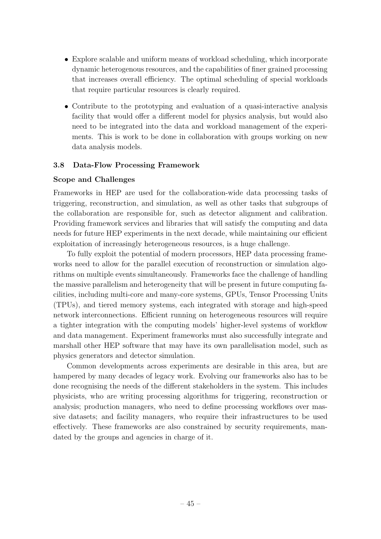- Explore scalable and uniform means of workload scheduling, which incorporate dynamic heterogenous resources, and the capabilities of finer grained processing that increases overall efficiency. The optimal scheduling of special workloads that require particular resources is clearly required.
- Contribute to the prototyping and evaluation of a quasi-interactive analysis facility that would offer a different model for physics analysis, but would also need to be integrated into the data and workload management of the experiments. This is work to be done in collaboration with groups working on new data analysis models.

### 3.8 Data-Flow Processing Framework

### Scope and Challenges

Frameworks in HEP are used for the collaboration-wide data processing tasks of triggering, reconstruction, and simulation, as well as other tasks that subgroups of the collaboration are responsible for, such as detector alignment and calibration. Providing framework services and libraries that will satisfy the computing and data needs for future HEP experiments in the next decade, while maintaining our efficient exploitation of increasingly heterogeneous resources, is a huge challenge.

To fully exploit the potential of modern processors, HEP data processing frameworks need to allow for the parallel execution of reconstruction or simulation algorithms on multiple events simultaneously. Frameworks face the challenge of handling the massive parallelism and heterogeneity that will be present in future computing facilities, including multi-core and many-core systems, GPUs, Tensor Processing Units (TPUs), and tiered memory systems, each integrated with storage and high-speed network interconnections. Efficient running on heterogeneous resources will require a tighter integration with the computing models' higher-level systems of workflow and data management. Experiment frameworks must also successfully integrate and marshall other HEP software that may have its own parallelisation model, such as physics generators and detector simulation.

Common developments across experiments are desirable in this area, but are hampered by many decades of legacy work. Evolving our frameworks also has to be done recognising the needs of the different stakeholders in the system. This includes physicists, who are writing processing algorithms for triggering, reconstruction or analysis; production managers, who need to define processing workflows over massive datasets; and facility managers, who require their infrastructures to be used effectively. These frameworks are also constrained by security requirements, mandated by the groups and agencies in charge of it.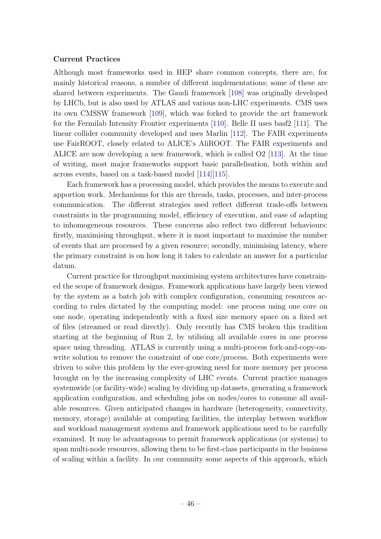#### Current Practices

Although most frameworks used in HEP share common concepts, there are, for mainly historical reasons, a number of different implementations; some of these are shared between experiments. The Gaudi framework [\[108\]](#page-88-3) was originally developed by LHCb, but is also used by ATLAS and various non-LHC experiments. CMS uses its own CMSSW framework [\[109\]](#page-88-4), which was forked to provide the art framework for the Fermilab Intensity Frontier experiments [\[110\]](#page-88-5). Belle II uses basf2 [\[111\]](#page-88-6). The linear collider community developed and uses Marlin [\[112\]](#page-88-7). The FAIR experiments use FairROOT, closely related to ALICE's AliROOT. The FAIR experiments and ALICE are now developing a new framework, which is called O2 [\[113\]](#page-88-8). At the time of writing, most major frameworks support basic parallelisation, both within and across events, based on a task-based model [\[114\]](#page-88-9)[\[115\]](#page-88-10).

Each framework has a processing model, which provides the means to execute and apportion work. Mechanisms for this are threads, tasks, processes, and inter-process communication. The different strategies used reflect different trade-offs between constraints in the programming model, efficiency of execution, and ease of adapting to inhomogeneous resources. These concerns also reflect two different behaviours: firstly, maximising throughput, where it is most important to maximise the number of events that are processed by a given resource; secondly, minimising latency, where the primary constraint is on how long it takes to calculate an answer for a particular datum.

Current practice for throughput maximising system architectures have constrained the scope of framework designs. Framework applications have largely been viewed by the system as a batch job with complex configuration, consuming resources according to rules dictated by the computing model: one process using one core on one node, operating independently with a fixed size memory space on a fixed set of files (streamed or read directly). Only recently has CMS broken this tradition starting at the beginning of Run 2, by utilising all available cores in one process space using threading. ATLAS is currently using a multi-process fork-and-copy-onwrite solution to remove the constraint of one core/process. Both experiments were driven to solve this problem by the ever-growing need for more memory per process brought on by the increasing complexity of LHC events. Current practice manages systemwide (or facility-wide) scaling by dividing up datasets, generating a framework application configuration, and scheduling jobs on nodes/cores to consume all available resources. Given anticipated changes in hardware (heterogeneity, connectivity, memory, storage) available at computing facilities, the interplay between workflow and workload management systems and framework applications need to be carefully examined. It may be advantageous to permit framework applications (or systems) to span multi-node resources, allowing them to be first-class participants in the business of scaling within a facility. In our community some aspects of this approach, which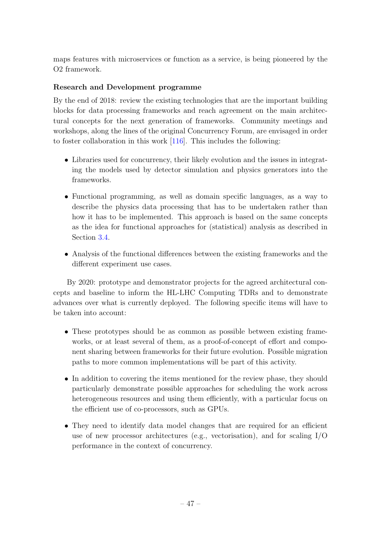maps features with microservices or function as a service, is being pioneered by the O2 framework.

## Research and Development programme

By the end of 2018: review the existing technologies that are the important building blocks for data processing frameworks and reach agreement on the main architectural concepts for the next generation of frameworks. Community meetings and workshops, along the lines of the original Concurrency Forum, are envisaged in order to foster collaboration in this work [\[116\]](#page-88-11). This includes the following:

- Libraries used for concurrency, their likely evolution and the issues in integrating the models used by detector simulation and physics generators into the frameworks.
- Functional programming, as well as domain specific languages, as a way to describe the physics data processing that has to be undertaken rather than how it has to be implemented. This approach is based on the same concepts as the idea for functional approaches for (statistical) analysis as described in Section [3.4.](#page-27-0)
- Analysis of the functional differences between the existing frameworks and the different experiment use cases.

By 2020: prototype and demonstrator projects for the agreed architectural concepts and baseline to inform the HL-LHC Computing TDRs and to demonstrate advances over what is currently deployed. The following specific items will have to be taken into account:

- These prototypes should be as common as possible between existing frameworks, or at least several of them, as a proof-of-concept of effort and component sharing between frameworks for their future evolution. Possible migration paths to more common implementations will be part of this activity.
- In addition to covering the items mentioned for the review phase, they should particularly demonstrate possible approaches for scheduling the work across heterogeneous resources and using them efficiently, with a particular focus on the efficient use of co-processors, such as GPUs.
- They need to identify data model changes that are required for an efficient use of new processor architectures (e.g., vectorisation), and for scaling  $I/O$ performance in the context of concurrency.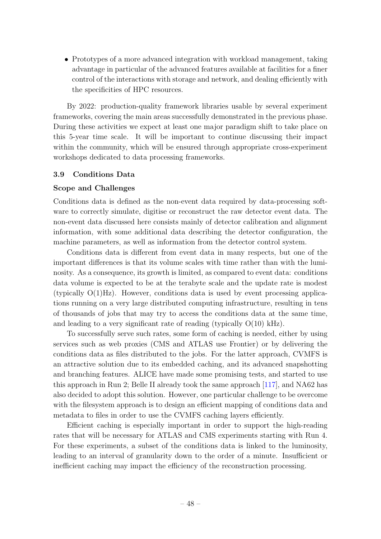• Prototypes of a more advanced integration with workload management, taking advantage in particular of the advanced features available at facilities for a finer control of the interactions with storage and network, and dealing efficiently with the specificities of HPC resources.

By 2022: production-quality framework libraries usable by several experiment frameworks, covering the main areas successfully demonstrated in the previous phase. During these activities we expect at least one major paradigm shift to take place on this 5-year time scale. It will be important to continue discussing their impact within the community, which will be ensured through appropriate cross-experiment workshops dedicated to data processing frameworks.

### 3.9 Conditions Data

#### Scope and Challenges

Conditions data is defined as the non-event data required by data-processing software to correctly simulate, digitise or reconstruct the raw detector event data. The non-event data discussed here consists mainly of detector calibration and alignment information, with some additional data describing the detector configuration, the machine parameters, as well as information from the detector control system.

Conditions data is different from event data in many respects, but one of the important differences is that its volume scales with time rather than with the luminosity. As a consequence, its growth is limited, as compared to event data: conditions data volume is expected to be at the terabyte scale and the update rate is modest (typically  $O(1)Hz$ ). However, conditions data is used by event processing applications running on a very large distributed computing infrastructure, resulting in tens of thousands of jobs that may try to access the conditions data at the same time, and leading to a very significant rate of reading (typically O(10) kHz).

To successfully serve such rates, some form of caching is needed, either by using services such as web proxies (CMS and ATLAS use Frontier) or by delivering the conditions data as files distributed to the jobs. For the latter approach, CVMFS is an attractive solution due to its embedded caching, and its advanced snapshotting and branching features. ALICE have made some promising tests, and started to use this approach in Run 2; Belle II already took the same approach [\[117\]](#page-88-12), and NA62 has also decided to adopt this solution. However, one particular challenge to be overcome with the filesystem approach is to design an efficient mapping of conditions data and metadata to files in order to use the CVMFS caching layers efficiently.

Efficient caching is especially important in order to support the high-reading rates that will be necessary for ATLAS and CMS experiments starting with Run 4. For these experiments, a subset of the conditions data is linked to the luminosity, leading to an interval of granularity down to the order of a minute. Insufficient or inefficient caching may impact the efficiency of the reconstruction processing.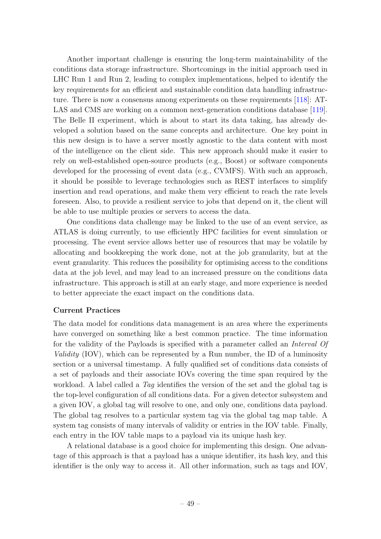Another important challenge is ensuring the long-term maintainability of the conditions data storage infrastructure. Shortcomings in the initial approach used in LHC Run 1 and Run 2, leading to complex implementations, helped to identify the key requirements for an efficient and sustainable condition data handling infrastructure. There is now a consensus among experiments on these requirements [\[118\]](#page-89-0): AT-LAS and CMS are working on a common next-generation conditions database [\[119\]](#page-89-1). The Belle II experiment, which is about to start its data taking, has already developed a solution based on the same concepts and architecture. One key point in this new design is to have a server mostly agnostic to the data content with most of the intelligence on the client side. This new approach should make it easier to rely on well-established open-source products (e.g., Boost) or software components developed for the processing of event data (e.g., CVMFS). With such an approach, it should be possible to leverage technologies such as REST interfaces to simplify insertion and read operations, and make them very efficient to reach the rate levels foreseen. Also, to provide a resilient service to jobs that depend on it, the client will be able to use multiple proxies or servers to access the data.

One conditions data challenge may be linked to the use of an event service, as ATLAS is doing currently, to use efficiently HPC facilities for event simulation or processing. The event service allows better use of resources that may be volatile by allocating and bookkeeping the work done, not at the job granularity, but at the event granularity. This reduces the possibility for optimising access to the conditions data at the job level, and may lead to an increased pressure on the conditions data infrastructure. This approach is still at an early stage, and more experience is needed to better appreciate the exact impact on the conditions data.

### Current Practices

The data model for conditions data management is an area where the experiments have converged on something like a best common practice. The time information for the validity of the Payloads is specified with a parameter called an Interval Of Validity (IOV), which can be represented by a Run number, the ID of a luminosity section or a universal timestamp. A fully qualified set of conditions data consists of a set of payloads and their associate IOVs covering the time span required by the workload. A label called a Tag identifies the version of the set and the global tag is the top-level configuration of all conditions data. For a given detector subsystem and a given IOV, a global tag will resolve to one, and only one, conditions data payload. The global tag resolves to a particular system tag via the global tag map table. A system tag consists of many intervals of validity or entries in the IOV table. Finally, each entry in the IOV table maps to a payload via its unique hash key.

A relational database is a good choice for implementing this design. One advantage of this approach is that a payload has a unique identifier, its hash key, and this identifier is the only way to access it. All other information, such as tags and IOV,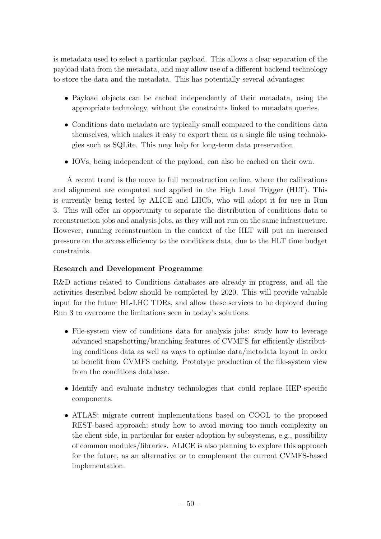is metadata used to select a particular payload. This allows a clear separation of the payload data from the metadata, and may allow use of a different backend technology to store the data and the metadata. This has potentially several advantages:

- Payload objects can be cached independently of their metadata, using the appropriate technology, without the constraints linked to metadata queries.
- Conditions data metadata are typically small compared to the conditions data themselves, which makes it easy to export them as a single file using technologies such as SQLite. This may help for long-term data preservation.
- IOVs, being independent of the payload, can also be cached on their own.

A recent trend is the move to full reconstruction online, where the calibrations and alignment are computed and applied in the High Level Trigger (HLT). This is currently being tested by ALICE and LHCb, who will adopt it for use in Run 3. This will offer an opportunity to separate the distribution of conditions data to reconstruction jobs and analysis jobs, as they will not run on the same infrastructure. However, running reconstruction in the context of the HLT will put an increased pressure on the access efficiency to the conditions data, due to the HLT time budget constraints.

## Research and Development Programme

R&D actions related to Conditions databases are already in progress, and all the activities described below should be completed by 2020. This will provide valuable input for the future HL-LHC TDRs, and allow these services to be deployed during Run 3 to overcome the limitations seen in today's solutions.

- File-system view of conditions data for analysis jobs: study how to leverage advanced snapshotting/branching features of CVMFS for efficiently distributing conditions data as well as ways to optimise data/metadata layout in order to benefit from CVMFS caching. Prototype production of the file-system view from the conditions database.
- Identify and evaluate industry technologies that could replace HEP-specific components.
- ATLAS: migrate current implementations based on COOL to the proposed REST-based approach; study how to avoid moving too much complexity on the client side, in particular for easier adoption by subsystems, e.g., possibility of common modules/libraries. ALICE is also planning to explore this approach for the future, as an alternative or to complement the current CVMFS-based implementation.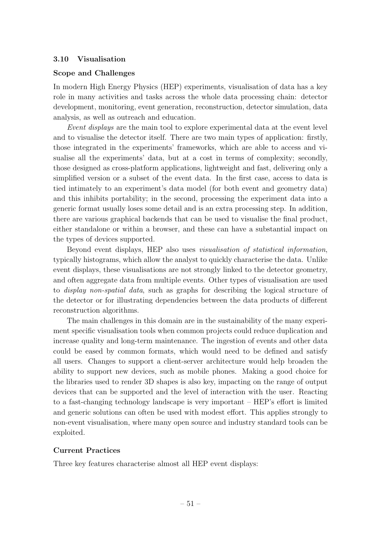### 3.10 Visualisation

### Scope and Challenges

In modern High Energy Physics (HEP) experiments, visualisation of data has a key role in many activities and tasks across the whole data processing chain: detector development, monitoring, event generation, reconstruction, detector simulation, data analysis, as well as outreach and education.

Event displays are the main tool to explore experimental data at the event level and to visualise the detector itself. There are two main types of application: firstly, those integrated in the experiments' frameworks, which are able to access and visualise all the experiments' data, but at a cost in terms of complexity; secondly, those designed as cross-platform applications, lightweight and fast, delivering only a simplified version or a subset of the event data. In the first case, access to data is tied intimately to an experiment's data model (for both event and geometry data) and this inhibits portability; in the second, processing the experiment data into a generic format usually loses some detail and is an extra processing step. In addition, there are various graphical backends that can be used to visualise the final product, either standalone or within a browser, and these can have a substantial impact on the types of devices supported.

Beyond event displays, HEP also uses visualisation of statistical information, typically histograms, which allow the analyst to quickly characterise the data. Unlike event displays, these visualisations are not strongly linked to the detector geometry, and often aggregate data from multiple events. Other types of visualisation are used to display non-spatial data, such as graphs for describing the logical structure of the detector or for illustrating dependencies between the data products of different reconstruction algorithms.

The main challenges in this domain are in the sustainability of the many experiment specific visualisation tools when common projects could reduce duplication and increase quality and long-term maintenance. The ingestion of events and other data could be eased by common formats, which would need to be defined and satisfy all users. Changes to support a client-server architecture would help broaden the ability to support new devices, such as mobile phones. Making a good choice for the libraries used to render 3D shapes is also key, impacting on the range of output devices that can be supported and the level of interaction with the user. Reacting to a fast-changing technology landscape is very important – HEP's effort is limited and generic solutions can often be used with modest effort. This applies strongly to non-event visualisation, where many open source and industry standard tools can be exploited.

### Current Practices

Three key features characterise almost all HEP event displays: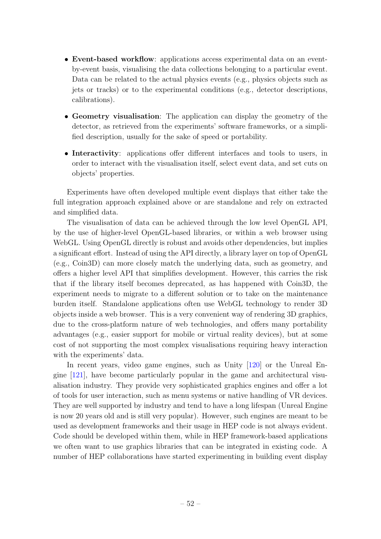- Event-based workflow: applications access experimental data on an eventby-event basis, visualising the data collections belonging to a particular event. Data can be related to the actual physics events (e.g., physics objects such as jets or tracks) or to the experimental conditions (e.g., detector descriptions, calibrations).
- Geometry visualisation: The application can display the geometry of the detector, as retrieved from the experiments' software frameworks, or a simplified description, usually for the sake of speed or portability.
- Interactivity: applications offer different interfaces and tools to users, in order to interact with the visualisation itself, select event data, and set cuts on objects' properties.

Experiments have often developed multiple event displays that either take the full integration approach explained above or are standalone and rely on extracted and simplified data.

The visualisation of data can be achieved through the low level OpenGL API, by the use of higher-level OpenGL-based libraries, or within a web browser using WebGL. Using OpenGL directly is robust and avoids other dependencies, but implies a significant effort. Instead of using the API directly, a library layer on top of OpenGL (e.g., Coin3D) can more closely match the underlying data, such as geometry, and offers a higher level API that simplifies development. However, this carries the risk that if the library itself becomes deprecated, as has happened with Coin3D, the experiment needs to migrate to a different solution or to take on the maintenance burden itself. Standalone applications often use WebGL technology to render 3D objects inside a web browser. This is a very convenient way of rendering 3D graphics, due to the cross-platform nature of web technologies, and offers many portability advantages (e.g., easier support for mobile or virtual reality devices), but at some cost of not supporting the most complex visualisations requiring heavy interaction with the experiments' data.

In recent years, video game engines, such as Unity [\[120\]](#page-89-2) or the Unreal Engine [\[121\]](#page-89-3), have become particularly popular in the game and architectural visualisation industry. They provide very sophisticated graphics engines and offer a lot of tools for user interaction, such as menu systems or native handling of VR devices. They are well supported by industry and tend to have a long lifespan (Unreal Engine is now 20 years old and is still very popular). However, such engines are meant to be used as development frameworks and their usage in HEP code is not always evident. Code should be developed within them, while in HEP framework-based applications we often want to use graphics libraries that can be integrated in existing code. A number of HEP collaborations have started experimenting in building event display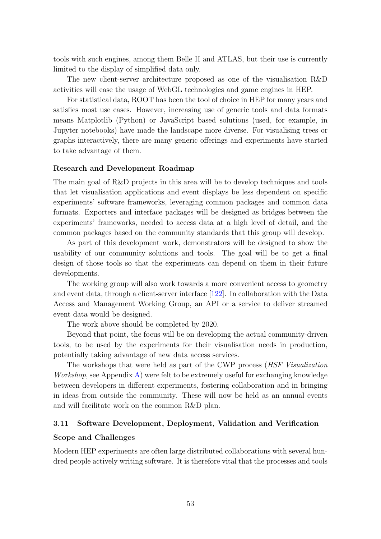tools with such engines, among them Belle II and ATLAS, but their use is currently limited to the display of simplified data only.

The new client-server architecture proposed as one of the visualisation R&D activities will ease the usage of WebGL technologies and game engines in HEP.

For statistical data, ROOT has been the tool of choice in HEP for many years and satisfies most use cases. However, increasing use of generic tools and data formats means Matplotlib (Python) or JavaScript based solutions (used, for example, in Jupyter notebooks) have made the landscape more diverse. For visualising trees or graphs interactively, there are many generic offerings and experiments have started to take advantage of them.

#### Research and Development Roadmap

The main goal of R&D projects in this area will be to develop techniques and tools that let visualisation applications and event displays be less dependent on specific experiments' software frameworks, leveraging common packages and common data formats. Exporters and interface packages will be designed as bridges between the experiments' frameworks, needed to access data at a high level of detail, and the common packages based on the community standards that this group will develop.

As part of this development work, demonstrators will be designed to show the usability of our community solutions and tools. The goal will be to get a final design of those tools so that the experiments can depend on them in their future developments.

The working group will also work towards a more convenient access to geometry and event data, through a client-server interface [\[122\]](#page-89-4). In collaboration with the Data Access and Management Working Group, an API or a service to deliver streamed event data would be designed.

The work above should be completed by 2020.

Beyond that point, the focus will be on developing the actual community-driven tools, to be used by the experiments for their visualisation needs in production, potentially taking advantage of new data access services.

The workshops that were held as part of the CWP process (HSF Visualization Workshop, see Appendix [A\)](#page-72-0) were felt to be extremely useful for exchanging knowledge between developers in different experiments, fostering collaboration and in bringing in ideas from outside the community. These will now be held as an annual events and will facilitate work on the common R&D plan.

### <span id="page-53-0"></span>3.11 Software Development, Deployment, Validation and Verification

#### Scope and Challenges

Modern HEP experiments are often large distributed collaborations with several hundred people actively writing software. It is therefore vital that the processes and tools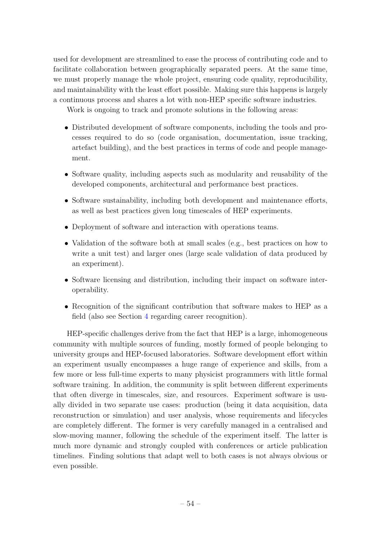used for development are streamlined to ease the process of contributing code and to facilitate collaboration between geographically separated peers. At the same time, we must properly manage the whole project, ensuring code quality, reproducibility, and maintainability with the least effort possible. Making sure this happens is largely a continuous process and shares a lot with non-HEP specific software industries.

Work is ongoing to track and promote solutions in the following areas:

- Distributed development of software components, including the tools and processes required to do so (code organisation, documentation, issue tracking, artefact building), and the best practices in terms of code and people management.
- Software quality, including aspects such as modularity and reusability of the developed components, architectural and performance best practices.
- Software sustainability, including both development and maintenance efforts, as well as best practices given long timescales of HEP experiments.
- Deployment of software and interaction with operations teams.
- Validation of the software both at small scales (e.g., best practices on how to write a unit test) and larger ones (large scale validation of data produced by an experiment).
- Software licensing and distribution, including their impact on software interoperability.
- Recognition of the significant contribution that software makes to HEP as a field (also see Section [4](#page-65-0) regarding career recognition).

HEP-specific challenges derive from the fact that HEP is a large, inhomogeneous community with multiple sources of funding, mostly formed of people belonging to university groups and HEP-focused laboratories. Software development effort within an experiment usually encompasses a huge range of experience and skills, from a few more or less full-time experts to many physicist programmers with little formal software training. In addition, the community is split between different experiments that often diverge in timescales, size, and resources. Experiment software is usually divided in two separate use cases: production (being it data acquisition, data reconstruction or simulation) and user analysis, whose requirements and lifecycles are completely different. The former is very carefully managed in a centralised and slow-moving manner, following the schedule of the experiment itself. The latter is much more dynamic and strongly coupled with conferences or article publication timelines. Finding solutions that adapt well to both cases is not always obvious or even possible.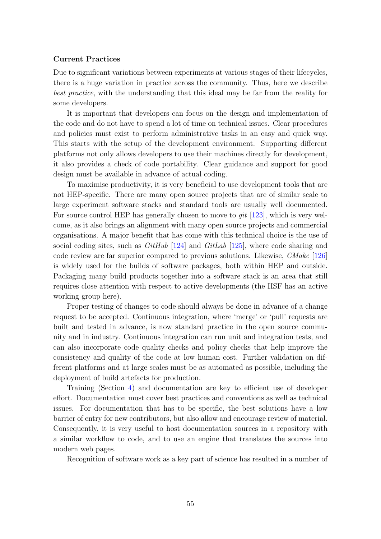#### Current Practices

Due to significant variations between experiments at various stages of their lifecycles, there is a huge variation in practice across the community. Thus, here we describe best practice, with the understanding that this ideal may be far from the reality for some developers.

It is important that developers can focus on the design and implementation of the code and do not have to spend a lot of time on technical issues. Clear procedures and policies must exist to perform administrative tasks in an easy and quick way. This starts with the setup of the development environment. Supporting different platforms not only allows developers to use their machines directly for development, it also provides a check of code portability. Clear guidance and support for good design must be available in advance of actual coding.

To maximise productivity, it is very beneficial to use development tools that are not HEP-specific. There are many open source projects that are of similar scale to large experiment software stacks and standard tools are usually well documented. For source control HEP has generally chosen to move to *qit* [\[123\]](#page-89-5), which is very welcome, as it also brings an alignment with many open source projects and commercial organisations. A major benefit that has come with this technical choice is the use of social coding sites, such as  $GitHub$  [\[124\]](#page-89-6) and  $GitLab$  [\[125\]](#page-89-7), where code sharing and code review are far superior compared to previous solutions. Likewise, CMake [\[126\]](#page-89-8) is widely used for the builds of software packages, both within HEP and outside. Packaging many build products together into a software stack is an area that still requires close attention with respect to active developments (the HSF has an active working group here).

Proper testing of changes to code should always be done in advance of a change request to be accepted. Continuous integration, where 'merge' or 'pull' requests are built and tested in advance, is now standard practice in the open source community and in industry. Continuous integration can run unit and integration tests, and can also incorporate code quality checks and policy checks that help improve the consistency and quality of the code at low human cost. Further validation on different platforms and at large scales must be as automated as possible, including the deployment of build artefacts for production.

Training (Section [4\)](#page-65-0) and documentation are key to efficient use of developer effort. Documentation must cover best practices and conventions as well as technical issues. For documentation that has to be specific, the best solutions have a low barrier of entry for new contributors, but also allow and encourage review of material. Consequently, it is very useful to host documentation sources in a repository with a similar workflow to code, and to use an engine that translates the sources into modern web pages.

Recognition of software work as a key part of science has resulted in a number of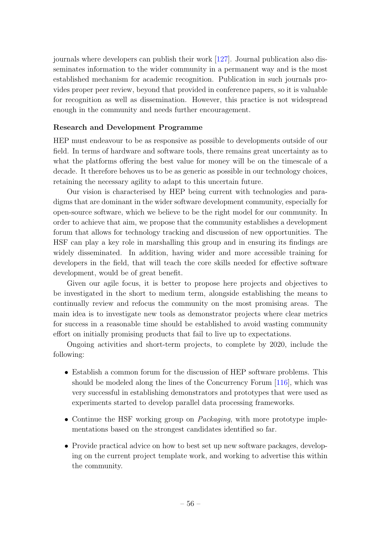journals where developers can publish their work [\[127\]](#page-89-9). Journal publication also disseminates information to the wider community in a permanent way and is the most established mechanism for academic recognition. Publication in such journals provides proper peer review, beyond that provided in conference papers, so it is valuable for recognition as well as dissemination. However, this practice is not widespread enough in the community and needs further encouragement.

### Research and Development Programme

HEP must endeavour to be as responsive as possible to developments outside of our field. In terms of hardware and software tools, there remains great uncertainty as to what the platforms offering the best value for money will be on the timescale of a decade. It therefore behoves us to be as generic as possible in our technology choices, retaining the necessary agility to adapt to this uncertain future.

Our vision is characterised by HEP being current with technologies and paradigms that are dominant in the wider software development community, especially for open-source software, which we believe to be the right model for our community. In order to achieve that aim, we propose that the community establishes a development forum that allows for technology tracking and discussion of new opportunities. The HSF can play a key role in marshalling this group and in ensuring its findings are widely disseminated. In addition, having wider and more accessible training for developers in the field, that will teach the core skills needed for effective software development, would be of great benefit.

Given our agile focus, it is better to propose here projects and objectives to be investigated in the short to medium term, alongside establishing the means to continually review and refocus the community on the most promising areas. The main idea is to investigate new tools as demonstrator projects where clear metrics for success in a reasonable time should be established to avoid wasting community effort on initially promising products that fail to live up to expectations.

Ongoing activities and short-term projects, to complete by 2020, include the following:

- Establish a common forum for the discussion of HEP software problems. This should be modeled along the lines of the Concurrency Forum [\[116\]](#page-88-11), which was very successful in establishing demonstrators and prototypes that were used as experiments started to develop parallel data processing frameworks.
- Continue the HSF working group on *Packaging*, with more prototype implementations based on the strongest candidates identified so far.
- Provide practical advice on how to best set up new software packages, developing on the current project template work, and working to advertise this within the community.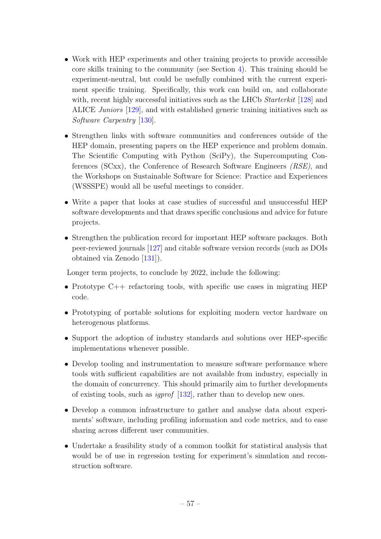- Work with HEP experiments and other training projects to provide accessible core skills training to the community (see Section [4\)](#page-65-0). This training should be experiment-neutral, but could be usefully combined with the current experiment specific training. Specifically, this work can build on, and collaborate with, recent highly successful initiatives such as the LHCb *Starterkit* [\[128\]](#page-89-10) and ALICE Juniors [\[129\]](#page-89-11), and with established generic training initiatives such as Software Carpentry [\[130\]](#page-89-12).
- Strengthen links with software communities and conferences outside of the HEP domain, presenting papers on the HEP experience and problem domain. The Scientific Computing with Python (SciPy), the Supercomputing Conferences (SCxx), the Conference of Research Software Engineers (RSE), and the Workshops on Sustainable Software for Science: Practice and Experiences (WSSSPE) would all be useful meetings to consider.
- Write a paper that looks at case studies of successful and unsuccessful HEP software developments and that draws specific conclusions and advice for future projects.
- Strengthen the publication record for important HEP software packages. Both peer-reviewed journals [\[127\]](#page-89-9) and citable software version records (such as DOIs obtained via Zenodo [\[131\]](#page-89-13)).

Longer term projects, to conclude by 2022, include the following:

- Prototype C++ refactoring tools, with specific use cases in migrating HEP code.
- Prototyping of portable solutions for exploiting modern vector hardware on heterogenous platforms.
- Support the adoption of industry standards and solutions over HEP-specific implementations whenever possible.
- Develop tooling and instrumentation to measure software performance where tools with sufficient capabilities are not available from industry, especially in the domain of concurrency. This should primarily aim to further developments of existing tools, such as igprof [\[132\]](#page-89-14), rather than to develop new ones.
- Develop a common infrastructure to gather and analyse data about experiments' software, including profiling information and code metrics, and to ease sharing across different user communities.
- Undertake a feasibility study of a common toolkit for statistical analysis that would be of use in regression testing for experiment's simulation and reconstruction software.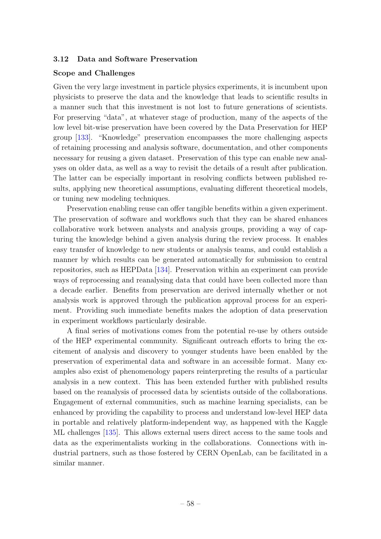#### 3.12 Data and Software Preservation

#### Scope and Challenges

Given the very large investment in particle physics experiments, it is incumbent upon physicists to preserve the data and the knowledge that leads to scientific results in a manner such that this investment is not lost to future generations of scientists. For preserving "data", at whatever stage of production, many of the aspects of the low level bit-wise preservation have been covered by the Data Preservation for HEP group [\[133\]](#page-89-15). "Knowledge" preservation encompasses the more challenging aspects of retaining processing and analysis software, documentation, and other components necessary for reusing a given dataset. Preservation of this type can enable new analyses on older data, as well as a way to revisit the details of a result after publication. The latter can be especially important in resolving conflicts between published results, applying new theoretical assumptions, evaluating different theoretical models, or tuning new modeling techniques.

Preservation enabling reuse can offer tangible benefits within a given experiment. The preservation of software and workflows such that they can be shared enhances collaborative work between analysts and analysis groups, providing a way of capturing the knowledge behind a given analysis during the review process. It enables easy transfer of knowledge to new students or analysis teams, and could establish a manner by which results can be generated automatically for submission to central repositories, such as HEPData [\[134\]](#page-90-0). Preservation within an experiment can provide ways of reprocessing and reanalysing data that could have been collected more than a decade earlier. Benefits from preservation are derived internally whether or not analysis work is approved through the publication approval process for an experiment. Providing such immediate benefits makes the adoption of data preservation in experiment workflows particularly desirable.

A final series of motivations comes from the potential re-use by others outside of the HEP experimental community. Significant outreach efforts to bring the excitement of analysis and discovery to younger students have been enabled by the preservation of experimental data and software in an accessible format. Many examples also exist of phenomenology papers reinterpreting the results of a particular analysis in a new context. This has been extended further with published results based on the reanalysis of processed data by scientists outside of the collaborations. Engagement of external communities, such as machine learning specialists, can be enhanced by providing the capability to process and understand low-level HEP data in portable and relatively platform-independent way, as happened with the Kaggle ML challenges [\[135\]](#page-90-1). This allows external users direct access to the same tools and data as the experimentalists working in the collaborations. Connections with industrial partners, such as those fostered by CERN OpenLab, can be facilitated in a similar manner.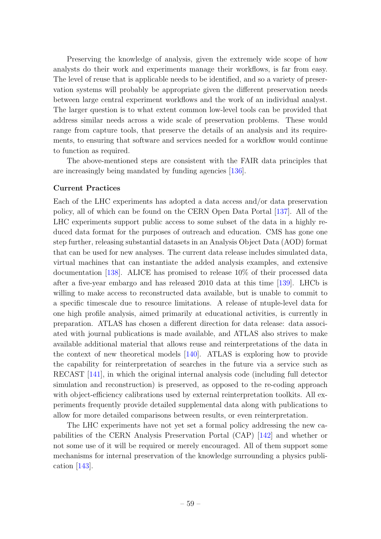Preserving the knowledge of analysis, given the extremely wide scope of how analysts do their work and experiments manage their workflows, is far from easy. The level of reuse that is applicable needs to be identified, and so a variety of preservation systems will probably be appropriate given the different preservation needs between large central experiment workflows and the work of an individual analyst. The larger question is to what extent common low-level tools can be provided that address similar needs across a wide scale of preservation problems. These would range from capture tools, that preserve the details of an analysis and its requirements, to ensuring that software and services needed for a workflow would continue to function as required.

The above-mentioned steps are consistent with the FAIR data principles that are increasingly being mandated by funding agencies [\[136\]](#page-90-2).

#### Current Practices

Each of the LHC experiments has adopted a data access and/or data preservation policy, all of which can be found on the CERN Open Data Portal [\[137\]](#page-90-3). All of the LHC experiments support public access to some subset of the data in a highly reduced data format for the purposes of outreach and education. CMS has gone one step further, releasing substantial datasets in an Analysis Object Data (AOD) format that can be used for new analyses. The current data release includes simulated data, virtual machines that can instantiate the added analysis examples, and extensive documentation [\[138\]](#page-90-4). ALICE has promised to release 10% of their processed data after a five-year embargo and has released 2010 data at this time [\[139\]](#page-90-5). LHCb is willing to make access to reconstructed data available, but is unable to commit to a specific timescale due to resource limitations. A release of ntuple-level data for one high profile analysis, aimed primarily at educational activities, is currently in preparation. ATLAS has chosen a different direction for data release: data associated with journal publications is made available, and ATLAS also strives to make available additional material that allows reuse and reinterpretations of the data in the context of new theoretical models [\[140\]](#page-90-6). ATLAS is exploring how to provide the capability for reinterpretation of searches in the future via a service such as RECAST [\[141\]](#page-90-7), in which the original internal analysis code (including full detector simulation and reconstruction) is preserved, as opposed to the re-coding approach with object-efficiency calibrations used by external reinterpretation toolkits. All experiments frequently provide detailed supplemental data along with publications to allow for more detailed comparisons between results, or even reinterpretation.

The LHC experiments have not yet set a formal policy addressing the new capabilities of the CERN Analysis Preservation Portal (CAP) [\[142\]](#page-90-8) and whether or not some use of it will be required or merely encouraged. All of them support some mechanisms for internal preservation of the knowledge surrounding a physics publication [\[143\]](#page-90-9).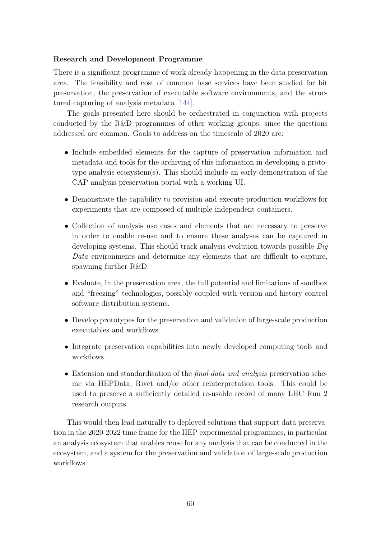### Research and Development Programme

There is a significant programme of work already happening in the data preservation area. The feasibility and cost of common base services have been studied for bit preservation, the preservation of executable software environments, and the structured capturing of analysis metadata [\[144\]](#page-90-10).

The goals presented here should be orchestrated in conjunction with projects conducted by the R&D programmes of other working groups, since the questions addressed are common. Goals to address on the timescale of 2020 are:

- Include embedded elements for the capture of preservation information and metadata and tools for the archiving of this information in developing a prototype analysis ecosystem(s). This should include an early demonstration of the CAP analysis preservation portal with a working UI.
- Demonstrate the capability to provision and execute production workflows for experiments that are composed of multiple independent containers.
- Collection of analysis use cases and elements that are necessary to preserve in order to enable re-use and to ensure these analyses can be captured in developing systems. This should track analysis evolution towards possible Big Data environments and determine any elements that are difficult to capture, spawning further R&D.
- Evaluate, in the preservation area, the full potential and limitations of sandbox and "freezing" technologies, possibly coupled with version and history control software distribution systems.
- Develop prototypes for the preservation and validation of large-scale production executables and workflows.
- Integrate preservation capabilities into newly developed computing tools and workflows.
- Extension and standardisation of the *final data and analysis* preservation scheme via HEPData, Rivet and/or other reinterpretation tools. This could be used to preserve a sufficiently detailed re-usable record of many LHC Run 2 research outputs.

This would then lead naturally to deployed solutions that support data preservation in the 2020-2022 time frame for the HEP experimental programmes, in particular an analysis ecosystem that enables reuse for any analysis that can be conducted in the ecosystem, and a system for the preservation and validation of large-scale production workflows.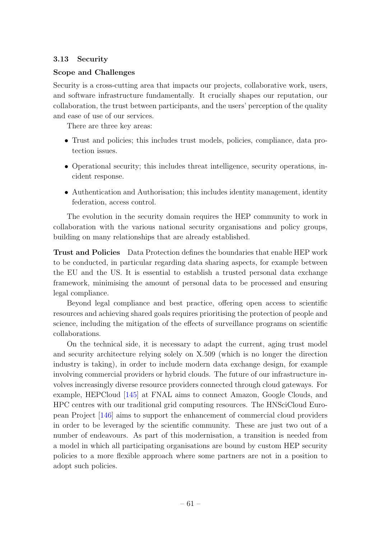### 3.13 Security

### Scope and Challenges

Security is a cross-cutting area that impacts our projects, collaborative work, users, and software infrastructure fundamentally. It crucially shapes our reputation, our collaboration, the trust between participants, and the users' perception of the quality and ease of use of our services.

There are three key areas:

- Trust and policies; this includes trust models, policies, compliance, data protection issues.
- Operational security; this includes threat intelligence, security operations, incident response.
- Authentication and Authorisation; this includes identity management, identity federation, access control.

The evolution in the security domain requires the HEP community to work in collaboration with the various national security organisations and policy groups, building on many relationships that are already established.

Trust and Policies Data Protection defines the boundaries that enable HEP work to be conducted, in particular regarding data sharing aspects, for example between the EU and the US. It is essential to establish a trusted personal data exchange framework, minimising the amount of personal data to be processed and ensuring legal compliance.

Beyond legal compliance and best practice, offering open access to scientific resources and achieving shared goals requires prioritising the protection of people and science, including the mitigation of the effects of surveillance programs on scientific collaborations.

On the technical side, it is necessary to adapt the current, aging trust model and security architecture relying solely on X.509 (which is no longer the direction industry is taking), in order to include modern data exchange design, for example involving commercial providers or hybrid clouds. The future of our infrastructure involves increasingly diverse resource providers connected through cloud gateways. For example, HEPCloud [\[145\]](#page-90-11) at FNAL aims to connect Amazon, Google Clouds, and HPC centres with our traditional grid computing resources. The HNSciCloud European Project [\[146\]](#page-90-12) aims to support the enhancement of commercial cloud providers in order to be leveraged by the scientific community. These are just two out of a number of endeavours. As part of this modernisation, a transition is needed from a model in which all participating organisations are bound by custom HEP security policies to a more flexible approach where some partners are not in a position to adopt such policies.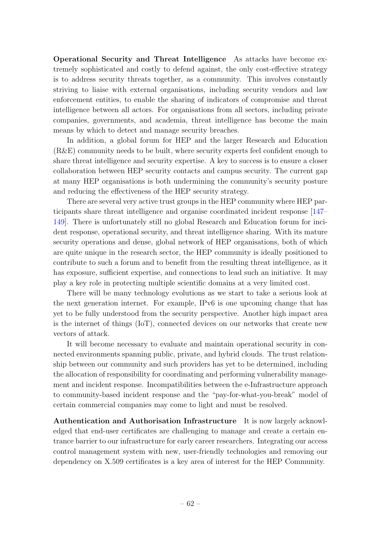Operational Security and Threat Intelligence As attacks have become extremely sophisticated and costly to defend against, the only cost-effective strategy is to address security threats together, as a community. This involves constantly striving to liaise with external organisations, including security vendors and law enforcement entities, to enable the sharing of indicators of compromise and threat intelligence between all actors. For organisations from all sectors, including private companies, governments, and academia, threat intelligence has become the main means by which to detect and manage security breaches.

In addition, a global forum for HEP and the larger Research and Education (R&E) community needs to be built, where security experts feel confident enough to share threat intelligence and security expertise. A key to success is to ensure a closer collaboration between HEP security contacts and campus security. The current gap at many HEP organisations is both undermining the community's security posture and reducing the effectiveness of the HEP security strategy.

There are several very active trust groups in the HEP community where HEP participants share threat intelligence and organise coordinated incident response [\[147–](#page-90-13) [149\]](#page-90-14). There is unfortunately still no global Research and Education forum for incident response, operational security, and threat intelligence sharing. With its mature security operations and dense, global network of HEP organisations, both of which are quite unique in the research sector, the HEP community is ideally positioned to contribute to such a forum and to benefit from the resulting threat intelligence, as it has exposure, sufficient expertise, and connections to lead such an initiative. It may play a key role in protecting multiple scientific domains at a very limited cost.

There will be many technology evolutions as we start to take a serious look at the next generation internet. For example, IPv6 is one upcoming change that has yet to be fully understood from the security perspective. Another high impact area is the internet of things (IoT), connected devices on our networks that create new vectors of attack.

It will become necessary to evaluate and maintain operational security in connected environments spanning public, private, and hybrid clouds. The trust relationship between our community and such providers has yet to be determined, including the allocation of responsibility for coordinating and performing vulnerability management and incident response. Incompatibilities between the e-Infrastructure approach to community-based incident response and the "pay-for-what-you-break" model of certain commercial companies may come to light and must be resolved.

Authentication and Authorisation Infrastructure It is now largely acknowledged that end-user certificates are challenging to manage and create a certain entrance barrier to our infrastructure for early career researchers. Integrating our access control management system with new, user-friendly technologies and removing our dependency on X.509 certificates is a key area of interest for the HEP Community.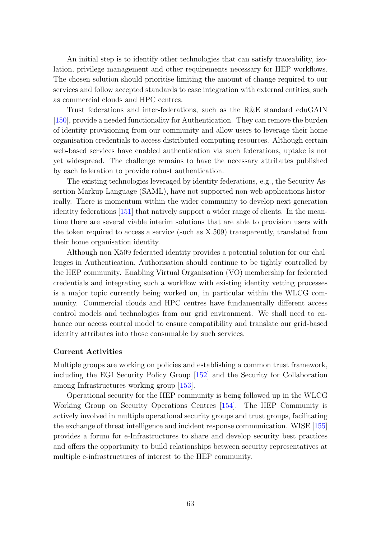An initial step is to identify other technologies that can satisfy traceability, isolation, privilege management and other requirements necessary for HEP workflows. The chosen solution should prioritise limiting the amount of change required to our services and follow accepted standards to ease integration with external entities, such as commercial clouds and HPC centres.

Trust federations and inter-federations, such as the R&E standard eduGAIN [\[150\]](#page-91-0), provide a needed functionality for Authentication. They can remove the burden of identity provisioning from our community and allow users to leverage their home organisation credentials to access distributed computing resources. Although certain web-based services have enabled authentication via such federations, uptake is not yet widespread. The challenge remains to have the necessary attributes published by each federation to provide robust authentication.

The existing technologies leveraged by identity federations, e.g., the Security Assertion Markup Language (SAML), have not supported non-web applications historically. There is momentum within the wider community to develop next-generation identity federations [\[151\]](#page-91-1) that natively support a wider range of clients. In the meantime there are several viable interim solutions that are able to provision users with the token required to access a service (such as X.509) transparently, translated from their home organisation identity.

Although non-X509 federated identity provides a potential solution for our challenges in Authentication, Authorisation should continue to be tightly controlled by the HEP community. Enabling Virtual Organisation (VO) membership for federated credentials and integrating such a workflow with existing identity vetting processes is a major topic currently being worked on, in particular within the WLCG community. Commercial clouds and HPC centres have fundamentally different access control models and technologies from our grid environment. We shall need to enhance our access control model to ensure compatibility and translate our grid-based identity attributes into those consumable by such services.

### Current Activities

Multiple groups are working on policies and establishing a common trust framework, including the EGI Security Policy Group [\[152\]](#page-91-2) and the Security for Collaboration among Infrastructures working group [\[153\]](#page-91-3).

Operational security for the HEP community is being followed up in the WLCG Working Group on Security Operations Centres [\[154\]](#page-91-4). The HEP Community is actively involved in multiple operational security groups and trust groups, facilitating the exchange of threat intelligence and incident response communication. WISE [\[155\]](#page-91-5) provides a forum for e-Infrastructures to share and develop security best practices and offers the opportunity to build relationships between security representatives at multiple e-infrastructures of interest to the HEP community.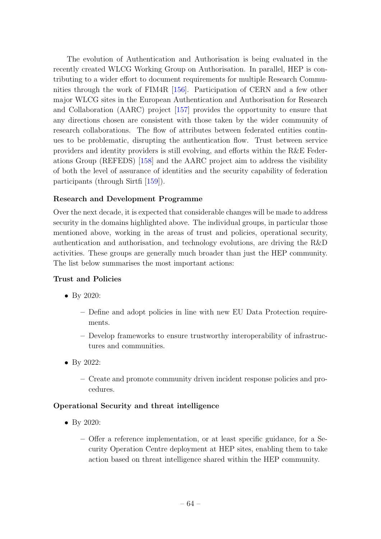The evolution of Authentication and Authorisation is being evaluated in the recently created WLCG Working Group on Authorisation. In parallel, HEP is contributing to a wider effort to document requirements for multiple Research Communities through the work of FIM4R [\[156\]](#page-91-6). Participation of CERN and a few other major WLCG sites in the European Authentication and Authorisation for Research and Collaboration (AARC) project [\[157\]](#page-91-7) provides the opportunity to ensure that any directions chosen are consistent with those taken by the wider community of research collaborations. The flow of attributes between federated entities continues to be problematic, disrupting the authentication flow. Trust between service providers and identity providers is still evolving, and efforts within the R&E Federations Group (REFEDS) [\[158\]](#page-91-8) and the AARC project aim to address the visibility of both the level of assurance of identities and the security capability of federation participants (through Sirtfi [\[159\]](#page-91-9)).

### Research and Development Programme

Over the next decade, it is expected that considerable changes will be made to address security in the domains highlighted above. The individual groups, in particular those mentioned above, working in the areas of trust and policies, operational security, authentication and authorisation, and technology evolutions, are driving the R&D activities. These groups are generally much broader than just the HEP community. The list below summarises the most important actions:

### Trust and Policies

- By 2020:
	- Define and adopt policies in line with new EU Data Protection requirements.
	- Develop frameworks to ensure trustworthy interoperability of infrastructures and communities.
- By 2022:
	- Create and promote community driven incident response policies and procedures.

### Operational Security and threat intelligence

- By 2020:
	- Offer a reference implementation, or at least specific guidance, for a Security Operation Centre deployment at HEP sites, enabling them to take action based on threat intelligence shared within the HEP community.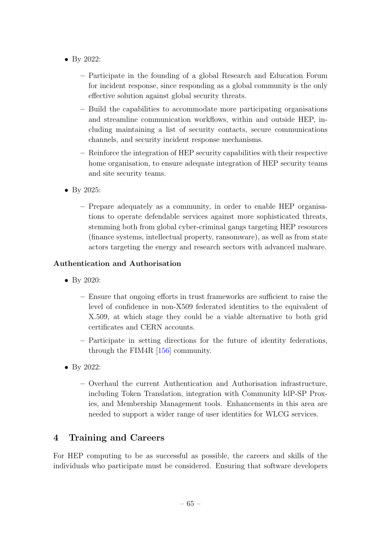- By 2022:
	- Participate in the founding of a global Research and Education Forum for incident response, since responding as a global community is the only effective solution against global security threats.
	- Build the capabilities to accommodate more participating organisations and streamline communication workflows, within and outside HEP, including maintaining a list of security contacts, secure communications channels, and security incident response mechanisms.
	- Reinforce the integration of HEP security capabilities with their respective home organisation, to ensure adequate integration of HEP security teams and site security teams.
- By 2025:
	- Prepare adequately as a community, in order to enable HEP organisations to operate defendable services against more sophisticated threats, stemming both from global cyber-criminal gangs targeting HEP resources (finance systems, intellectual property, ransomware), as well as from state actors targeting the energy and research sectors with advanced malware.

## Authentication and Authorisation

- By 2020:
	- Ensure that ongoing efforts in trust frameworks are sufficient to raise the level of confidence in non-X509 federated identities to the equivalent of X.509, at which stage they could be a viable alternative to both grid certificates and CERN accounts.
	- Participate in setting directions for the future of identity federations, through the FIM4R [\[156\]](#page-91-6) community.
- By 2022:
	- Overhaul the current Authentication and Authorisation infrastructure, including Token Translation, integration with Community IdP-SP Proxies, and Membership Management tools. Enhancements in this area are needed to support a wider range of user identities for WLCG services.

# <span id="page-65-0"></span>4 Training and Careers

For HEP computing to be as successful as possible, the careers and skills of the individuals who participate must be considered. Ensuring that software developers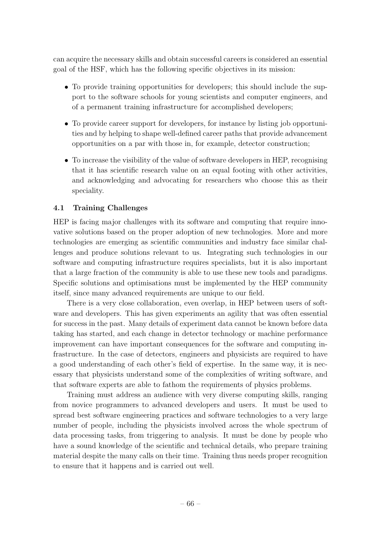can acquire the necessary skills and obtain successful careers is considered an essential goal of the HSF, which has the following specific objectives in its mission:

- To provide training opportunities for developers; this should include the support to the software schools for young scientists and computer engineers, and of a permanent training infrastructure for accomplished developers;
- To provide career support for developers, for instance by listing job opportunities and by helping to shape well-defined career paths that provide advancement opportunities on a par with those in, for example, detector construction;
- To increase the visibility of the value of software developers in HEP, recognising that it has scientific research value on an equal footing with other activities, and acknowledging and advocating for researchers who choose this as their speciality.

## 4.1 Training Challenges

HEP is facing major challenges with its software and computing that require innovative solutions based on the proper adoption of new technologies. More and more technologies are emerging as scientific communities and industry face similar challenges and produce solutions relevant to us. Integrating such technologies in our software and computing infrastructure requires specialists, but it is also important that a large fraction of the community is able to use these new tools and paradigms. Specific solutions and optimisations must be implemented by the HEP community itself, since many advanced requirements are unique to our field.

There is a very close collaboration, even overlap, in HEP between users of software and developers. This has given experiments an agility that was often essential for success in the past. Many details of experiment data cannot be known before data taking has started, and each change in detector technology or machine performance improvement can have important consequences for the software and computing infrastructure. In the case of detectors, engineers and physicists are required to have a good understanding of each other's field of expertise. In the same way, it is necessary that physicists understand some of the complexities of writing software, and that software experts are able to fathom the requirements of physics problems.

Training must address an audience with very diverse computing skills, ranging from novice programmers to advanced developers and users. It must be used to spread best software engineering practices and software technologies to a very large number of people, including the physicists involved across the whole spectrum of data processing tasks, from triggering to analysis. It must be done by people who have a sound knowledge of the scientific and technical details, who prepare training material despite the many calls on their time. Training thus needs proper recognition to ensure that it happens and is carried out well.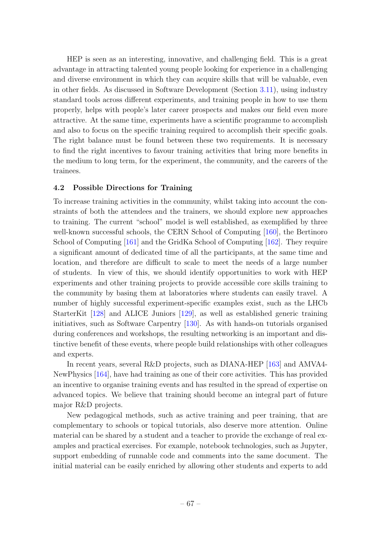HEP is seen as an interesting, innovative, and challenging field. This is a great advantage in attracting talented young people looking for experience in a challenging and diverse environment in which they can acquire skills that will be valuable, even in other fields. As discussed in Software Development (Section [3.11\)](#page-53-0), using industry standard tools across different experiments, and training people in how to use them properly, helps with people's later career prospects and makes our field even more attractive. At the same time, experiments have a scientific programme to accomplish and also to focus on the specific training required to accomplish their specific goals. The right balance must be found between these two requirements. It is necessary to find the right incentives to favour training activities that bring more benefits in the medium to long term, for the experiment, the community, and the careers of the trainees.

### 4.2 Possible Directions for Training

To increase training activities in the community, whilst taking into account the constraints of both the attendees and the trainers, we should explore new approaches to training. The current "school" model is well established, as exemplified by three well-known successful schools, the CERN School of Computing [\[160\]](#page-91-10), the Bertinoro School of Computing [\[161\]](#page-91-11) and the GridKa School of Computing [\[162\]](#page-91-12). They require a significant amount of dedicated time of all the participants, at the same time and location, and therefore are difficult to scale to meet the needs of a large number of students. In view of this, we should identify opportunities to work with HEP experiments and other training projects to provide accessible core skills training to the community by basing them at laboratories where students can easily travel. A number of highly successful experiment-specific examples exist, such as the LHCb StarterKit [\[128\]](#page-89-10) and ALICE Juniors [\[129\]](#page-89-11), as well as established generic training initiatives, such as Software Carpentry [\[130\]](#page-89-12). As with hands-on tutorials organised during conferences and workshops, the resulting networking is an important and distinctive benefit of these events, where people build relationships with other colleagues and experts.

In recent years, several R&D projects, such as DIANA-HEP [\[163\]](#page-91-13) and AMVA4- NewPhysics [\[164\]](#page-91-14), have had training as one of their core activities. This has provided an incentive to organise training events and has resulted in the spread of expertise on advanced topics. We believe that training should become an integral part of future major R&D projects.

New pedagogical methods, such as active training and peer training, that are complementary to schools or topical tutorials, also deserve more attention. Online material can be shared by a student and a teacher to provide the exchange of real examples and practical exercises. For example, notebook technologies, such as Jupyter, support embedding of runnable code and comments into the same document. The initial material can be easily enriched by allowing other students and experts to add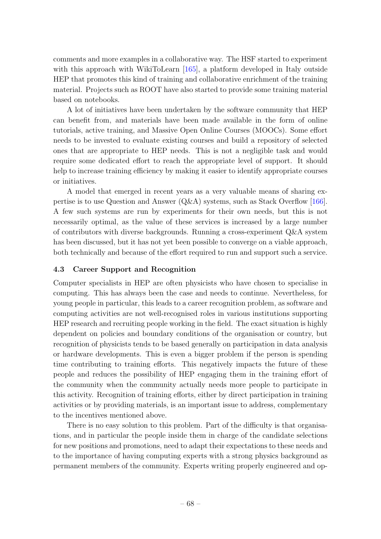comments and more examples in a collaborative way. The HSF started to experiment with this approach with WikiToLearn [\[165\]](#page-91-15), a platform developed in Italy outside HEP that promotes this kind of training and collaborative enrichment of the training material. Projects such as ROOT have also started to provide some training material based on notebooks.

A lot of initiatives have been undertaken by the software community that HEP can benefit from, and materials have been made available in the form of online tutorials, active training, and Massive Open Online Courses (MOOCs). Some effort needs to be invested to evaluate existing courses and build a repository of selected ones that are appropriate to HEP needs. This is not a negligible task and would require some dedicated effort to reach the appropriate level of support. It should help to increase training efficiency by making it easier to identify appropriate courses or initiatives.

A model that emerged in recent years as a very valuable means of sharing expertise is to use Question and Answer (Q&A) systems, such as Stack Overflow [\[166\]](#page-91-16). A few such systems are run by experiments for their own needs, but this is not necessarily optimal, as the value of these services is increased by a large number of contributors with diverse backgrounds. Running a cross-experiment Q&A system has been discussed, but it has not yet been possible to converge on a viable approach, both technically and because of the effort required to run and support such a service.

### 4.3 Career Support and Recognition

Computer specialists in HEP are often physicists who have chosen to specialise in computing. This has always been the case and needs to continue. Nevertheless, for young people in particular, this leads to a career recognition problem, as software and computing activities are not well-recognised roles in various institutions supporting HEP research and recruiting people working in the field. The exact situation is highly dependent on policies and boundary conditions of the organisation or country, but recognition of physicists tends to be based generally on participation in data analysis or hardware developments. This is even a bigger problem if the person is spending time contributing to training efforts. This negatively impacts the future of these people and reduces the possibility of HEP engaging them in the training effort of the community when the community actually needs more people to participate in this activity. Recognition of training efforts, either by direct participation in training activities or by providing materials, is an important issue to address, complementary to the incentives mentioned above.

There is no easy solution to this problem. Part of the difficulty is that organisations, and in particular the people inside them in charge of the candidate selections for new positions and promotions, need to adapt their expectations to these needs and to the importance of having computing experts with a strong physics background as permanent members of the community. Experts writing properly engineered and op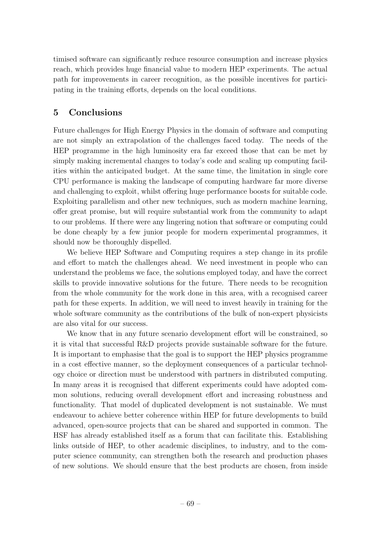timised software can significantly reduce resource consumption and increase physics reach, which provides huge financial value to modern HEP experiments. The actual path for improvements in career recognition, as the possible incentives for participating in the training efforts, depends on the local conditions.

# 5 Conclusions

Future challenges for High Energy Physics in the domain of software and computing are not simply an extrapolation of the challenges faced today. The needs of the HEP programme in the high luminosity era far exceed those that can be met by simply making incremental changes to today's code and scaling up computing facilities within the anticipated budget. At the same time, the limitation in single core CPU performance is making the landscape of computing hardware far more diverse and challenging to exploit, whilst offering huge performance boosts for suitable code. Exploiting parallelism and other new techniques, such as modern machine learning, offer great promise, but will require substantial work from the community to adapt to our problems. If there were any lingering notion that software or computing could be done cheaply by a few junior people for modern experimental programmes, it should now be thoroughly dispelled.

We believe HEP Software and Computing requires a step change in its profile and effort to match the challenges ahead. We need investment in people who can understand the problems we face, the solutions employed today, and have the correct skills to provide innovative solutions for the future. There needs to be recognition from the whole community for the work done in this area, with a recognised career path for these experts. In addition, we will need to invest heavily in training for the whole software community as the contributions of the bulk of non-expert physicists are also vital for our success.

We know that in any future scenario development effort will be constrained, so it is vital that successful R&D projects provide sustainable software for the future. It is important to emphasise that the goal is to support the HEP physics programme in a cost effective manner, so the deployment consequences of a particular technology choice or direction must be understood with partners in distributed computing. In many areas it is recognised that different experiments could have adopted common solutions, reducing overall development effort and increasing robustness and functionality. That model of duplicated development is not sustainable. We must endeavour to achieve better coherence within HEP for future developments to build advanced, open-source projects that can be shared and supported in common. The HSF has already established itself as a forum that can facilitate this. Establishing links outside of HEP, to other academic disciplines, to industry, and to the computer science community, can strengthen both the research and production phases of new solutions. We should ensure that the best products are chosen, from inside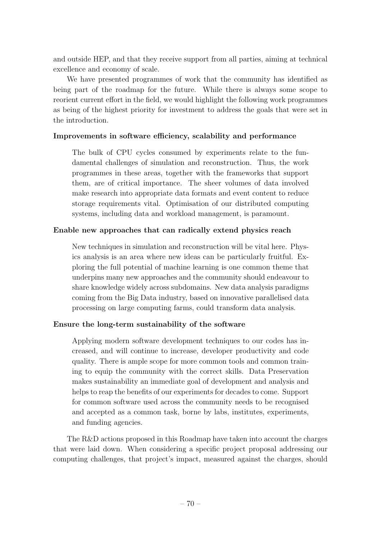and outside HEP, and that they receive support from all parties, aiming at technical excellence and economy of scale.

We have presented programmes of work that the community has identified as being part of the roadmap for the future. While there is always some scope to reorient current effort in the field, we would highlight the following work programmes as being of the highest priority for investment to address the goals that were set in the introduction.

### Improvements in software efficiency, scalability and performance

The bulk of CPU cycles consumed by experiments relate to the fundamental challenges of simulation and reconstruction. Thus, the work programmes in these areas, together with the frameworks that support them, are of critical importance. The sheer volumes of data involved make research into appropriate data formats and event content to reduce storage requirements vital. Optimisation of our distributed computing systems, including data and workload management, is paramount.

### Enable new approaches that can radically extend physics reach

New techniques in simulation and reconstruction will be vital here. Physics analysis is an area where new ideas can be particularly fruitful. Exploring the full potential of machine learning is one common theme that underpins many new approaches and the community should endeavour to share knowledge widely across subdomains. New data analysis paradigms coming from the Big Data industry, based on innovative parallelised data processing on large computing farms, could transform data analysis.

### Ensure the long-term sustainability of the software

Applying modern software development techniques to our codes has increased, and will continue to increase, developer productivity and code quality. There is ample scope for more common tools and common training to equip the community with the correct skills. Data Preservation makes sustainability an immediate goal of development and analysis and helps to reap the benefits of our experiments for decades to come. Support for common software used across the community needs to be recognised and accepted as a common task, borne by labs, institutes, experiments, and funding agencies.

The R&D actions proposed in this Roadmap have taken into account the charges that were laid down. When considering a specific project proposal addressing our computing challenges, that project's impact, measured against the charges, should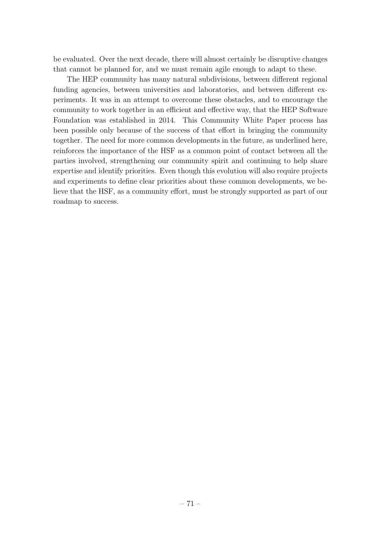be evaluated. Over the next decade, there will almost certainly be disruptive changes that cannot be planned for, and we must remain agile enough to adapt to these.

The HEP community has many natural subdivisions, between different regional funding agencies, between universities and laboratories, and between different experiments. It was in an attempt to overcome these obstacles, and to encourage the community to work together in an efficient and effective way, that the HEP Software Foundation was established in 2014. This Community White Paper process has been possible only because of the success of that effort in bringing the community together. The need for more common developments in the future, as underlined here, reinforces the importance of the HSF as a common point of contact between all the parties involved, strengthening our community spirit and continuing to help share expertise and identify priorities. Even though this evolution will also require projects and experiments to define clear priorities about these common developments, we believe that the HSF, as a community effort, must be strongly supported as part of our roadmap to success.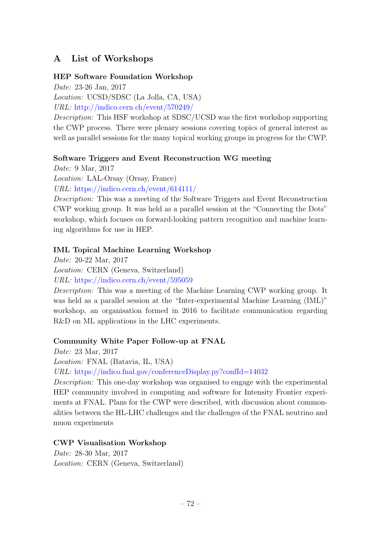# A List of Workshops

#### HEP Software Foundation Workshop

Date: 23-26 Jan, 2017

Location: UCSD/SDSC (La Jolla, CA, USA) URL: <http://indico.cern.ch/event/570249/>

Description: This HSF workshop at SDSC/UCSD was the first workshop supporting the CWP process. There were plenary sessions covering topics of general interest as well as parallel sessions for the many topical working groups in progress for the CWP.

#### Software Triggers and Event Reconstruction WG meeting

Date: 9 Mar, 2017

Location: LAL-Orsay (Orsay, France)

URL: <https://indico.cern.ch/event/614111/>

Description: This was a meeting of the Software Triggers and Event Reconstruction CWP working group. It was held as a parallel session at the "Connecting the Dots" workshop, which focuses on forward-looking pattern recognition and machine learning algorithms for use in HEP.

## IML Topical Machine Learning Workshop

Date: 20-22 Mar, 2017

Location: CERN (Geneva, Switzerland) URL: <https://indico.cern.ch/event/595059>

Description: This was a meeting of the Machine Learning CWP working group. It was held as a parallel session at the "Inter-experimental Machine Learning (IML)" workshop, an organisation formed in 2016 to facilitate communication regarding

# Community White Paper Follow-up at FNAL

R&D on ML applications in the LHC experiments.

Date: 23 Mar, 2017

Location: FNAL (Batavia, IL, USA)

URL: <https://indico.fnal.gov/conferenceDisplay.py?confId=14032>

Description: This one-day workshop was organised to engage with the experimental HEP community involved in computing and software for Intensity Frontier experiments at FNAL. Plans for the CWP were described, with discussion about commonalities between the HL-LHC challenges and the challenges of the FNAL neutrino and muon experiments

## CWP Visualisation Workshop

Date: 28-30 Mar, 2017 Location: CERN (Geneva, Switzerland)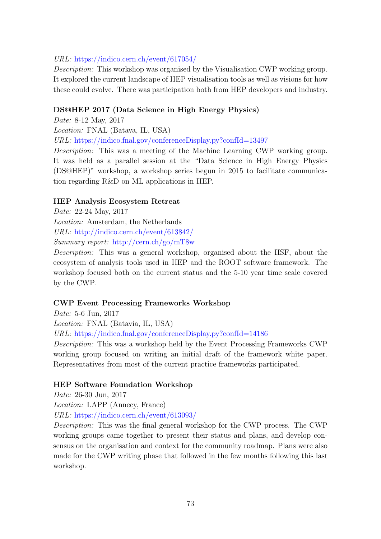## URL: <https://indico.cern.ch/event/617054/>

Description: This workshop was organised by the Visualisation CWP working group. It explored the current landscape of HEP visualisation tools as well as visions for how these could evolve. There was participation both from HEP developers and industry.

#### DS@HEP 2017 (Data Science in High Energy Physics)

Date: 8-12 May, 2017

Location: FNAL (Batava, IL, USA)

URL: <https://indico.fnal.gov/conferenceDisplay.py?confId=13497>

Description: This was a meeting of the Machine Learning CWP working group. It was held as a parallel session at the "Data Science in High Energy Physics (DS@HEP)" workshop, a workshop series begun in 2015 to facilitate communication regarding R&D on ML applications in HEP.

#### HEP Analysis Ecosystem Retreat

Date: 22-24 May, 2017

Location: Amsterdam, the Netherlands

URL: <http://indico.cern.ch/event/613842/>

Summary report: [http://cern.ch/go/mT8w](http://hepsoftwarefoundation.org/assets/AnalysisEcosystemReport20170804.pdf)

Description: This was a general workshop, organised about the HSF, about the ecosystem of analysis tools used in HEP and the ROOT software framework. The workshop focused both on the current status and the 5-10 year time scale covered by the CWP.

## CWP Event Processing Frameworks Workshop

Date: 5-6 Jun, 2017 Location: FNAL (Batavia, IL, USA) URL: <https://indico.fnal.gov/conferenceDisplay.py?confId=14186> Description: This was a workshop held by the Event Processing Frameworks CWP working group focused on writing an initial draft of the framework white paper.

Representatives from most of the current practice frameworks participated.

## HEP Software Foundation Workshop

Date: 26-30 Jun, 2017

Location: LAPP (Annecy, France)

URL: <https://indico.cern.ch/event/613093/>

Description: This was the final general workshop for the CWP process. The CWP working groups came together to present their status and plans, and develop consensus on the organisation and context for the community roadmap. Plans were also made for the CWP writing phase that followed in the few months following this last workshop.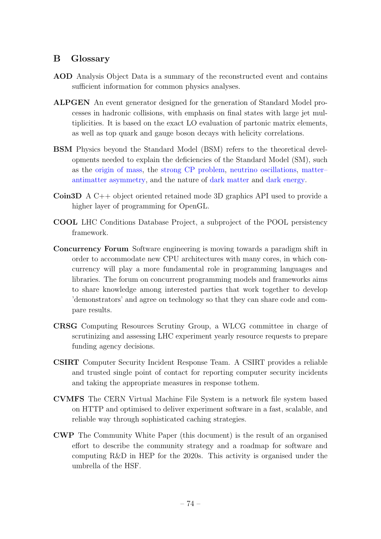## B Glossary

- AOD Analysis Object Data is a summary of the reconstructed event and contains sufficient information for common physics analyses.
- ALPGEN An event generator designed for the generation of Standard Model processes in hadronic collisions, with emphasis on final states with large jet multiplicities. It is based on the exact LO evaluation of partonic matrix elements, as well as top quark and gauge boson decays with helicity correlations.
- BSM Physics beyond the Standard Model (BSM) refers to the theoretical developments needed to explain the deficiencies of the Standard Model (SM), such as the [origin of mass,](https://en.wikipedia.org/wiki/Origin_of_mass) the [strong CP problem,](https://en.wikipedia.org/wiki/Strong_CP_problem) [neutrino oscillations,](https://en.wikipedia.org/wiki/Neutrino_oscillation) [matter–](https://en.wikipedia.org/wiki/Baryon_asymmetry) [antimatter asymmetry,](https://en.wikipedia.org/wiki/Baryon_asymmetry) and the nature of [dark matter](https://en.wikipedia.org/wiki/Dark_matter) and [dark energy.](https://en.wikipedia.org/wiki/Dark_energy)
- Coin3D A C++ object oriented retained mode 3D graphics API used to provide a higher layer of programming for OpenGL.
- COOL LHC Conditions Database Project, a subproject of the POOL persistency framework.
- Concurrency Forum Software engineering is moving towards a paradigm shift in order to accommodate new CPU architectures with many cores, in which concurrency will play a more fundamental role in programming languages and libraries. The forum on concurrent programming models and frameworks aims to share knowledge among interested parties that work together to develop 'demonstrators' and agree on technology so that they can share code and compare results.
- CRSG Computing Resources Scrutiny Group, a WLCG committee in charge of scrutinizing and assessing LHC experiment yearly resource requests to prepare funding agency decisions.
- CSIRT Computer Security Incident Response Team. A CSIRT provides a reliable and trusted single point of contact for reporting computer security incidents and taking the appropriate measures in response tothem.
- CVMFS The CERN Virtual Machine File System is a network file system based on HTTP and optimised to deliver experiment software in a fast, scalable, and reliable way through sophisticated caching strategies.
- CWP The Community White Paper (this document) is the result of an organised effort to describe the community strategy and a roadmap for software and computing R&D in HEP for the 2020s. This activity is organised under the umbrella of the HSF.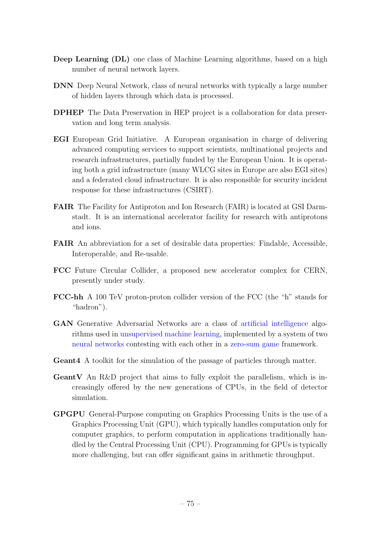- Deep Learning (DL) one class of Machine Learning algorithms, based on a high number of neural network layers.
- DNN Deep Neural Network, class of neural networks with typically a large number of hidden layers through which data is processed.
- DPHEP The Data Preservation in HEP project is a collaboration for data preservation and long term analysis.
- EGI European Grid Initiative. A European organisation in charge of delivering advanced computing services to support scientists, multinational projects and research infrastructures, partially funded by the European Union. It is operating both a grid infrastructure (many WLCG sites in Europe are also EGI sites) and a federated cloud infrastructure. It is also responsible for security incident response for these infrastructures (CSIRT).
- FAIR The Facility for Antiproton and Ion Research (FAIR) is located at GSI Darmstadt. It is an international accelerator facility for research with antiprotons and ions.
- FAIR An abbreviation for a set of desirable data properties: Findable, Accessible, Interoperable, and Re-usable.
- FCC Future Circular Collider, a proposed new accelerator complex for CERN, presently under study.
- FCC-hh A 100 TeV proton-proton collider version of the FCC (the "h" stands for "hadron").
- GAN Generative Adversarial Networks are a class of [artificial intelligence](https://en.wikipedia.org/wiki/Artificial_intelligence) algorithms used in [unsupervised machine learning,](https://en.wikipedia.org/wiki/Unsupervised_machine_learning) implemented by a system of two [neural networks](https://en.wikipedia.org/wiki/Neural_network) contesting with each other in a [zero-sum game](https://en.wikipedia.org/wiki/Zero-sum_game) framework.
- Geant4 A toolkit for the simulation of the passage of particles through matter.
- GeantV An R&D project that aims to fully exploit the parallelism, which is increasingly offered by the new generations of CPUs, in the field of detector simulation.
- GPGPU General-Purpose computing on Graphics Processing Units is the use of a Graphics Processing Unit (GPU), which typically handles computation only for computer graphics, to perform computation in applications traditionally handled by the Central Processing Unit (CPU). Programming for GPUs is typically more challenging, but can offer significant gains in arithmetic throughput.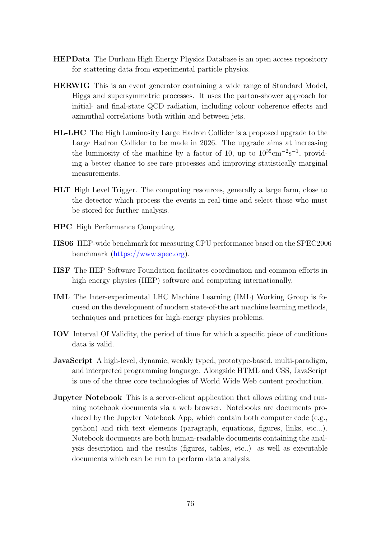- HEPData The Durham High Energy Physics Database is an open access repository for scattering data from experimental particle physics.
- HERWIG This is an event generator containing a wide range of Standard Model, Higgs and supersymmetric processes. It uses the parton-shower approach for initial- and final-state QCD radiation, including colour coherence effects and azimuthal correlations both within and between jets.
- HL-LHC The High Luminosity Large Hadron Collider is a proposed upgrade to the Large Hadron Collider to be made in 2026. The upgrade aims at increasing the luminosity of the machine by a factor of 10, up to  $10^{35}$ cm<sup>-2</sup>s<sup>-1</sup>, providing a better chance to see rare processes and improving statistically marginal measurements.
- HLT High Level Trigger. The computing resources, generally a large farm, close to the detector which process the events in real-time and select those who must be stored for further analysis.
- HPC High Performance Computing.
- HS06 HEP-wide benchmark for measuring CPU performance based on the SPEC2006 benchmark [\(https://www.spec.org\)](https://www.spec.org).
- HSF The HEP Software Foundation facilitates coordination and common efforts in high energy physics (HEP) software and computing internationally.
- IML The Inter-experimental LHC Machine Learning (IML) Working Group is focused on the development of modern state-of-the art machine learning methods, techniques and practices for high-energy physics problems.
- IOV Interval Of Validity, the period of time for which a specific piece of conditions data is valid.
- JavaScript A high-level, dynamic, weakly typed, prototype-based, multi-paradigm, and interpreted programming language. Alongside HTML and CSS, JavaScript is one of the three core technologies of World Wide Web content production.
- Jupyter Notebook This is a server-client application that allows editing and running notebook documents via a web browser. Notebooks are documents produced by the Jupyter Notebook App, which contain both computer code (e.g., python) and rich text elements (paragraph, equations, figures, links, etc...). Notebook documents are both human-readable documents containing the analysis description and the results (figures, tables, etc..) as well as executable documents which can be run to perform data analysis.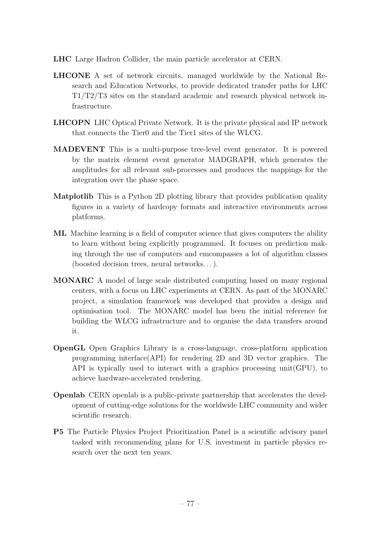- LHC Large Hadron Collider, the main particle accelerator at CERN.
- LHCONE A set of network circuits, managed worldwide by the National Research and Education Networks, to provide dedicated transfer paths for LHC T1/T2/T3 sites on the standard academic and research physical network infrastructure.
- LHCOPN LHC Optical Private Network. It is the private physical and IP network that connects the Tier0 and the Tier1 sites of the WLCG.
- MADEVENT This is a multi-purpose tree-level event generator. It is powered by the matrix element event generator MADGRAPH, which generates the amplitudes for all relevant sub-processes and produces the mappings for the integration over the phase space.
- Matplotlib This is a Python 2D plotting library that provides publication quality figures in a variety of hardcopy formats and interactive environments across platforms.
- ML Machine learning is a field of computer science that gives computers the ability to learn without being explicitly programmed. It focuses on prediction making through the use of computers and emcompasses a lot of algorithm classes (boosted decision trees, neural networks. . . ).
- MONARC A model of large scale distributed computing based on many regional centers, with a focus on LHC experiments at CERN. As part of the MONARC project, a simulation framework was developed that provides a design and optimisation tool. The MONARC model has been the initial reference for building the WLCG infrastructure and to organise the data transfers around it.
- OpenGL Open Graphics Library is a cross-language, cross-platform application programming interface(API) for rendering 2D and 3D vector graphics. The API is typically used to interact with a graphics processing unit(GPU), to achieve hardware-accelerated rendering.
- Openlab CERN openlab is a public-private partnership that accelerates the development of cutting-edge solutions for the worldwide LHC community and wider scientific research.
- P5 The Particle Physics Project Prioritization Panel is a scientific advisory panel tasked with recommending plans for U.S. investment in particle physics research over the next ten years.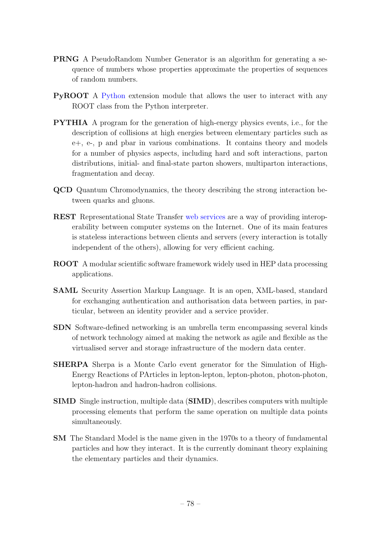- PRNG A PseudoRandom Number Generator is an algorithm for generating a sequence of numbers whose properties approximate the properties of sequences of random numbers.
- PyROOT A [Python](http://www.python.org/) extension module that allows the user to interact with any ROOT class from the Python interpreter.
- PYTHIA A program for the generation of high-energy physics events, i.e., for the description of collisions at high energies between elementary particles such as e+, e-, p and pbar in various combinations. It contains theory and models for a number of physics aspects, including hard and soft interactions, parton distributions, initial- and final-state parton showers, multiparton interactions, fragmentation and decay.
- QCD Quantum Chromodynamics, the theory describing the strong interaction between quarks and gluons.
- REST Representational State Transfer [web services](https://en.wikipedia.org/wiki/Web_service) are a way of providing interoperability between computer systems on the Internet. One of its main features is stateless interactions between clients and servers (every interaction is totally independent of the others), allowing for very efficient caching.
- ROOT A modular scientific software framework widely used in HEP data processing applications.
- SAML Security Assertion Markup Language. It is an open, XML-based, standard for exchanging authentication and authorisation data between parties, in particular, between an identity provider and a service provider.
- SDN Software-defined networking is an umbrella term encompassing several kinds of network technology aimed at making the network as agile and flexible as the virtualised server and storage infrastructure of the modern data center.
- SHERPA Sherpa is a Monte Carlo event generator for the Simulation of High-Energy Reactions of PArticles in lepton-lepton, lepton-photon, photon-photon, lepton-hadron and hadron-hadron collisions.
- SIMD Single instruction, multiple data (SIMD), describes computers with multiple processing elements that perform the same operation on multiple data points simultaneously.
- SM The Standard Model is the name given in the 1970s to a theory of fundamental particles and how they interact. It is the currently dominant theory explaining the elementary particles and their dynamics.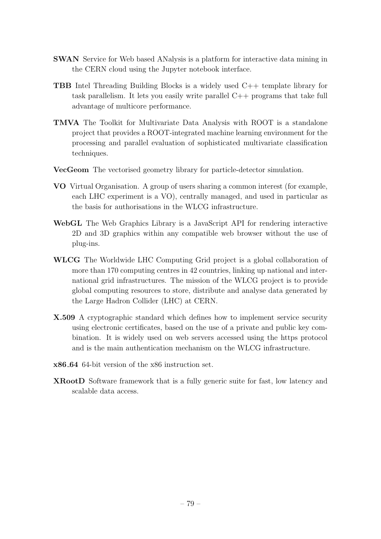- SWAN Service for Web based ANalysis is a platform for interactive data mining in the CERN cloud using the Jupyter notebook interface.
- TBB Intel Threading Building Blocks is a widely used C++ template library for task parallelism. It lets you easily write parallel C++ programs that take full advantage of multicore performance.
- TMVA The Toolkit for Multivariate Data Analysis with ROOT is a standalone project that provides a ROOT-integrated machine learning environment for the processing and parallel evaluation of sophisticated multivariate classification techniques.
- VecGeom The vectorised geometry library for particle-detector simulation.
- VO Virtual Organisation. A group of users sharing a common interest (for example, each LHC experiment is a VO), centrally managed, and used in particular as the basis for authorisations in the WLCG infrastructure.
- WebGL The Web Graphics Library is a JavaScript API for rendering interactive 2D and 3D graphics within any compatible web browser without the use of plug-ins.
- WLCG The Worldwide LHC Computing Grid project is a global collaboration of more than 170 computing centres in 42 countries, linking up national and international grid infrastructures. The mission of the WLCG project is to provide global computing resources to store, distribute and analyse data generated by the Large Hadron Collider (LHC) at CERN.
- X.509 A cryptographic standard which defines how to implement service security using electronic certificates, based on the use of a private and public key combination. It is widely used on web servers accessed using the https protocol and is the main authentication mechanism on the WLCG infrastructure.
- x86 64 64-bit version of the x86 instruction set.
- XRootD Software framework that is a fully generic suite for fast, low latency and scalable data access.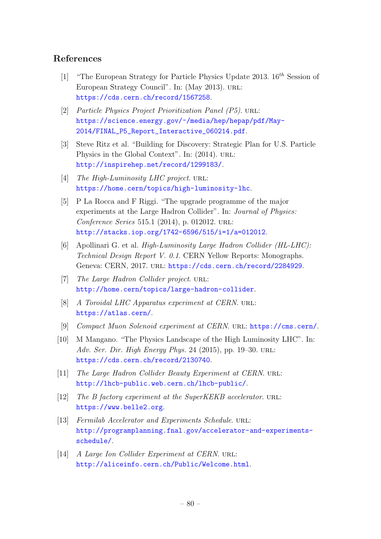## References

- [1] "The European Strategy for Particle Physics Update 2013.  $16^{th}$  Session of European Strategy Council". In: (May 2013). url: <https://cds.cern.ch/record/1567258>.
- [2] Particle Physics Project Prioritization Panel (P5). URL: [https://science.energy.gov/~/media/hep/hepap/pdf/May-](https://science.energy.gov/~/media/hep/hepap/pdf/May-2014/FINAL_P5_Report_Interactive_060214.pdf)[2014/FINAL\\_P5\\_Report\\_Interactive\\_060214.pdf](https://science.energy.gov/~/media/hep/hepap/pdf/May-2014/FINAL_P5_Report_Interactive_060214.pdf).
- [3] Steve Ritz et al. "Building for Discovery: Strategic Plan for U.S. Particle Physics in the Global Context". In:  $(2014)$ . URL: <http://inspirehep.net/record/1299183/>.
- [4] The High-Luminosity LHC project. URL: <https://home.cern/topics/high-luminosity-lhc>.
- [5] P La Rocca and F Riggi. "The upgrade programme of the major experiments at the Large Hadron Collider". In: Journal of Physics: Conference Series 515.1 (2014), p. 012012. URL: <http://stacks.iop.org/1742-6596/515/i=1/a=012012>.
- [6] Apollinari G. et al. High-Luminosity Large Hadron Collider (HL-LHC): Technical Design Report V. 0.1. CERN Yellow Reports: Monographs. Geneva: CERN, 2017. url: <https://cds.cern.ch/record/2284929>.
- [7] The Large Hadron Collider project. URL: <http://home.cern/topics/large-hadron-collider>.
- [8] A Toroidal LHC Apparatus experiment at CERN. URL: <https://atlas.cern/>.
- [9] Compact Muon Solenoid experiment at CERN. url: <https://cms.cern/>.
- [10] M Mangano. "The Physics Landscape of the High Luminosity LHC". In: Adv. Ser. Dir. High Energy Phys. 24 (2015), pp. 19–30. URL: <https://cds.cern.ch/record/2130740>.
- [11] The Large Hadron Collider Beauty Experiment at CERN. URL: <http://lhcb-public.web.cern.ch/lhcb-public/>.
- [12] The B factory experiment at the SuperKEKB accelerator. URL: <https://www.belle2.org>.
- [13] Fermilab Accelerator and Experiments Schedule. URL: [http://programplanning.fnal.gov/accelerator-and-experiments](http://programplanning.fnal.gov/accelerator-and-experiments-schedule/)[schedule/](http://programplanning.fnal.gov/accelerator-and-experiments-schedule/).
- [14] A Large Ion Collider Experiment at CERN. URL: <http://aliceinfo.cern.ch/Public/Welcome.html>.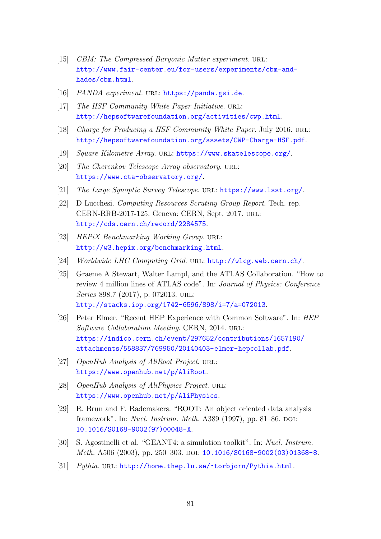- [15] CBM: The Compressed Baryonic Matter experiment. URL: [http://www.fair-center.eu/for-users/experiments/cbm-and](http://www.fair-center.eu/for-users/experiments/cbm-and-hades/cbm.html)[hades/cbm.html](http://www.fair-center.eu/for-users/experiments/cbm-and-hades/cbm.html).
- [16] PANDA experiment. URL: <https://panda.gsi.de>.
- [17] The HSF Community White Paper Initiative. URL: <http://hepsoftwarefoundation.org/activities/cwp.html>.
- [18] Charge for Producing a HSF Community White Paper. July 2016. URL: <http://hepsoftwarefoundation.org/assets/CWP-Charge-HSF.pdf>.
- [19] Square Kilometre Array. URL: <https://www.skatelescope.org/>.
- [20] The Cherenkov Telescope Array observatory. URL: <https://www.cta-observatory.org/>.
- [21] The Large Synoptic Survey Telescope. URL: <https://www.lsst.org/>.
- [22] D Lucchesi. Computing Resources Scrutiny Group Report. Tech. rep. CERN-RRB-2017-125. Geneva: CERN, Sept. 2017. url: <http://cds.cern.ch/record/2284575>.
- [23] HEPiX Benchmarking Working Group. URL: <http://w3.hepix.org/benchmarking.html>.
- [24] Worldwide LHC Computing Grid. URL: <http://wlcg.web.cern.ch/>.
- [25] Graeme A Stewart, Walter Lampl, and the ATLAS Collaboration. "How to review 4 million lines of ATLAS code". In: Journal of Physics: Conference Series 898.7 (2017), p. 072013. URL: <http://stacks.iop.org/1742-6596/898/i=7/a=072013>.
- [26] Peter Elmer. "Recent HEP Experience with Common Software". In: HEP Software Collaboration Meeting. CERN, 2014. URL: [https://indico.cern.ch/event/297652/contributions/1657190/](https://indico.cern.ch/event/297652/contributions/1657190/attachments/558837/769950/20140403-elmer-hepcollab.pdf) [attachments/558837/769950/20140403-elmer-hepcollab.pdf](https://indico.cern.ch/event/297652/contributions/1657190/attachments/558837/769950/20140403-elmer-hepcollab.pdf).
- [27] OpenHub Analysis of AliRoot Project. URL: <https://www.openhub.net/p/AliRoot>.
- [28] OpenHub Analysis of AliPhysics Project. URL: <https://www.openhub.net/p/AliPhysics>.
- [29] R. Brun and F. Rademakers. "ROOT: An object oriented data analysis framework". In: Nucl. Instrum. Meth. A389 (1997), pp. 81–86. DOI: [10.1016/S0168-9002\(97\)00048-X](http://dx.doi.org/10.1016/S0168-9002(97)00048-X).
- [30] S. Agostinelli et al. "GEANT4: a simulation toolkit". In: Nucl. Instrum. Meth. A506 (2003), pp. 250-303. DOI: [10.1016/S0168-9002\(03\)01368-8](http://dx.doi.org/10.1016/S0168-9002(03)01368-8).
- [31] Pythia. URL: <http://home.thep.lu.se/~torbjorn/Pythia.html>.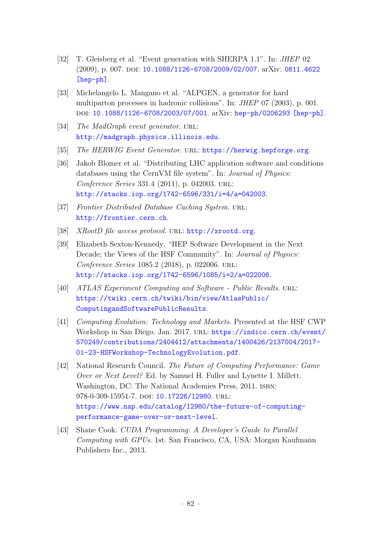- [32] T. Gleisberg et al. "Event generation with SHERPA 1.1". In: JHEP 02 (2009), p. 007. DOI: [10.1088/1126-6708/2009/02/007](http://dx.doi.org/10.1088/1126-6708/2009/02/007). arXiv: [0811.4622](http://arxiv.org/abs/0811.4622) [\[hep-ph\]](http://arxiv.org/abs/0811.4622).
- [33] Michelangelo L. Mangano et al. "ALPGEN, a generator for hard multiparton processes in hadronic collisions". In: JHEP 07 (2003), p. 001. doi: [10.1088/1126-6708/2003/07/001](http://dx.doi.org/10.1088/1126-6708/2003/07/001). arXiv: [hep-ph/0206293 \[hep-ph\]](http://arxiv.org/abs/hep-ph/0206293).
- [34] The MadGraph event generator. URL: <http://madgraph.physics.illinois.edu>.
- [35] The HERWIG Event Generator. URL: <https://herwig.hepforge.org>.
- [36] Jakob Blomer et al. "Distributing LHC application software and conditions databases using the CernVM file system". In: Journal of Physics: Conference Series 331.4 (2011), p. 042003. url: <http://stacks.iop.org/1742-6596/331/i=4/a=042003>.
- [37] Frontier Distributed Database Caching System. URL: <http://frontier.cern.ch>.
- [38] XRootD file access protocol. URL: <http://xrootd.org>.
- [39] Elizabeth Sexton-Kennedy. "HEP Software Development in the Next Decade; the Views of the HSF Community". In: Journal of Physics: Conference Series 1085.2 (2018), p. 022006. URL: <http://stacks.iop.org/1742-6596/1085/i=2/a=022006>.
- [40] ATLAS Experiment Computing and Software Public Results. URL: [https://twiki.cern.ch/twiki/bin/view/AtlasPublic/](https://twiki.cern.ch/twiki/bin/view/AtlasPublic/ComputingandSoftwarePublicResults) [ComputingandSoftwarePublicResults](https://twiki.cern.ch/twiki/bin/view/AtlasPublic/ComputingandSoftwarePublicResults).
- [41] Computing Evolution: Technology and Markets. Presented at the HSF CWP Workshop in San Diego. Jan. 2017. URL: [https://indico.cern.ch/event/](https://indico.cern.ch/event/570249/contributions/2404412/attachments/1400426/2137004/2017-01-23-HSFWorkshop-TechnologyEvolution.pdf) [570249/contributions/2404412/attachments/1400426/2137004/2017-](https://indico.cern.ch/event/570249/contributions/2404412/attachments/1400426/2137004/2017-01-23-HSFWorkshop-TechnologyEvolution.pdf) [01-23-HSFWorkshop-TechnologyEvolution.pdf](https://indico.cern.ch/event/570249/contributions/2404412/attachments/1400426/2137004/2017-01-23-HSFWorkshop-TechnologyEvolution.pdf).
- [42] National Research Council. The Future of Computing Performance: Game Over or Next Level? Ed. by Samuel H. Fuller and Lynette I. Millett. Washington, DC: The National Academies Press, 2011. ISBN: 978-0-309-15951-7. DOI: [10.17226/12980](http://dx.doi.org/10.17226/12980). URL: [https://www.nap.edu/catalog/12980/the-future-of-computing](https://www.nap.edu/catalog/12980/the-future-of-computing-performance-game-over-or-next-level)[performance-game-over-or-next-level](https://www.nap.edu/catalog/12980/the-future-of-computing-performance-game-over-or-next-level).
- [43] Shane Cook. *CUDA Programming: A Developer's Guide to Parallel* Computing with GPUs. 1st. San Francisco, CA, USA: Morgan Kaufmann Publishers Inc., 2013.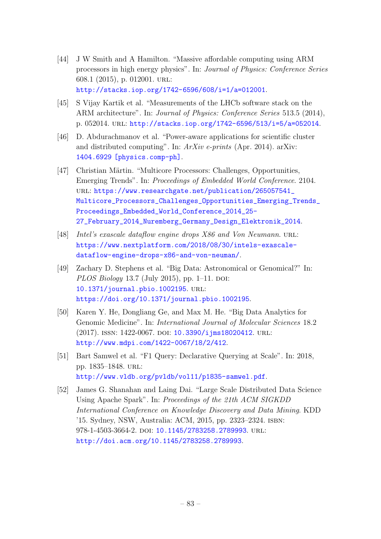- [44] J W Smith and A Hamilton. "Massive affordable computing using ARM processors in high energy physics". In: Journal of Physics: Conference Series 608.1 (2015), p. 012001. url: <http://stacks.iop.org/1742-6596/608/i=1/a=012001>.
- [45] S Vijay Kartik et al. "Measurements of the LHCb software stack on the ARM architecture". In: Journal of Physics: Conference Series 513.5 (2014), p. 052014. url: <http://stacks.iop.org/1742-6596/513/i=5/a=052014>.
- [46] D. Abdurachmanov et al. "Power-aware applications for scientific cluster and distributed computing". In: ArXiv e-prints (Apr. 2014). arXiv: [1404.6929 \[physics.comp-ph\]](http://arxiv.org/abs/1404.6929).
- [47] Christian Märtin. "Multicore Processors: Challenges, Opportunities, Emerging Trends". In: Proceedings of Embedded World Conference. 2104. url: [https://www.researchgate.net/publication/265057541\\_](https://www.researchgate.net/publication/265057541_Multicore_Processors_Challenges_Opportunities_Emerging_Trends_Proceedings_Embedded_World_Conference_2014_25-27_February_2014_Nuremberg_Germany_Design_Elektronik_2014) [Multicore\\_Processors\\_Challenges\\_Opportunities\\_Emerging\\_Trends\\_](https://www.researchgate.net/publication/265057541_Multicore_Processors_Challenges_Opportunities_Emerging_Trends_Proceedings_Embedded_World_Conference_2014_25-27_February_2014_Nuremberg_Germany_Design_Elektronik_2014) [Proceedings\\_Embedded\\_World\\_Conference\\_2014\\_25-](https://www.researchgate.net/publication/265057541_Multicore_Processors_Challenges_Opportunities_Emerging_Trends_Proceedings_Embedded_World_Conference_2014_25-27_February_2014_Nuremberg_Germany_Design_Elektronik_2014) [27\\_February\\_2014\\_Nuremberg\\_Germany\\_Design\\_Elektronik\\_2014](https://www.researchgate.net/publication/265057541_Multicore_Processors_Challenges_Opportunities_Emerging_Trends_Proceedings_Embedded_World_Conference_2014_25-27_February_2014_Nuremberg_Germany_Design_Elektronik_2014).
- [48] Intel's exascale dataflow engine drops X86 and Von Neumann. URL: [https://www.nextplatform.com/2018/08/30/intels-exascale](https://www.nextplatform.com/2018/08/30/intels-exascale-dataflow-engine-drops-x86-and-von-neuman/)[dataflow-engine-drops-x86-and-von-neuman/](https://www.nextplatform.com/2018/08/30/intels-exascale-dataflow-engine-drops-x86-and-von-neuman/).
- [49] Zachary D. Stephens et al. "Big Data: Astronomical or Genomical?" In: *PLOS Biology* 13.7 (July 2015), pp. 1–11. DOI: [10.1371/journal.pbio.1002195](http://dx.doi.org/10.1371/journal.pbio.1002195). url: <https://doi.org/10.1371/journal.pbio.1002195>.
- [50] Karen Y. He, Dongliang Ge, and Max M. He. "Big Data Analytics for Genomic Medicine". In: International Journal of Molecular Sciences 18.2 (2017). ISSN: 1422-0067. DOI: [10.3390/ijms18020412](http://dx.doi.org/10.3390/ijms18020412). URL: <http://www.mdpi.com/1422-0067/18/2/412>.
- [51] Bart Samwel et al. "F1 Query: Declarative Querying at Scale". In: 2018, pp. 1835–1848. url: <http://www.vldb.org/pvldb/vol11/p1835-samwel.pdf>.
- [52] James G. Shanahan and Laing Dai. "Large Scale Distributed Data Science Using Apache Spark". In: Proceedings of the 21th ACM SIGKDD International Conference on Knowledge Discovery and Data Mining. KDD '15. Sydney, NSW, Australia: ACM, 2015, pp. 2323–2324. isbn: 978-1-4503-3664-2. DOI: [10.1145/2783258.2789993](http://dx.doi.org/10.1145/2783258.2789993). URL: <http://doi.acm.org/10.1145/2783258.2789993>.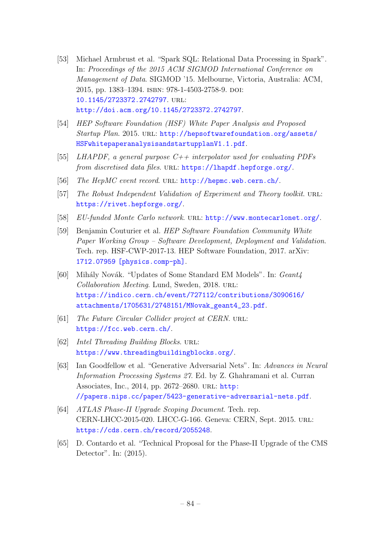- [53] Michael Armbrust et al. "Spark SQL: Relational Data Processing in Spark". In: Proceedings of the 2015 ACM SIGMOD International Conference on Management of Data. SIGMOD '15. Melbourne, Victoria, Australia: ACM, 2015, pp. 1383–1394. isbn: 978-1-4503-2758-9. doi: [10.1145/2723372.2742797](http://dx.doi.org/10.1145/2723372.2742797). url: <http://doi.acm.org/10.1145/2723372.2742797>.
- [54] HEP Software Foundation (HSF) White Paper Analysis and Proposed Startup Plan. 2015. URL: [http://hepsoftwarefoundation.org/assets/](http://hepsoftwarefoundation.org/assets/HSFwhitepaperanalysisandstartupplanV1.1.pdf) [HSFwhitepaperanalysisandstartupplanV1.1.pdf](http://hepsoftwarefoundation.org/assets/HSFwhitepaperanalysisandstartupplanV1.1.pdf).
- [55] LHAPDF, a general purpose  $C++$  interpolator used for evaluating PDFs from discretised data files. URL: <https://lhapdf.hepforge.org/>.
- [56] The HepMC event record. URL: <http://hepmc.web.cern.ch/>.
- [57] The Robust Independent Validation of Experiment and Theory toolkit. URL: <https://rivet.hepforge.org/>.
- [58] EU-funded Monte Carlo network. URL: <http://www.montecarlonet.org/>.
- [59] Benjamin Couturier et al. HEP Software Foundation Community White Paper Working Group – Software Development, Deployment and Validation. Tech. rep. HSF-CWP-2017-13. HEP Software Foundation, 2017. arXiv: [1712.07959 \[physics.comp-ph\]](http://arxiv.org/abs/1712.07959).
- [60] Mihály Novák. "Updates of Some Standard EM Models". In: Geant4 Collaboration Meeting. Lund, Sweden, 2018. URL: [https://indico.cern.ch/event/727112/contributions/3090616/](https://indico.cern.ch/event/727112/contributions/3090616/attachments/1705631/2748151/MNovak_geant4_23.pdf) [attachments/1705631/2748151/MNovak\\_geant4\\_23.pdf](https://indico.cern.ch/event/727112/contributions/3090616/attachments/1705631/2748151/MNovak_geant4_23.pdf).
- [61] The Future Circular Collider project at CERN. URL: <https://fcc.web.cern.ch/>.
- [62] Intel Threading Building Blocks. URL: <https://www.threadingbuildingblocks.org/>.
- [63] Ian Goodfellow et al. "Generative Adversarial Nets". In: Advances in Neural Information Processing Systems 27. Ed. by Z. Ghahramani et al. Curran Associates, Inc., 2014, pp. 2672–2680. url: [http:](http://papers.nips.cc/paper/5423-generative-adversarial-nets.pdf) [//papers.nips.cc/paper/5423-generative-adversarial-nets.pdf](http://papers.nips.cc/paper/5423-generative-adversarial-nets.pdf).
- [64] ATLAS Phase-II Upgrade Scoping Document. Tech. rep. CERN-LHCC-2015-020. LHCC-G-166. Geneva: CERN, Sept. 2015. url: <https://cds.cern.ch/record/2055248>.
- [65] D. Contardo et al. "Technical Proposal for the Phase-II Upgrade of the CMS Detector". In: (2015).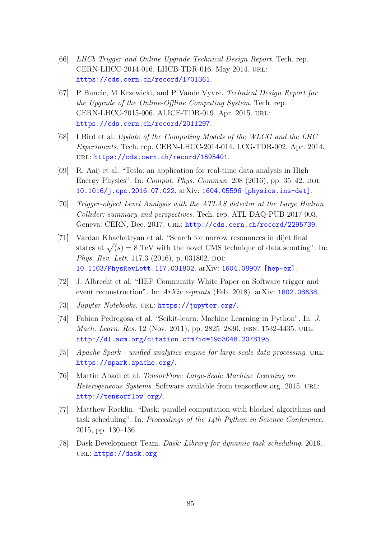- [66] LHCb Trigger and Online Upgrade Technical Design Report. Tech. rep. CERN-LHCC-2014-016. LHCB-TDR-016. May 2014. url: <https://cds.cern.ch/record/1701361>.
- [67] P Buncic, M Krzewicki, and P Vande Vyvre. Technical Design Report for the Upgrade of the Online-Offline Computing System. Tech. rep. CERN-LHCC-2015-006. ALICE-TDR-019. Apr. 2015. url: <https://cds.cern.ch/record/2011297>.
- [68] I Bird et al. Update of the Computing Models of the WLCG and the LHC Experiments. Tech. rep. CERN-LHCC-2014-014. LCG-TDR-002. Apr. 2014. url: <https://cds.cern.ch/record/1695401>.
- [69] R. Aaij et al. "Tesla: an application for real-time data analysis in High Energy Physics". In: *Comput. Phys. Commun.*  $208$  (2016), pp.  $35-42$ . DOI: [10.1016/j.cpc.2016.07.022](http://dx.doi.org/10.1016/j.cpc.2016.07.022). arXiv: [1604.05596 \[physics.ins-det\]](http://arxiv.org/abs/1604.05596).
- [70] Trigger-object Level Analysis with the ATLAS detector at the Large Hadron Collider: summary and perspectives. Tech. rep. ATL-DAQ-PUB-2017-003. Geneva: CERN, Dec. 2017. url: <http://cds.cern.ch/record/2295739>.
- [71] Vardan Khachatryan et al. "Search for narrow resonances in dijet final states at  $\sqrt(s) = 8$  TeV with the novel CMS technique of data scouting". In: Phys. Rev. Lett. 117.3 (2016), p. 031802. DOI: [10.1103/PhysRevLett.117.031802](http://dx.doi.org/10.1103/PhysRevLett.117.031802). arXiv: [1604.08907 \[hep-ex\]](http://arxiv.org/abs/1604.08907).
- [72] J. Albrecht et al. "HEP Community White Paper on Software trigger and event reconstruction". In:  $ArXiv$  e-prints (Feb. 2018). arXiv: [1802.08638](http://arxiv.org/abs/1802.08638).
- [73] Jupyter Notebooks. URL: <https://jupyter.org/>.
- [74] Fabian Pedregosa et al. "Scikit-learn: Machine Learning in Python". In: J. Mach. Learn. Res. 12 (Nov. 2011), pp. 2825–2830. issn: 1532-4435. url: <http://dl.acm.org/citation.cfm?id=1953048.2078195>.
- [75] Apache Spark unified analytics engine for large-scale data processing. URL: <https://spark.apache.org/>.
- [76] Martin Abadi et al. TensorFlow: Large-Scale Machine Learning on Heterogeneous Systems. Software available from tensorflow.org. 2015. url: <http://tensorflow.org/>.
- [77] Matthew Rocklin. "Dask: parallel computation with blocked algorithms and task scheduling". In: Proceedings of the 14th Python in Science Conference. 2015, pp. 130–136.
- [78] Dask Development Team. Dask: Library for dynamic task scheduling. 2016. url: <https://dask.org>.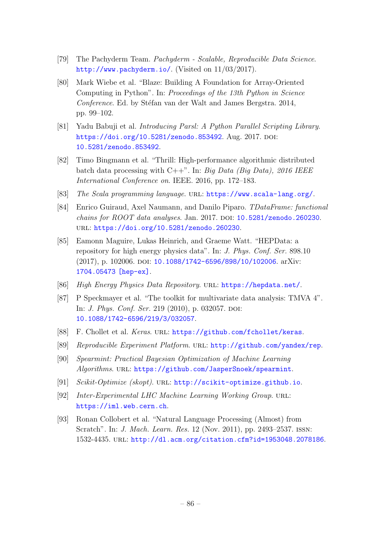- [79] The Pachyderm Team. Pachyderm Scalable, Reproducible Data Science. <http://www.pachyderm.io/>. (Visited on 11/03/2017).
- [80] Mark Wiebe et al. "Blaze: Building A Foundation for Array-Oriented Computing in Python". In: Proceedings of the 13th Python in Science Conference. Ed. by Stéfan van der Walt and James Bergstra. 2014, pp. 99–102.
- [81] Yadu Babuji et al. Introducing Parsl: A Python Parallel Scripting Library. <https://doi.org/10.5281/zenodo.853492>. Aug. 2017. DOI: [10.5281/zenodo.853492](http://dx.doi.org/10.5281/zenodo.853492).
- [82] Timo Bingmann et al. "Thrill: High-performance algorithmic distributed batch data processing with C++". In: Big Data (Big Data),  $2016$  IEEE International Conference on. IEEE. 2016, pp. 172–183.
- [83] The Scala programming language. URL: <https://www.scala-lang.org/>.
- [84] Enrico Guiraud, Axel Naumann, and Danilo Piparo. TDataFrame: functional  $chains for ROOT data analyses. Jan. 2017. DOI: 10.5281/zenodo.260230.$  $chains for ROOT data analyses. Jan. 2017. DOI: 10.5281/zenodo.260230.$  $chains for ROOT data analyses. Jan. 2017. DOI: 10.5281/zenodo.260230.$ url: <https://doi.org/10.5281/zenodo.260230>.
- [85] Eamonn Maguire, Lukas Heinrich, and Graeme Watt. "HEPData: a repository for high energy physics data". In: J. Phys. Conf. Ser. 898.10 (2017), p. 102006. DOI: [10.1088/1742-6596/898/10/102006](http://dx.doi.org/10.1088/1742-6596/898/10/102006). arXiv: [1704.05473 \[hep-ex\]](http://arxiv.org/abs/1704.05473).
- [86] High Energy Physics Data Repository. url: <https://hepdata.net/>.
- [87] P Speckmayer et al. "The toolkit for multivariate data analysis: TMVA 4". In: *J. Phys. Conf. Ser.* 219  $(2010)$ , p. 032057. DOI: [10.1088/1742-6596/219/3/032057](http://dx.doi.org/10.1088/1742-6596/219/3/032057).
- [88] F. Chollet et al. Keras. URL: <https://github.com/fchollet/keras>.
- [89] Reproducible Experiment Platform. URL: <http://github.com/yandex/rep>.
- [90] Spearmint: Practical Bayesian Optimization of Machine Learning Algorithms. URL: <https://github.com/JasperSnoek/spearmint>.
- [91] Scikit-Optimize (skopt). URL: <http://scikit-optimize.github.io>.
- [92] Inter-Experimental LHC Machine Learning Working Group. URL: <https://iml.web.cern.ch>.
- [93] Ronan Collobert et al. "Natural Language Processing (Almost) from Scratch". In: J. Mach. Learn. Res. 12 (Nov. 2011), pp. 2493–2537. issn: 1532-4435. url: <http://dl.acm.org/citation.cfm?id=1953048.2078186>.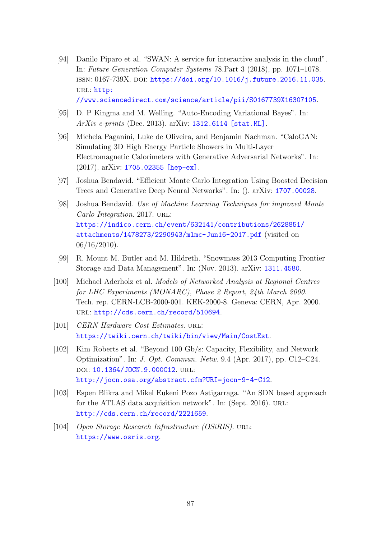- [94] Danilo Piparo et al. "SWAN: A service for interactive analysis in the cloud". In: Future Generation Computer Systems 78.Part 3 (2018), pp. 1071–1078. ISSN: 0167-739X. DOI: [https://doi.org/10.1016/j.future.2016.11.035](http://dx.doi.org/https://doi.org/10.1016/j.future.2016.11.035). URL: [http:](http://www.sciencedirect.com/science/article/pii/S0167739X16307105) [//www.sciencedirect.com/science/article/pii/S0167739X16307105](http://www.sciencedirect.com/science/article/pii/S0167739X16307105).
- [95] D. P Kingma and M. Welling. "Auto-Encoding Variational Bayes". In: ArXiv e-prints (Dec. 2013). arXiv: [1312.6114 \[stat.ML\]](http://arxiv.org/abs/1312.6114).
- [96] Michela Paganini, Luke de Oliveira, and Benjamin Nachman. "CaloGAN: Simulating 3D High Energy Particle Showers in Multi-Layer Electromagnetic Calorimeters with Generative Adversarial Networks". In: (2017). arXiv: [1705.02355 \[hep-ex\]](http://arxiv.org/abs/1705.02355).
- [97] Joshua Bendavid. "Efficient Monte Carlo Integration Using Boosted Decision Trees and Generative Deep Neural Networks". In: (). arXiv: [1707.00028](http://arxiv.org/abs/1707.00028).
- [98] Joshua Bendavid. Use of Machine Learning Techniques for improved Monte Carlo Integration. 2017. URL: [https://indico.cern.ch/event/632141/contributions/2628851/](https://indico.cern.ch/event/632141/contributions/2628851/attachments/1478273/2290943/mlmc-Jun16-2017.pdf) [attachments/1478273/2290943/mlmc-Jun16-2017.pdf](https://indico.cern.ch/event/632141/contributions/2628851/attachments/1478273/2290943/mlmc-Jun16-2017.pdf) (visited on  $06/16/2010$ ).
- [99] R. Mount M. Butler and M. Hildreth. "Snowmass 2013 Computing Frontier Storage and Data Management". In: (Nov. 2013). arXiv: [1311.4580](http://arxiv.org/abs/1311.4580).
- [100] Michael Aderholz et al. Models of Networked Analysis at Regional Centres for LHC Experiments (MONARC), Phase 2 Report, 24th March 2000. Tech. rep. CERN-LCB-2000-001. KEK-2000-8. Geneva: CERN, Apr. 2000. url: <http://cds.cern.ch/record/510694>.
- [101] CERN Hardware Cost Estimates. URL: <https://twiki.cern.ch/twiki/bin/view/Main/CostEst>.
- [102] Kim Roberts et al. "Beyond 100 Gb/s: Capacity, Flexibility, and Network Optimization". In: J. Opt. Commun. Netw. 9.4 (Apr. 2017), pp. C12–C24. doi: [10.1364/JOCN.9.000C12](http://dx.doi.org/10.1364/JOCN.9.000C12). url: <http://jocn.osa.org/abstract.cfm?URI=jocn-9-4-C12>.
- [103] Espen Blikra and Mikel Eukeni Pozo Astigarraga. "An SDN based approach for the ATLAS data acquisition network". In: (Sept. 2016). URL: <http://cds.cern.ch/record/2221659>.
- [104] Open Storage Research Infrastructure (OSiRIS). URL: <https://www.osris.org>.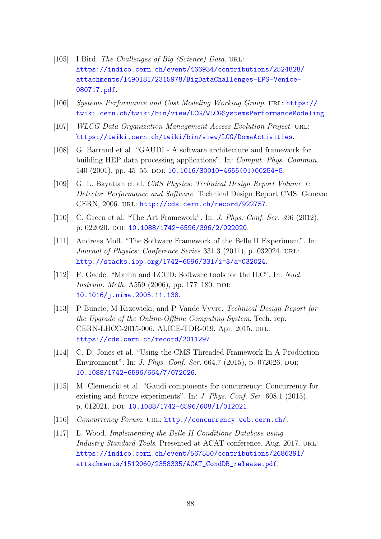- [105] I Bird. The Challenges of Big (Science) Data. URL: [https://indico.cern.ch/event/466934/contributions/2524828/](https://indico.cern.ch/event/466934/contributions/2524828/attachments/1490181/2315978/BigDataChallenges-EPS-Venice-080717.pdf) [attachments/1490181/2315978/BigDataChallenges-EPS-Venice-](https://indico.cern.ch/event/466934/contributions/2524828/attachments/1490181/2315978/BigDataChallenges-EPS-Venice-080717.pdf)[080717.pdf](https://indico.cern.ch/event/466934/contributions/2524828/attachments/1490181/2315978/BigDataChallenges-EPS-Venice-080717.pdf).
- [106] Systems Performance and Cost Modeling Working Group. url: [https://](https://twiki.cern.ch/twiki/bin/view/LCG/WLCGSystemsPerformanceModeling) [twiki.cern.ch/twiki/bin/view/LCG/WLCGSystemsPerformanceModeling](https://twiki.cern.ch/twiki/bin/view/LCG/WLCGSystemsPerformanceModeling).
- [107] WLCG Data Organization Management Access Evolution Project. URL: <https://twiki.cern.ch/twiki/bin/view/LCG/DomaActivities>.
- [108] G. Barrand et al. "GAUDI A software architecture and framework for building HEP data processing applications". In: Comput. Phys. Commun. 140 (2001), pp. 45–55. doi: [10.1016/S0010-4655\(01\)00254-5](http://dx.doi.org/10.1016/S0010-4655(01)00254-5).
- [109] G. L. Bayatian et al. CMS Physics: Technical Design Report Volume 1: Detector Performance and Software. Technical Design Report CMS. Geneva: CERN, 2006. url: <http://cds.cern.ch/record/922757>.
- [110] C. Green et al. "The Art Framework". In: *J. Phys. Conf. Ser.* 396 (2012), p. 022020. doi: [10.1088/1742-6596/396/2/022020](http://dx.doi.org/10.1088/1742-6596/396/2/022020).
- [111] Andreas Moll. "The Software Framework of the Belle II Experiment". In: Journal of Physics: Conference Series 331.3 (2011), p. 032024. URL: <http://stacks.iop.org/1742-6596/331/i=3/a=032024>.
- [112] F. Gaede. "Marlin and LCCD: Software tools for the ILC". In: Nucl. *Instrum. Meth.* A559 (2006), pp. 177–180. DOI: [10.1016/j.nima.2005.11.138](http://dx.doi.org/10.1016/j.nima.2005.11.138).
- [113] P Buncic, M Krzewicki, and P Vande Vyvre. Technical Design Report for the Upgrade of the Online-Offline Computing System. Tech. rep. CERN-LHCC-2015-006. ALICE-TDR-019. Apr. 2015. url: <https://cds.cern.ch/record/2011297>.
- [114] C. D. Jones et al. "Using the CMS Threaded Framework In A Production Environment". In: *J. Phys. Conf. Ser.* 664.7 (2015), p. 072026. DOI: [10.1088/1742-6596/664/7/072026](http://dx.doi.org/10.1088/1742-6596/664/7/072026).
- [115] M. Clemencic et al. "Gaudi components for concurrency: Concurrency for existing and future experiments". In: *J. Phys. Conf. Ser.* 608.1 (2015), p. 012021. doi: [10.1088/1742-6596/608/1/012021](http://dx.doi.org/10.1088/1742-6596/608/1/012021).
- [116] Concurrency Forum. URL: <http://concurrency.web.cern.ch/>.
- [117] L. Wood. Implementing the Belle II Conditions Database using Industry-Standard Tools. Presented at ACAT conference. Aug. 2017. URL: [https://indico.cern.ch/event/567550/contributions/2686391/](https://indico.cern.ch/event/567550/contributions/2686391/attachments/1512060/2358335/ACAT_CondDB_release.pdf) [attachments/1512060/2358335/ACAT\\_CondDB\\_release.pdf](https://indico.cern.ch/event/567550/contributions/2686391/attachments/1512060/2358335/ACAT_CondDB_release.pdf).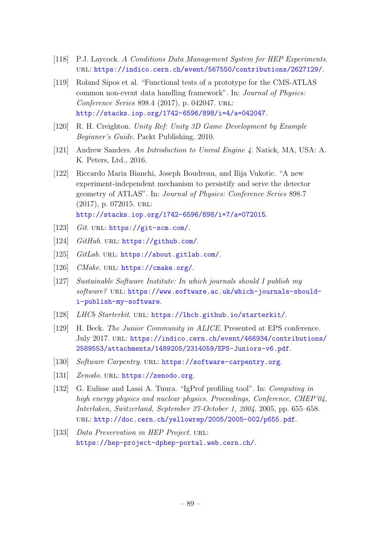- [118] P.J. Laycock. A Conditions Data Management System for HEP Experiments. url: <https://indico.cern.ch/event/567550/contributions/2627129/>.
- [119] Roland Sipos et al. "Functional tests of a prototype for the CMS-ATLAS common non-event data handling framework". In: Journal of Physics: Conference Series 898.4 (2017), p. 042047. url: <http://stacks.iop.org/1742-6596/898/i=4/a=042047>.
- [120] R. H. Creighton. Unity Ref: Unity 3D Game Development by Example Beginner's Guide. Packt Publishing, 2010.
- [121] Andrew Sanders. An Introduction to Unreal Engine 4. Natick, MA, USA: A. K. Peters, Ltd., 2016.
- [122] Riccardo Maria Bianchi, Joseph Boudreau, and Ilija Vukotic. "A new experiment-independent mechanism to persistify and serve the detector geometry of ATLAS". In: Journal of Physics: Conference Series 898.7 (2017), p. 072015. url: <http://stacks.iop.org/1742-6596/898/i=7/a=072015>.
- [123] Git. URL: <https://git-scm.com/>.
- [124] GitHub. URL: <https://github.com/>.
- [125] GitLab. URL: <https://about.gitlab.com/>.
- [126] CMake. URL: <https://cmake.org/>.
- [127] Sustainable Software Institute: In which journals should I publish my software? URL: [https://www.software.ac.uk/which-journals-should](https://www.software.ac.uk/which-journals-should-i-publish-my-software)[i-publish-my-software](https://www.software.ac.uk/which-journals-should-i-publish-my-software).
- [128] LHCb Starterkit. URL: <https://lhcb.github.io/starterkit/>.
- [129] H. Beck. The Junior Community in ALICE. Presented at EPS conference. July 2017. url: [https://indico.cern.ch/event/466934/contributions/](https://indico.cern.ch/event/466934/contributions/2589553/attachments/1489205/2314059/EPS-Juniors-v6.pdf) [2589553/attachments/1489205/2314059/EPS-Juniors-v6.pdf](https://indico.cern.ch/event/466934/contributions/2589553/attachments/1489205/2314059/EPS-Juniors-v6.pdf).
- [130] Software Carpentry. URL: <https://software-carpentry.org>.
- [131] Zenodo. URL: <https://zenodo.org>.
- [132] G. Eulisse and Lassi A. Tuura. "IgProf profiling tool". In: Computing in high energy physics and nuclear physics. Proceedings, Conference, CHEP'04, Interlaken, Switzerland, September 27-October 1, 2004. 2005, pp. 655–658. url: <http://doc.cern.ch/yellowrep/2005/2005-002/p655.pdf>.
- [133] Data Preservation in HEP Project. URL: <https://hep-project-dphep-portal.web.cern.ch/>.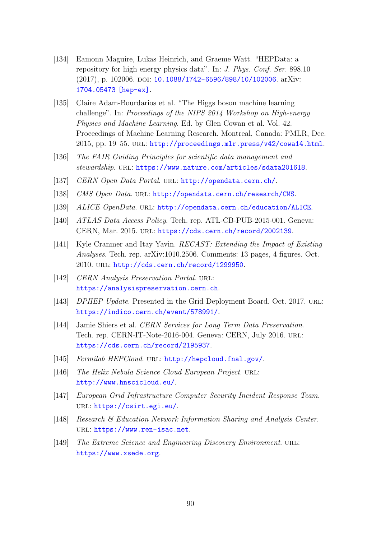- [134] Eamonn Maguire, Lukas Heinrich, and Graeme Watt. "HEPData: a repository for high energy physics data". In: J. Phys. Conf. Ser. 898.10 (2017), p. 102006. DOI: [10.1088/1742-6596/898/10/102006](http://dx.doi.org/10.1088/1742-6596/898/10/102006). arXiv: [1704.05473 \[hep-ex\]](http://arxiv.org/abs/1704.05473).
- [135] Claire Adam-Bourdarios et al. "The Higgs boson machine learning challenge". In: Proceedings of the NIPS 2014 Workshop on High-energy Physics and Machine Learning. Ed. by Glen Cowan et al. Vol. 42. Proceedings of Machine Learning Research. Montreal, Canada: PMLR, Dec. 2015, pp. 19–55. url: <http://proceedings.mlr.press/v42/cowa14.html>.
- [136] The FAIR Guiding Principles for scientific data management and stewardship. URL: <https://www.nature.com/articles/sdata201618>.
- [137] CERN Open Data Portal. URL: <http://opendata.cern.ch/>.
- [138] CMS Open Data. URL: <http://opendata.cern.ch/research/CMS>.
- [139] ALICE OpenData. URL: <http://opendata.cern.ch/education/ALICE>.
- [140] ATLAS Data Access Policy. Tech. rep. ATL-CB-PUB-2015-001. Geneva: CERN, Mar. 2015. URL: <https://cds.cern.ch/record/2002139>.
- [141] Kyle Cranmer and Itay Yavin. RECAST: Extending the Impact of Existing Analyses. Tech. rep. arXiv:1010.2506. Comments: 13 pages, 4 figures. Oct. 2010. url: <http://cds.cern.ch/record/1299950>.
- [142] CERN Analysis Preservation Portal. URL: <https://analysispreservation.cern.ch>.
- [143] *DPHEP Update*. Presented in the Grid Deployment Board. Oct. 2017. URL: <https://indico.cern.ch/event/578991/>.
- [144] Jamie Shiers et al. CERN Services for Long Term Data Preservation. Tech. rep. CERN-IT-Note-2016-004. Geneva: CERN, July 2016. url: <https://cds.cern.ch/record/2195937>.
- [145] Fermilab HEPCloud. URL: <http://hepcloud.fnal.gov/>.
- [146] The Helix Nebula Science Cloud European Project. URL: <http://www.hnscicloud.eu/>.
- [147] European Grid Infrastructure Computer Security Incident Response Team. url: <https://csirt.egi.eu/>.
- [148] Research & Education Network Information Sharing and Analysis Center. url: <https://www.ren-isac.net>.
- [149] The Extreme Science and Engineering Discovery Environment. URL: <https://www.xsede.org>.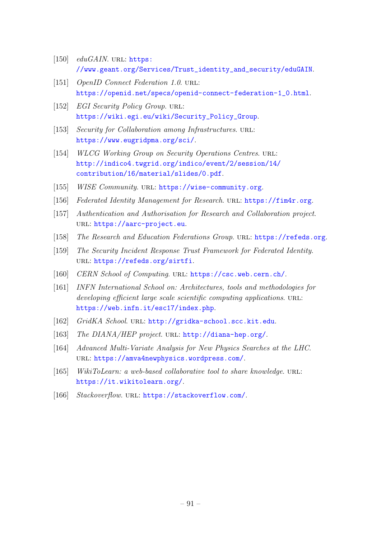- [150]  $eduGAIN$ . URL: [https:](https://www.geant.org/Services/Trust_identity_and_security/eduGAIN) [//www.geant.org/Services/Trust\\_identity\\_and\\_security/eduGAIN](https://www.geant.org/Services/Trust_identity_and_security/eduGAIN).
- [151] *OpenID Connect Federation 1.0.* URL: [https://openid.net/specs/openid-connect-federation-1\\_0.html](https://openid.net/specs/openid-connect-federation-1_0.html).
- [152] EGI Security Policy Group. URL: [https://wiki.egi.eu/wiki/Security\\_Policy\\_Group](https://wiki.egi.eu/wiki/Security_Policy_Group).
- [153] Security for Collaboration among Infrastructures. URL: <https://www.eugridpma.org/sci/>.
- [154] WLCG Working Group on Security Operations Centres. URL: [http://indico4.twgrid.org/indico/event/2/session/14/](http://indico4.twgrid.org/indico/event/2/session/14/contribution/16/material/slides/0.pdf) [contribution/16/material/slides/0.pdf](http://indico4.twgrid.org/indico/event/2/session/14/contribution/16/material/slides/0.pdf).
- [155] WISE Community. URL: <https://wise-community.org>.
- [156] Federated Identity Management for Research. URL: <https://fim4r.org>.
- [157] Authentication and Authorisation for Research and Collaboration project. url: <https://aarc-project.eu>.
- [158] The Research and Education Federations Group. URL: <https://refeds.org>.
- [159] The Security Incident Response Trust Framework for Federated Identity. url: <https://refeds.org/sirtfi>.
- [160] CERN School of Computing. URL: <https://csc.web.cern.ch/>.
- [161] INFN International School on: Architectures, tools and methodologies for developing efficient large scale scientific computing applications. URL: <https://web.infn.it/esc17/index.php>.
- [162] GridKA School. URL: <http://gridka-school.scc.kit.edu>.
- [163] The DIANA/HEP project. URL: <http://diana-hep.org/>.
- [164] Advanced Multi-Variate Analysis for New Physics Searches at the LHC. url: <https://amva4newphysics.wordpress.com/>.
- [165] WikiToLearn: a web-based collaborative tool to share knowledge. URL: <https://it.wikitolearn.org/>.
- [166] Stackoverflow. URL: <https://stackoverflow.com/>.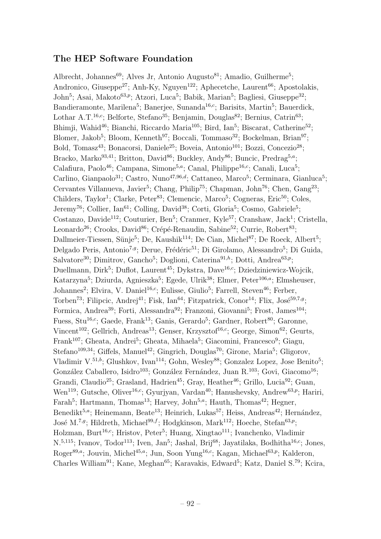## The HEP Software Foundation

Albrecht, Johannes<sup>69</sup>; Alves Jr, Antonio Augusto<sup>81</sup>; Amadio, Guilherme<sup>5</sup>; Andronico, Giuseppe<sup>27</sup>; Anh-Ky, Nguyen<sup>122</sup>; Aphecetche, Laurent<sup>66</sup>; Apostolakis, John<sup>5</sup>; Asai, Makoto<sup>63,p</sup>; Atzori, Luca<sup>5</sup>; Babik, Marian<sup>5</sup>; Bagliesi, Giuseppe<sup>32</sup>; Bandieramonte, Marilena<sup>5</sup>; Banerjee, Sunanda<sup>16,c</sup>; Barisits, Martin<sup>5</sup>; Bauerdick, Lothar A.T.<sup>16,c</sup>; Belforte, Stefano<sup>35</sup>; Benjamin, Douglas<sup>82</sup>; Bernius, Catrin<sup>63</sup>; Bhimji, Wahid<sup>46</sup>; Bianchi, Riccardo Maria<sup>105</sup>; Bird, Ian<sup>5</sup>; Biscarat, Catherine<sup>52</sup>; Blomer, Jakob<sup>5</sup>; Bloom, Kenneth<sup>97</sup>; Boccali, Tommaso<sup>32</sup>; Bockelman, Brian<sup>97</sup>; Bold, Tomasz<sup>43</sup>; Bonacorsi, Daniele<sup>25</sup>; Boveia, Antonio<sup>101</sup>; Bozzi, Concezio<sup>28</sup>; Bracko, Marko<sup>93,41</sup>; Britton, David<sup>86</sup>; Buckley, Andy<sup>86</sup>; Buncic, Predrag<sup>5,a</sup>; Calafiura, Paolo<sup>46</sup>; Campana, Simone<sup>5,a</sup>; Canal, Philippe<sup>16,c</sup>; Canali, Luca<sup>5</sup>; Carlino, Gianpaolo<sup>31</sup>; Castro, Nuno<sup>47,96,d</sup>; Cattaneo, Marco<sup>5</sup>; Cerminara, Gianluca<sup>5</sup>; Cervantes Villanueva, Javier<sup>5</sup>; Chang, Philip<sup>75</sup>; Chapman, John<sup>76</sup>; Chen, Gang<sup>23</sup>; Childers, Taylor<sup>1</sup>; Clarke, Peter<sup>83</sup>; Clemencic, Marco<sup>5</sup>; Cogneras, Eric<sup>50</sup>; Coles, Jeremy<sup>76</sup>; Collier, Ian<sup>61</sup>; Colling, David<sup>38</sup>; Corti, Gloria<sup>5</sup>; Cosmo, Gabriele<sup>5</sup>; Costanzo, Davide<sup>112</sup>; Couturier, Ben<sup>5</sup>; Cranmer, Kyle<sup>57</sup>; Cranshaw, Jack<sup>1</sup>; Cristella, Leonardo<sup>26</sup>; Crooks, David<sup>86</sup>; Crépé-Renaudin, Sabine<sup>52</sup>; Currie, Robert<sup>83</sup>; Dallmeier-Tiessen, Sünje<sup>5</sup>; De, Kaushik<sup>114</sup>; De Cian, Michel<sup>87</sup>; De Roeck, Albert<sup>5</sup>; Delgado Peris, Antonio<sup>7,9</sup>; Derue, Frédéric<sup>51</sup>; Di Girolamo, Alessandro<sup>5</sup>; Di Guida, Salvatore<sup>30</sup>; Dimitrov, Gancho<sup>5</sup>; Doglioni, Caterina<sup>91,h</sup>; Dotti, Andrea<sup>63,p</sup>; Duellmann, Dirk<sup>5</sup>; Duflot, Laurent<sup>45</sup>; Dykstra, Dave<sup>16,c</sup>; Dziedziniewicz-Wojcik, Katarzyna<sup>5</sup>; Dziurda, Agnieszka<sup>5</sup>; Egede, Ulrik<sup>38</sup>; Elmer, Peter<sup>106,a</sup>; Elmsheuser, Johannes<sup>2</sup>; Elvira, V. Daniel<sup>16,c</sup>; Eulisse, Giulio<sup>5</sup>; Farrell, Steven<sup>46</sup>; Ferber, Torben<sup>73</sup>; Filipcic, Andrej<sup>41</sup>; Fisk, Ian<sup>64</sup>; Fitzpatrick, Conor<sup>14</sup>; Flix, José<sup>59,7,g</sup>; Formica, Andrea<sup>39</sup>; Forti, Alessandra<sup>92</sup>; Franzoni, Giovanni<sup>5</sup>; Frost, James<sup>104</sup>; Fuess, Stu<sup>16,c</sup>; Gaede, Frank<sup>13</sup>; Ganis, Gerardo<sup>5</sup>; Gardner, Robert<sup>80</sup>; Garonne, Vincent<sup>102</sup>; Gellrich, Andreas<sup>13</sup>; Genser, Krzysztof<sup>16,c</sup>; George, Simon<sup>62</sup>; Geurts, Frank<sup>107</sup>; Gheata, Andrei<sup>5</sup>; Gheata, Mihaela<sup>5</sup>; Giacomini, Francesco<sup>9</sup>; Giagu, Stefano<sup>109,34</sup>; Giffels, Manuel<sup>42</sup>; Gingrich, Douglas<sup>70</sup>; Girone, Maria<sup>5</sup>; Gligorov, Vladimir V.<sup>51,b</sup>; Glushkov, Ivan<sup>114</sup>; Gohn, Wesley<sup>88</sup>; Gonzalez Lopez, Jose Benito<sup>5</sup>; González Caballero, Isidro<sup>103</sup>; González Fernández, Juan R.<sup>103</sup>; Govi, Giacomo<sup>16</sup>; Grandi, Claudio<sup>25</sup>; Grasland, Hadrien<sup>45</sup>; Gray, Heather<sup>46</sup>; Grillo, Lucia<sup>92</sup>; Guan, Wen<sup>119</sup>; Gutsche, Oliver<sup>16,c</sup>; Gyurjyan, Vardan<sup>40</sup>; Hanushevsky, Andrew<sup>63,p</sup>; Hariri, Farah<sup>5</sup>; Hartmann, Thomas<sup>13</sup>; Harvey, John<sup>5,a</sup>; Hauth, Thomas<sup>42</sup>; Hegner, Benedikt<sup>5,a</sup>; Heinemann, Beate<sup>13</sup>; Heinrich, Lukas<sup>57</sup>; Heiss, Andreas<sup>42</sup>; Hernández, José M.<sup>7,g</sup>; Hildreth, Michael<sup>99,f</sup>; Hodgkinson, Mark<sup>112</sup>; Hoeche, Stefan<sup>63,p</sup>; Holzman, Burt<sup>16,c</sup>; Hristov, Peter<sup>5</sup>; Huang, Xingtao<sup>111</sup>; Ivanchenko, Vladimir N.<sup>5,115</sup>; Ivanov, Todor<sup>113</sup>; Iven, Jan<sup>5</sup>; Jashal, Brij<sup>68</sup>; Jayatilaka, Bodhitha<sup>16,c</sup>; Jones, Roger<sup>89,a</sup>; Jouvin, Michel<sup>45,a</sup>; Jun, Soon Yung<sup>16,c</sup>; Kagan, Michael<sup>63,p</sup>; Kalderon, Charles William<sup>91</sup>; Kane, Meghan<sup>65</sup>; Karavakis, Edward<sup>5</sup>; Katz, Daniel S.<sup>79</sup>; Kcira,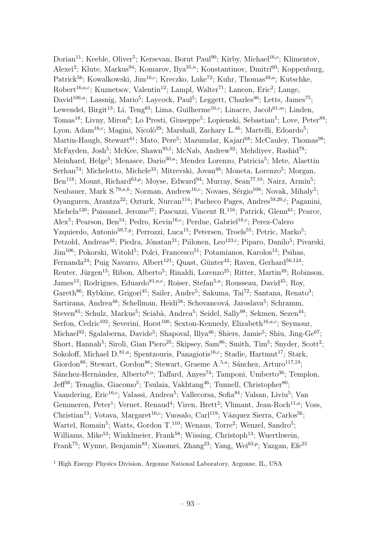Dorian<sup>11</sup>; Keeble, Oliver<sup>5</sup>; Kersevan, Borut Paul<sup>90</sup>; Kirby, Michael<sup>16,c</sup>; Klimentov, Alexei<sup>2</sup>; Klute, Markus<sup>94</sup>; Komarov, Ilya<sup>35,n</sup>; Konstantinov, Dmitri<sup>60</sup>; Koppenburg, Patrick<sup>56</sup>; Kowalkowski, Jim<sup>16,c</sup>; Kreczko, Luke<sup>72</sup>; Kuhr, Thomas<sup>49,a</sup>; Kutschke, Robert<sup>16,a,c</sup>; Kuznetsov, Valentin<sup>12</sup>; Lampl, Walter<sup>71</sup>; Lancon, Eric<sup>2</sup>; Lange, David<sup>106,a</sup>; Lassnig, Mario<sup>5</sup>; Laycock, Paul<sup>5</sup>; Leggett, Charles<sup>46</sup>; Letts, James<sup>75</sup>; Lewendel, Birgit<sup>13</sup>; Li, Teng<sup>83</sup>; Lima, Guilherme<sup>16,c</sup>; Linacre, Jacob<sup>61,m</sup>; Linden, Tomas<sup>18</sup>; Livny, Miron<sup>6</sup>; Lo Presti, Giuseppe<sup>5</sup>; Lopienski, Sebastian<sup>5</sup>; Love, Peter<sup>89</sup>; Lyon, Adam<sup>16,c</sup>; Magini, Nicolò<sup>29</sup>; Marshall, Zachary L.<sup>46</sup>; Martelli, Edoardo<sup>5</sup>; Martin-Haugh, Stewart<sup>61</sup>; Mato, Pere<sup>5</sup>; Mazumdar, Kajari<sup>68</sup>; McCauley, Thomas<sup>99</sup>; McFayden, Josh<sup>5</sup>; McKee, Shawn<sup>95,1</sup>; McNab, Andrew<sup>92</sup>; Mehdiyev, Rashid<sup>78</sup>; Meinhard, Helge<sup>5</sup>; Menasce, Dario<sup>30,a</sup>; Mendez Lorenzo, Patricia<sup>5</sup>; Mete, Alaettin Serhan<sup>74</sup>; Michelotto, Michele<sup>33</sup>; Mitrevski, Jovan<sup>49</sup>; Moneta, Lorenzo<sup>5</sup>; Morgan, Ben<sup>118</sup>; Mount, Richard<sup>63,p</sup>; Moyse, Edward<sup>94</sup>; Murray, Sean<sup>77,10</sup>; Nairz, Armin<sup>5</sup>; Neubauer, Mark S.<sup>79,a,k</sup>; Norman, Andrew<sup>16,c</sup>; Novaes, Sérgio<sup>108</sup>; Novak, Mihaly<sup>5</sup>; Oyanguren, Arantza<sup>22</sup>; Ozturk, Nurcan<sup>114</sup>; Pacheco Pages, Andres<sup>59,20,j</sup>; Paganini, Michela<sup>120</sup>; Pansanel, Jerome<sup>37</sup>; Pascuzzi, Vincent R.<sup>116</sup>; Patrick, Glenn<sup>61</sup>; Pearce, Alex<sup>5</sup>; Pearson, Ben<sup>54</sup>; Pedro, Kevin<sup>16,c</sup>; Perdue, Gabriel<sup>16,c</sup>; Perez-Calero Yzquierdo, Antonio<sup>59,7,9</sup>; Perrozzi, Luca<sup>15</sup>; Petersen, Troels<sup>55</sup>; Petric, Marko<sup>5</sup>; Petzold, Andreas<sup>42</sup>; Piedra, Jónatan<sup>21</sup>; Piilonen, Leo<sup>123,*i*</sup>; Piparo, Danilo<sup>5</sup>; Pivarski, Jim<sup>106</sup>; Pokorski, Witold<sup>5</sup>; Polci, Francesco<sup>51</sup>; Potamianos, Karolos<sup>13</sup>; Psihas, Fernanda<sup>24</sup>; Puig Navarro, Albert<sup>121</sup>; Quast, Günter<sup>42</sup>; Raven, Gerhard<sup>56,124</sup>; Reuter, Jürgen<sup>13</sup>; Ribon, Alberto<sup>5</sup>; Rinaldi, Lorenzo<sup>25</sup>; Ritter, Martin<sup>49</sup>; Robinson, James<sup>13</sup>; Rodrigues, Eduardo<sup>81,a,e</sup>; Roiser, Stefan<sup>5,a</sup>; Rousseau, David<sup>45</sup>; Roy, Gareth<sup>86</sup>; Rybkine, Grigori<sup>45</sup>; Sailer, Andre<sup>5</sup>; Sakuma, Tai<sup>72</sup>; Santana, Renato<sup>3</sup>; Sartirana, Andrea<sup>48</sup>; Schellman, Heidi<sup>58</sup>; Schovancová, Jaroslava<sup>5</sup>; Schramm, Steven<sup>85</sup>; Schulz, Markus<sup>5</sup>; Sciabà, Andrea<sup>5</sup>; Seidel, Sally<sup>98</sup>; Sekmen, Sezen<sup>44</sup>; Serfon, Cedric<sup>102</sup>; Severini, Horst<sup>100</sup>; Sexton-Kennedy, Elizabeth<sup>16,a,c</sup>; Seymour, Michael<sup>92</sup>; Sgalaberna, Davide<sup>5</sup>; Shapoval, Illya<sup>46</sup>; Shiers, Jamie<sup>5</sup>; Shiu, Jing-Ge<sup>67</sup>; Short, Hannah<sup>5</sup>; Siroli, Gian Piero<sup>25</sup>; Skipsey, Sam<sup>86</sup>; Smith, Tim<sup>5</sup>; Snyder, Scott<sup>2</sup>; Sokoloff, Michael D.<sup>81,a</sup>; Spentzouris, Panagiotis<sup>16,c</sup>; Stadie, Hartmut<sup>17</sup>; Stark, Giordon<sup>80</sup>; Stewart, Gordon<sup>86</sup>; Stewart, Graeme A.<sup>5,a</sup>; Sánchez, Arturo<sup>117,19</sup>;  $Sánchez-Hernández, Alberto<sup>8,0</sup>; Taffard, Anyes<sup>74</sup>; Tamponi, Umberto<sup>36</sup>; Templon,$ Jeff<sup>56</sup>; Tenaglia, Giacomo<sup>5</sup>; Tsulaia, Vakhtang<sup>46</sup>; Tunnell, Christopher<sup>80</sup>; Vaandering, Eric<sup>16,c</sup>; Valassi, Andrea<sup>5</sup>; Vallecorsa, Sofia<sup>84</sup>; Valsan, Liviu<sup>5</sup>; Van Gemmeren, Peter<sup>1</sup>; Vernet, Renaud<sup>4</sup>; Viren, Brett<sup>2</sup>; Vlimant, Jean-Roch<sup>11,a</sup>; Voss, Christian<sup>13</sup>; Votava, Margaret<sup>16,c</sup>; Vuosalo, Carl<sup>119</sup>; Vázquez Sierra, Carlos<sup>56</sup>; Wartel, Romain<sup>5</sup>; Watts, Gordon T.<sup>110</sup>; Wenaus, Torre<sup>2</sup>; Wenzel, Sandro<sup>5</sup>; Williams, Mike<sup>53</sup>; Winklmeier, Frank<sup>58</sup>; Wissing, Christoph<sup>13</sup>; Wuerthwein, Frank<sup>75</sup>; Wynne, Benjamin<sup>83</sup>; Xiaomei, Zhang<sup>23</sup>; Yang, Wei<sup>63,p</sup>; Yazgan, Efe<sup>23</sup>

<sup>1</sup> High Energy Physics Division, Argonne National Laboratory, Argonne, IL, USA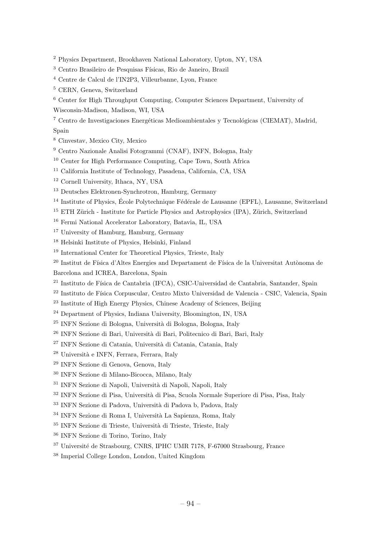- <sup>2</sup> Physics Department, Brookhaven National Laboratory, Upton, NY, USA
- <sup>3</sup> Centro Brasileiro de Pesquisas Físicas, Rio de Janeiro, Brazil
- <sup>4</sup> Centre de Calcul de l'IN2P3, Villeurbanne, Lyon, France
- <sup>5</sup> CERN, Geneva, Switzerland
- <sup>6</sup> Center for High Throughput Computing, Computer Sciences Department, University of
- Wisconsin-Madison, Madison, WI, USA

<sup>7</sup> Centro de Investigaciones Energéticas Medioambientales y Tecnológicas (CIEMAT), Madrid,

- Spain
- <sup>8</sup> Cinvestav, Mexico City, Mexico
- <sup>9</sup> Centro Nazionale Analisi Fotogrammi (CNAF), INFN, Bologna, Italy
- <sup>10</sup> Center for High Performance Computing, Cape Town, South Africa
- <sup>11</sup> California Institute of Technology, Pasadena, California, CA, USA
- <sup>12</sup> Cornell University, Ithaca, NY, USA
- <sup>13</sup> Deutsches Elektronen-Synchrotron, Hamburg, Germany
- $14$  Institute of Physics, École Polytechnique Fédérale de Lausanne (EPFL), Lausanne, Switzerland
- $15$  ETH Zürich Institute for Particle Physics and Astrophysics (IPA), Zürich, Switzerland
- <sup>16</sup> Fermi National Accelerator Laboratory, Batavia, IL, USA
- <sup>17</sup> University of Hamburg, Hamburg, Germany
- <sup>18</sup> Helsinki Institute of Physics, Helsinki, Finland
- <sup>19</sup> International Center for Theoretical Physics, Trieste, Italy
- <sup>20</sup> Institut de Física d'Altes Energies and Departament de Física de la Universitat Autònoma de Barcelona and ICREA, Barcelona, Spain
- <sup>21</sup> Instituto de Física de Cantabria (IFCA), CSIC-Universidad de Cantabria, Santander, Spain
- <sup>22</sup> Instituto de Física Corpuscular, Centro Mixto Universidad de Valencia CSIC, Valencia, Spain
- <sup>23</sup> Institute of High Energy Physics, Chinese Academy of Sciences, Beijing
- <sup>24</sup> Department of Physics, Indiana University, Bloomington, IN, USA
- <sup>25</sup> INFN Sezione di Bologna, Università di Bologna, Bologna, Italy
- <sup>26</sup> INFN Sezione di Bari, Università di Bari, Politecnico di Bari, Bari, Italy
- <sup>27</sup> INFN Sezione di Catania, Università di Catania, Catania, Italy
- $28$  Università e INFN, Ferrara, Ferrara, Italy
- <sup>29</sup> INFN Sezione di Genova, Genova, Italy
- <sup>30</sup> INFN Sezione di Milano-Bicocca, Milano, Italy
- <sup>31</sup> INFN Sezione di Napoli, Università di Napoli, Napoli, Italy
- <sup>32</sup> INFN Sezione di Pisa, Università di Pisa, Scuola Normale Superiore di Pisa, Pisa, Italy
- <sup>33</sup> INFN Sezione di Padova, Università di Padova b, Padova, Italy
- <sup>34</sup> INFN Sezione di Roma I, Università La Sapienza, Roma, Italy
- $35$  INFN Sezione di Trieste, Università di Trieste, Trieste, Italy
- <sup>36</sup> INFN Sezione di Torino, Torino, Italy
- <sup>37</sup> Université de Strasbourg, CNRS, IPHC UMR 7178, F-67000 Strasbourg, France
- <sup>38</sup> Imperial College London, London, United Kingdom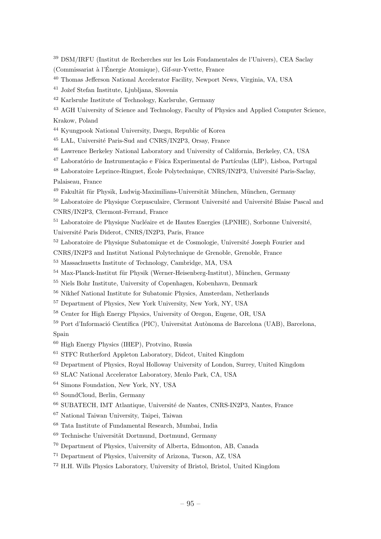<sup>39</sup> DSM/IRFU (Institut de Recherches sur les Lois Fondamentales de l'Univers), CEA Saclay (Commissariat `a l'Energie Atomique), Gif-sur-Yvette, France ´

<sup>40</sup> Thomas Jefferson National Accelerator Facility, Newport News, Virginia, VA, USA

<sup>41</sup> Jožef Stefan Institute, Ljubljana, Slovenia

<sup>42</sup> Karlsruhe Institute of Technology, Karlsruhe, Germany

<sup>43</sup> AGH University of Science and Technology, Faculty of Physics and Applied Computer Science, Krakow, Poland

<sup>44</sup> Kyungpook National University, Daegu, Republic of Korea

<sup>45</sup> LAL, Université Paris-Sud and CNRS/IN2P3, Orsay, France

<sup>46</sup> Lawrence Berkeley National Laboratory and University of California, Berkeley, CA, USA

<sup>47</sup> Laboratório de Instrumentação e Física Experimental de Partículas (LIP), Lisboa, Portugal

<sup>48</sup> Laboratoire Leprince-Ringuet, École Polytechnique, CNRS/IN2P3, Université Paris-Saclay, Palaiseau, France

<sup>49</sup> Fakultät für Physik, Ludwig-Maximilians-Universität München, München, Germany

 $50$  Laboratoire de Physique Corpusculaire, Clermont Université and Université Blaise Pascal and CNRS/IN2P3, Clermont-Ferrand, France

 $51$  Laboratoire de Physique Nucléaire et de Hautes Energies (LPNHE), Sorbonne Université,

Universit´e Paris Diderot, CNRS/IN2P3, Paris, France

<sup>52</sup> Laboratoire de Physique Subatomique et de Cosmologie, Université Joseph Fourier and

CNRS/IN2P3 and Institut National Polytechnique de Grenoble, Grenoble, France

<sup>53</sup> Massachusetts Institute of Technology, Cambridge, MA, USA

 $54$  Max-Planck-Institut für Physik (Werner-Heisenberg-Institut), München, Germany

<sup>55</sup> Niels Bohr Institute, University of Copenhagen, Kobenhavn, Denmark

<sup>56</sup> Nikhef National Institute for Subatomic Physics, Amsterdam, Netherlands

<sup>57</sup> Department of Physics, New York University, New York, NY, USA

<sup>58</sup> Center for High Energy Physics, University of Oregon, Eugene, OR, USA

<sup>59</sup> Port d'Informació Científica (PIC), Universitat Autònoma de Barcelona (UAB), Barcelona, Spain

<sup>60</sup> High Energy Physics (IHEP), Protvino, Russia

<sup>61</sup> STFC Rutherford Appleton Laboratory, Didcot, United Kingdom

<sup>62</sup> Department of Physics, Royal Holloway University of London, Surrey, United Kingdom

<sup>63</sup> SLAC National Accelerator Laboratory, Menlo Park, CA, USA

<sup>64</sup> Simons Foundation, New York, NY, USA

<sup>65</sup> SoundCloud, Berlin, Germany

<sup>66</sup> SUBATECH, IMT Atlantique, Université de Nantes, CNRS-IN2P3, Nantes, France

<sup>67</sup> National Taiwan University, Taipei, Taiwan

<sup>68</sup> Tata Institute of Fundamental Research, Mumbai, India

 $69$  Technische Universität Dortmund, Dortmund, Germany

<sup>70</sup> Department of Physics, University of Alberta, Edmonton, AB, Canada

<sup>71</sup> Department of Physics, University of Arizona, Tucson, AZ, USA

<sup>72</sup> H.H. Wills Physics Laboratory, University of Bristol, Bristol, United Kingdom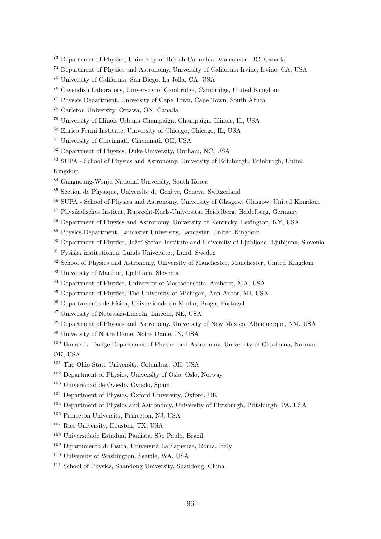- Department of Physics, University of British Columbia, Vancouver, BC, Canada
- Department of Physics and Astronomy, University of California Irvine, Irvine, CA, USA
- University of California, San Diego, La Jolla, CA, USA
- Cavendish Laboratory, University of Cambridge, Cambridge, United Kingdom
- Physics Department, University of Cape Town, Cape Town, South Africa
- Carleton University, Ottawa, ON, Canada
- University of Illinois Urbana-Champaign, Champaign, Illinois, IL, USA
- Enrico Fermi Institute, University of Chicago, Chicago, IL, USA
- University of Cincinnati, Cincinnati, OH, USA
- Department of Physics, Duke University, Durham, NC, USA
- SUPA School of Physics and Astronomy, University of Edinburgh, Edinburgh, United

#### Kingdom

- Gangneung-Wonju National University, South Korea
- <sup>85</sup> Section de Physique, Université de Genève, Geneva, Switzerland
- SUPA School of Physics and Astronomy, University of Glasgow, Glasgow, United Kingdom
- Physikalisches Institut, Ruprecht-Karls-Universitat Heidelberg, Heidelberg, Germany
- Department of Physics and Astronomy, University of Kentucky, Lexington, KY, USA
- Physics Department, Lancaster University, Lancaster, United Kingdom
- <sup>90</sup> Department of Physics, Jožef Stefan Institute and University of Liubliana, Liubliana, Slovenia
- Fysiska institutionen, Lunds Universitet, Lund, Sweden
- School of Physics and Astronomy, University of Manchester, Manchester, United Kingdom
- University of Maribor, Ljubljana, Slovenia
- Department of Physics, University of Massachusetts, Amherst, MA, USA
- Department of Physics, The University of Michigan, Ann Arbor, MI, USA
- <sup>96</sup> Departamento de Física, Universidade do Minho, Braga, Portugal
- University of Nebraska-Lincoln, Lincoln, NE, USA
- <sup>98</sup> Department of Physics and Astronomy, University of New Mexico, Albuquerque, NM, USA
- University of Notre Dame, Notre Dame, IN, USA
- Homer L. Dodge Department of Physics and Astronomy, University of Oklahoma, Norman, OK, USA
- The Ohio State University, Columbus, OH, USA
- Department of Physics, University of Oslo, Oslo, Norway
- Universidad de Oviedo, Oviedo, Spain
- Department of Physics, Oxford University, Oxford, UK
- Department of Physics and Astronomy, University of Pittsburgh, Pittsburgh, PA, USA
- Princeton University, Princeton, NJ, USA
- Rice University, Houston, TX, USA
- <sup>108</sup> Universidade Estadual Paulista, São Paulo, Brazil
- <sup>109</sup> Dipartimento di Fisica, Università La Sapienza, Roma, Italy
- University of Washington, Seattle, WA, USA
- School of Physics, Shandong University, Shandong, China